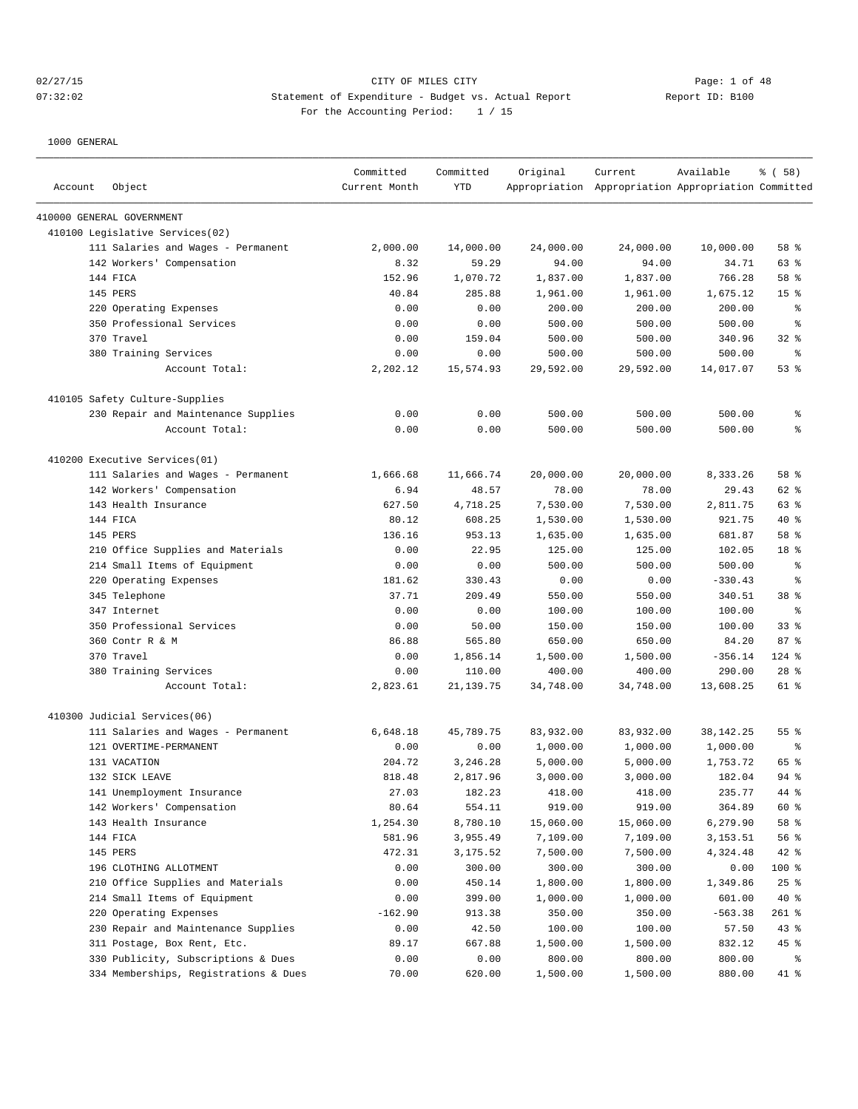# 02/27/15 **Page: 1 of 48** CITY OF MILES CITY CONTROL Page: 1 of 48 07:32:02 Statement of Expenditure - Budget vs. Actual Report Report ID: B100 For the Accounting Period: 1 / 15

| Account | Object                                | Committed<br>Current Month | Committed<br><b>YTD</b> | Original  | Current<br>Appropriation Appropriation Appropriation Committed | Available | % (58)          |
|---------|---------------------------------------|----------------------------|-------------------------|-----------|----------------------------------------------------------------|-----------|-----------------|
|         | 410000 GENERAL GOVERNMENT             |                            |                         |           |                                                                |           |                 |
|         | 410100 Legislative Services(02)       |                            |                         |           |                                                                |           |                 |
|         | 111 Salaries and Wages - Permanent    | 2,000.00                   | 14,000.00               | 24,000.00 | 24,000.00                                                      | 10,000.00 | 58 %            |
|         | 142 Workers' Compensation             | 8.32                       | 59.29                   | 94.00     | 94.00                                                          | 34.71     | 63 %            |
|         | 144 FICA                              | 152.96                     | 1,070.72                | 1,837.00  | 1,837.00                                                       | 766.28    | 58 %            |
|         | 145 PERS                              | 40.84                      | 285.88                  | 1,961.00  | 1,961.00                                                       | 1,675.12  | 15 <sup>8</sup> |
|         | 220 Operating Expenses                | 0.00                       | 0.00                    | 200.00    | 200.00                                                         | 200.00    | နွ              |
|         | 350 Professional Services             | 0.00                       | 0.00                    | 500.00    | 500.00                                                         | 500.00    | ి               |
|         | 370 Travel                            | 0.00                       | 159.04                  | 500.00    | 500.00                                                         | 340.96    | $32$ $%$        |
|         | 380 Training Services                 | 0.00                       | 0.00                    | 500.00    | 500.00                                                         | 500.00    | နွ              |
|         | Account Total:                        | 2,202.12                   | 15,574.93               | 29,592.00 | 29,592.00                                                      | 14,017.07 | 53%             |
|         | 410105 Safety Culture-Supplies        |                            |                         |           |                                                                |           |                 |
|         | 230 Repair and Maintenance Supplies   | 0.00                       | 0.00                    | 500.00    | 500.00                                                         | 500.00    | န့              |
|         | Account Total:                        | 0.00                       | 0.00                    | 500.00    | 500.00                                                         | 500.00    | နွ              |
|         | 410200 Executive Services(01)         |                            |                         |           |                                                                |           |                 |
|         | 111 Salaries and Wages - Permanent    | 1,666.68                   | 11,666.74               | 20,000.00 | 20,000.00                                                      | 8,333.26  | 58 %            |
|         | 142 Workers' Compensation             | 6.94                       | 48.57                   | 78.00     | 78.00                                                          | 29.43     | 62 %            |
|         | 143 Health Insurance                  | 627.50                     | 4,718.25                | 7,530.00  | 7,530.00                                                       | 2,811.75  | 63 %            |
|         | 144 FICA                              | 80.12                      | 608.25                  | 1,530.00  | 1,530.00                                                       | 921.75    | 40 %            |
|         | 145 PERS                              | 136.16                     | 953.13                  | 1,635.00  | 1,635.00                                                       | 681.87    | 58 %            |
|         | 210 Office Supplies and Materials     | 0.00                       | 22.95                   | 125.00    | 125.00                                                         | 102.05    | 18 %            |
|         | 214 Small Items of Equipment          | 0.00                       | 0.00                    | 500.00    | 500.00                                                         | 500.00    | နွ              |
|         | Operating Expenses<br>220             | 181.62                     | 330.43                  | 0.00      | 0.00                                                           | $-330.43$ | နွ              |
|         | 345 Telephone                         | 37.71                      | 209.49                  | 550.00    | 550.00                                                         | 340.51    | 38 %            |
|         | 347 Internet                          | 0.00                       | 0.00                    | 100.00    | 100.00                                                         | 100.00    | $\epsilon$      |
|         | 350 Professional Services             | 0.00                       | 50.00                   | 150.00    | 150.00                                                         | 100.00    | 33%             |
|         | 360 Contr R & M                       | 86.88                      | 565.80                  | 650.00    | 650.00                                                         | 84.20     | 87%             |
|         | 370 Travel                            | 0.00                       | 1,856.14                | 1,500.00  | 1,500.00                                                       | $-356.14$ | $124$ %         |
|         | 380 Training Services                 | 0.00                       | 110.00                  | 400.00    | 400.00                                                         | 290.00    | $28$ %          |
|         | Account Total:                        | 2,823.61                   | 21, 139. 75             | 34,748.00 | 34,748.00                                                      | 13,608.25 | 61 %            |
|         | 410300 Judicial Services(06)          |                            |                         |           |                                                                |           |                 |
|         | 111 Salaries and Wages - Permanent    | 6,648.18                   | 45,789.75               | 83,932.00 | 83,932.00                                                      | 38,142.25 | 55%             |
|         | 121 OVERTIME-PERMANENT                | 0.00                       | 0.00                    | 1,000.00  | 1,000.00                                                       | 1,000.00  | ႜ               |
|         | 131 VACATION                          | 204.72                     | 3,246.28                | 5,000.00  | 5,000.00                                                       | 1,753.72  | 65 %            |
|         | 132 SICK LEAVE                        | 818.48                     | 2,817.96                | 3,000.00  | 3,000.00                                                       | 182.04    | $94$ %          |
|         | 141 Unemployment Insurance            | 27.03                      | 182.23                  | 418.00    | 418.00                                                         | 235.77    | 44 %            |
|         | 142 Workers' Compensation             | 80.64                      | 554.11                  | 919.00    | 919.00                                                         | 364.89    | 60 %            |
|         | 143 Health Insurance                  | 1,254.30                   | 8,780.10                | 15,060.00 | 15,060.00                                                      | 6,279.90  | 58 %            |
|         | 144 FICA                              | 581.96                     | 3,955.49                | 7,109.00  | 7,109.00                                                       | 3,153.51  | 56%             |
|         | 145 PERS                              | 472.31                     | 3,175.52                | 7,500.00  | 7,500.00                                                       | 4,324.48  | 42 %            |
|         | 196 CLOTHING ALLOTMENT                | 0.00                       | 300.00                  | 300.00    | 300.00                                                         | 0.00      | 100 %           |
|         | Office Supplies and Materials<br>210  | 0.00                       | 450.14                  | 1,800.00  | 1,800.00                                                       | 1,349.86  | 25%             |
|         | 214 Small Items of Equipment          | 0.00                       | 399.00                  | 1,000.00  | 1,000.00                                                       | 601.00    | $40*$           |
|         | 220 Operating Expenses                | $-162.90$                  | 913.38                  | 350.00    | 350.00                                                         | $-563.38$ | 261 %           |
|         | 230 Repair and Maintenance Supplies   | 0.00                       | 42.50                   | 100.00    | 100.00                                                         | 57.50     | 43 %            |
|         | 311 Postage, Box Rent, Etc.           | 89.17                      | 667.88                  | 1,500.00  | 1,500.00                                                       | 832.12    | 45 %            |
|         | 330 Publicity, Subscriptions & Dues   | 0.00                       | 0.00                    | 800.00    | 800.00                                                         | 800.00    | ႜွ              |
|         | 334 Memberships, Registrations & Dues | 70.00                      | 620.00                  | 1,500.00  | 1,500.00                                                       | 880.00    | 41 %            |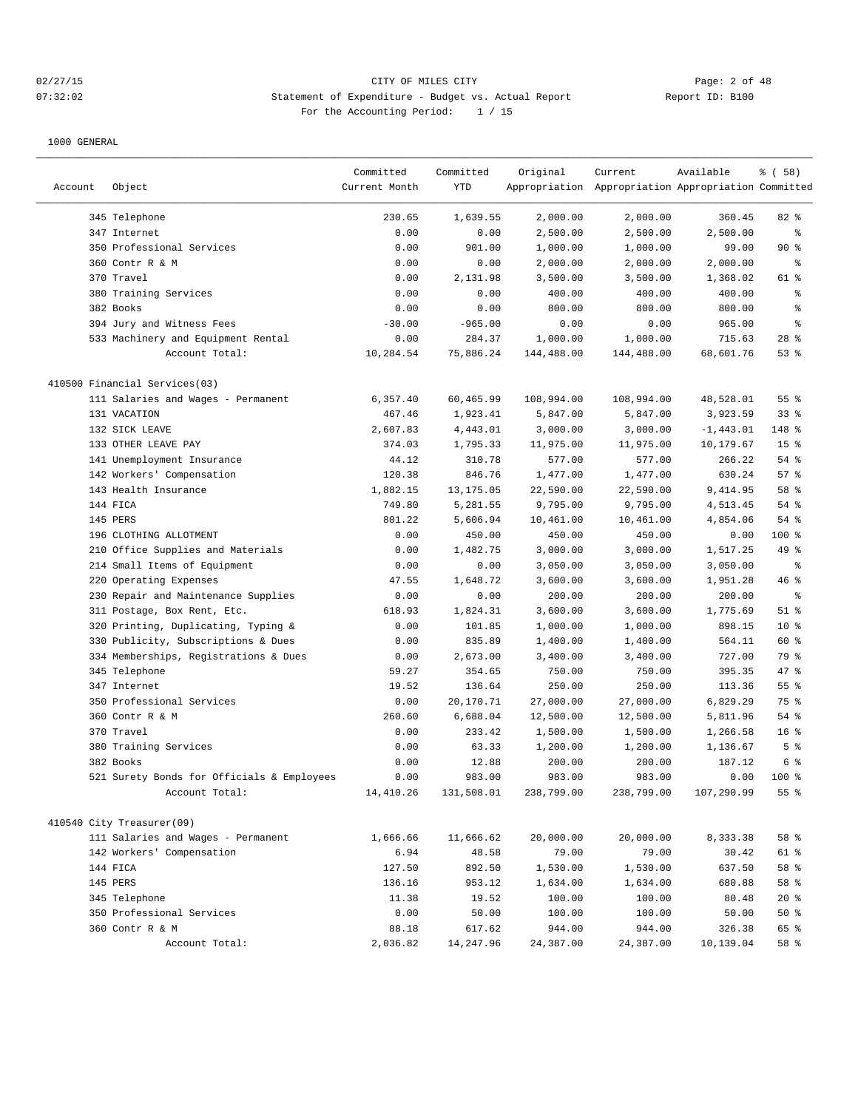# 02/27/15 CITY OF MILES CITY Page: 2 of 48 07:32:02 Statement of Expenditure - Budget vs. Actual Report Report ID: B100 For the Accounting Period: 1 / 15

|         |                                            | Committed     | Committed  | Original   | Current                                             | Available    | % (58)           |
|---------|--------------------------------------------|---------------|------------|------------|-----------------------------------------------------|--------------|------------------|
| Account | Object                                     | Current Month | YTD        |            | Appropriation Appropriation Appropriation Committed |              |                  |
|         | 345 Telephone                              | 230.65        | 1,639.55   | 2,000.00   | 2,000.00                                            | 360.45       | $82$ %           |
|         | 347 Internet                               | 0.00          | 0.00       | 2,500.00   | 2,500.00                                            | 2,500.00     | ి                |
|         | 350 Professional Services                  | 0.00          | 901.00     | 1,000.00   | 1,000.00                                            | 99.00        | $90*$            |
|         | 360 Contr R & M                            | 0.00          | 0.00       | 2,000.00   | 2,000.00                                            | 2,000.00     | $\epsilon$       |
|         | 370 Travel                                 | 0.00          | 2,131.98   | 3,500.00   | 3,500.00                                            | 1,368.02     | 61 %             |
|         | 380 Training Services                      | 0.00          | 0.00       | 400.00     | 400.00                                              | 400.00       | ి                |
|         | 382 Books                                  | 0.00          | 0.00       | 800.00     | 800.00                                              | 800.00       | ి                |
|         | 394 Jury and Witness Fees                  | $-30.00$      | $-965.00$  | 0.00       | 0.00                                                | 965.00       | $\,{}^{\circ}\!$ |
|         | 533 Machinery and Equipment Rental         | 0.00          | 284.37     | 1,000.00   | 1,000.00                                            | 715.63       | $28$ %           |
|         | Account Total:                             | 10,284.54     | 75,886.24  | 144,488.00 | 144,488.00                                          | 68,601.76    | 53%              |
|         | 410500 Financial Services(03)              |               |            |            |                                                     |              |                  |
|         | 111 Salaries and Wages - Permanent         | 6,357.40      | 60,465.99  | 108,994.00 | 108,994.00                                          | 48,528.01    | $55$ $%$         |
|         | 131 VACATION                               | 467.46        | 1,923.41   | 5,847.00   | 5,847.00                                            | 3,923.59     | 33%              |
|         | 132 SICK LEAVE                             | 2,607.83      | 4,443.01   | 3,000.00   | 3,000.00                                            | $-1, 443.01$ | 148 %            |
|         | 133 OTHER LEAVE PAY                        | 374.03        | 1,795.33   | 11,975.00  | 11,975.00                                           | 10,179.67    | 15 <sup>°</sup>  |
|         | 141 Unemployment Insurance                 | 44.12         | 310.78     | 577.00     | 577.00                                              | 266.22       | $54$ %           |
|         | 142 Workers' Compensation                  | 120.38        | 846.76     | 1,477.00   | 1,477.00                                            | 630.24       | 57%              |
|         | 143 Health Insurance                       | 1,882.15      | 13, 175.05 | 22,590.00  | 22,590.00                                           | 9,414.95     | 58 %             |
|         | 144 FICA                                   | 749.80        | 5,281.55   | 9,795.00   | 9,795.00                                            | 4,513.45     | $54$ $%$         |
|         | 145 PERS                                   | 801.22        | 5,606.94   | 10,461.00  | 10,461.00                                           | 4,854.06     | $54$ $%$         |
|         | 196 CLOTHING ALLOTMENT                     | 0.00          | 450.00     | 450.00     | 450.00                                              | 0.00         | 100 %            |
|         | 210 Office Supplies and Materials          | 0.00          | 1,482.75   | 3,000.00   | 3,000.00                                            | 1,517.25     | 49 %             |
|         | 214 Small Items of Equipment               | 0.00          | 0.00       | 3,050.00   | 3,050.00                                            | 3,050.00     | $\epsilon$       |
| 220     | Operating Expenses                         | 47.55         | 1,648.72   | 3,600.00   | 3,600.00                                            | 1,951.28     | 46 %             |
|         | 230 Repair and Maintenance Supplies        | 0.00          | 0.00       | 200.00     | 200.00                                              | 200.00       | န္               |
|         | 311 Postage, Box Rent, Etc.                | 618.93        | 1,824.31   | 3,600.00   | 3,600.00                                            | 1,775.69     | $51$ %           |
|         | 320 Printing, Duplicating, Typing &        | 0.00          | 101.85     | 1,000.00   | 1,000.00                                            | 898.15       | $10*$            |
|         | 330 Publicity, Subscriptions & Dues        | 0.00          | 835.89     | 1,400.00   | 1,400.00                                            | 564.11       | 60 %             |
|         | 334 Memberships, Registrations & Dues      | 0.00          | 2,673.00   | 3,400.00   | 3,400.00                                            | 727.00       | 79 %             |
|         | 345 Telephone                              | 59.27         | 354.65     | 750.00     | 750.00                                              | 395.35       | $47$ %           |
|         | 347 Internet                               | 19.52         | 136.64     | 250.00     | 250.00                                              | 113.36       | 55%              |
|         | 350 Professional Services                  | 0.00          | 20,170.71  | 27,000.00  | 27,000.00                                           | 6,829.29     | 75 %             |
|         | 360 Contr R & M                            | 260.60        | 6,688.04   | 12,500.00  | 12,500.00                                           | 5,811.96     | $54$ %           |
|         | 370 Travel                                 | 0.00          | 233.42     | 1,500.00   | 1,500.00                                            | 1,266.58     | 16 <sup>8</sup>  |
|         | 380 Training Services                      | 0.00          | 63.33      | 1,200.00   | 1,200.00                                            | 1,136.67     | 5 <sup>°</sup>   |
|         | 382 Books                                  | 0.00          | 12.88      | 200.00     | 200.00                                              | 187.12       | 6 %              |
|         | 521 Surety Bonds for Officials & Employees | 0.00          | 983.00     | 983.00     | 983.00                                              | 0.00         | $100*$           |
|         | Account Total:                             | 14,410.26     | 131,508.01 | 238,799.00 | 238,799.00                                          | 107,290.99   | $55$ $%$         |
|         | 410540 City Treasurer(09)                  |               |            |            |                                                     |              |                  |
|         | 111 Salaries and Wages - Permanent         | 1,666.66      | 11,666.62  | 20,000.00  | 20,000.00                                           | 8,333.38     | 58 %             |
|         | 142 Workers' Compensation                  | 6.94          | 48.58      | 79.00      | 79.00                                               | 30.42        | 61 %             |
|         | 144 FICA                                   | 127.50        | 892.50     | 1,530.00   | 1,530.00                                            | 637.50       | 58 %             |
|         | 145 PERS                                   | 136.16        | 953.12     | 1,634.00   | 1,634.00                                            | 680.88       | 58 %             |
|         | 345 Telephone                              | 11.38         | 19.52      | 100.00     | 100.00                                              | 80.48        | $20*$            |
|         | 350 Professional Services                  | 0.00          | 50.00      | 100.00     | 100.00                                              | 50.00        | $50*$            |
|         | 360 Contr R & M                            | 88.18         | 617.62     | 944.00     | 944.00                                              | 326.38       | 65 %             |
|         | Account Total:                             | 2,036.82      | 14,247.96  | 24,387.00  | 24,387.00                                           | 10,139.04    | 58 %             |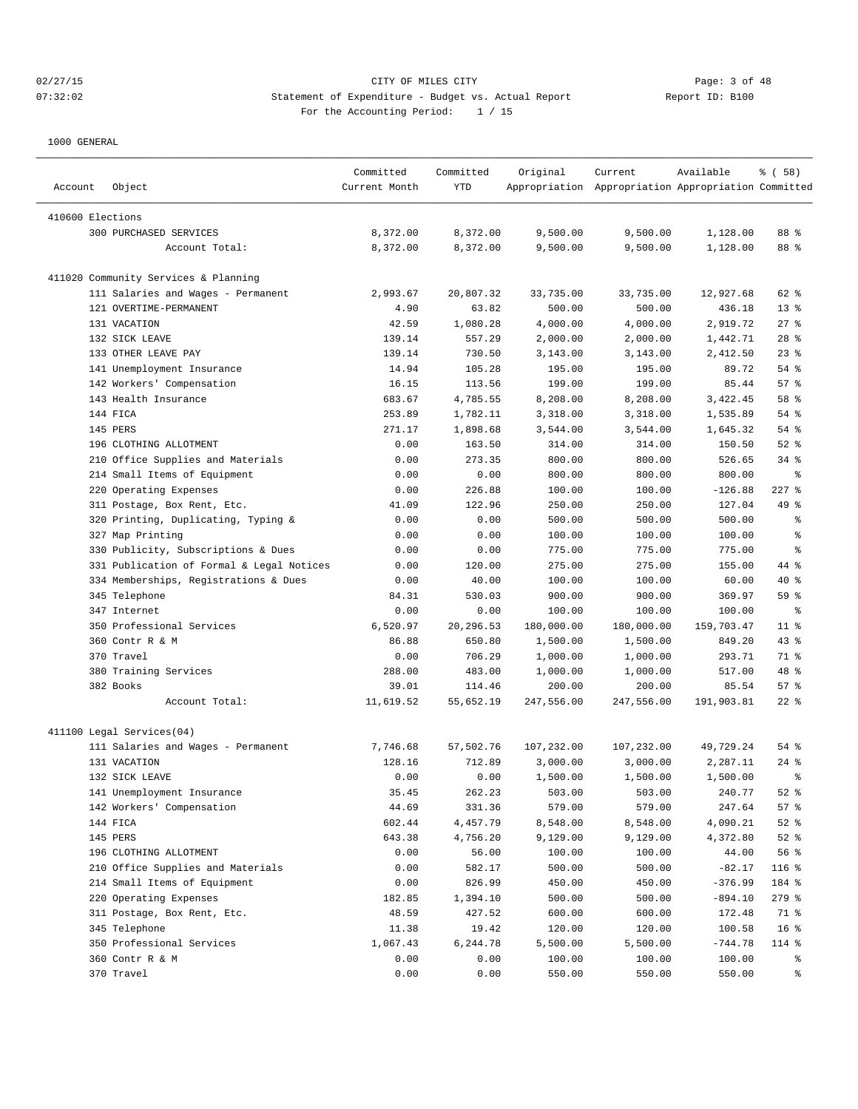| Account          | Object                                    | Committed<br>Current Month | Committed<br>YTD | Original   | Current<br>Appropriation Appropriation Appropriation Committed | Available  | 8 ( 58)         |
|------------------|-------------------------------------------|----------------------------|------------------|------------|----------------------------------------------------------------|------------|-----------------|
| 410600 Elections |                                           |                            |                  |            |                                                                |            |                 |
|                  | 300 PURCHASED SERVICES                    | 8,372.00                   | 8,372.00         | 9,500.00   | 9,500.00                                                       | 1,128.00   | 88 %            |
|                  | Account Total:                            | 8,372.00                   | 8,372.00         | 9,500.00   | 9,500.00                                                       | 1,128.00   | 88 %            |
|                  | 411020 Community Services & Planning      |                            |                  |            |                                                                |            |                 |
|                  | 111 Salaries and Wages - Permanent        | 2,993.67                   | 20,807.32        | 33,735.00  | 33,735.00                                                      | 12,927.68  | 62 %            |
|                  | 121 OVERTIME-PERMANENT                    | 4.90                       | 63.82            | 500.00     | 500.00                                                         | 436.18     | 13 <sup>8</sup> |
|                  | 131 VACATION                              | 42.59                      | 1,080.28         | 4,000.00   | 4,000.00                                                       | 2,919.72   | $27$ %          |
|                  | 132 SICK LEAVE                            | 139.14                     | 557.29           | 2,000.00   | 2,000.00                                                       | 1,442.71   | $28$ %          |
|                  | 133 OTHER LEAVE PAY                       | 139.14                     | 730.50           | 3,143.00   | 3,143.00                                                       | 2,412.50   | $23$ %          |
|                  | 141 Unemployment Insurance                | 14.94                      | 105.28           | 195.00     | 195.00                                                         | 89.72      | 54 %            |
|                  | 142 Workers' Compensation                 | 16.15                      | 113.56           | 199.00     | 199.00                                                         | 85.44      | 57%             |
|                  | 143 Health Insurance                      | 683.67                     | 4,785.55         | 8,208.00   | 8,208.00                                                       | 3,422.45   | 58 %            |
|                  | 144 FICA                                  | 253.89                     | 1,782.11         | 3,318.00   | 3,318.00                                                       | 1,535.89   | 54 %            |
|                  | 145 PERS                                  | 271.17                     | 1,898.68         | 3,544.00   | 3,544.00                                                       | 1,645.32   | 54 %            |
|                  | 196 CLOTHING ALLOTMENT                    | 0.00                       | 163.50           | 314.00     | 314.00                                                         | 150.50     | $52$ $%$        |
|                  | 210 Office Supplies and Materials         | 0.00                       | 273.35           | 800.00     | 800.00                                                         | 526.65     | $34$ $%$        |
|                  | 214 Small Items of Equipment              | 0.00                       | 0.00             | 800.00     | 800.00                                                         | 800.00     | ႜ               |
|                  | 220 Operating Expenses                    | 0.00                       | 226.88           | 100.00     | 100.00                                                         | $-126.88$  | $227$ %         |
|                  | 311 Postage, Box Rent, Etc.               | 41.09                      | 122.96           | 250.00     | 250.00                                                         | 127.04     | 49 %            |
|                  | 320 Printing, Duplicating, Typing &       | 0.00                       | 0.00             | 500.00     | 500.00                                                         | 500.00     | ႜွ              |
|                  | 327 Map Printing                          | 0.00                       | 0.00             | 100.00     | 100.00                                                         | 100.00     | န့              |
|                  | 330 Publicity, Subscriptions & Dues       | 0.00                       | 0.00             | 775.00     | 775.00                                                         | 775.00     | ి               |
|                  | 331 Publication of Formal & Legal Notices | 0.00                       | 120.00           | 275.00     | 275.00                                                         | 155.00     | 44 %            |
|                  | 334 Memberships, Registrations & Dues     | 0.00                       | 40.00            | 100.00     | 100.00                                                         | 60.00      | $40*$           |
|                  | 345 Telephone                             | 84.31                      | 530.03           | 900.00     | 900.00                                                         | 369.97     | 59 %            |
|                  | 347 Internet                              | 0.00                       | 0.00             | 100.00     | 100.00                                                         | 100.00     | နွ              |
|                  | 350 Professional Services                 | 6,520.97                   | 20,296.53        | 180,000.00 | 180,000.00                                                     | 159,703.47 | $11$ %          |
|                  | 360 Contr R & M                           | 86.88                      | 650.80           | 1,500.00   | 1,500.00                                                       | 849.20     | 43%             |
|                  | 370 Travel                                | 0.00                       | 706.29           | 1,000.00   | 1,000.00                                                       | 293.71     | 71 %            |
|                  | 380 Training Services                     | 288.00                     | 483.00           | 1,000.00   | 1,000.00                                                       | 517.00     | 48 %            |
|                  | 382 Books                                 | 39.01                      | 114.46           | 200.00     | 200.00                                                         | 85.54      | 57%             |
|                  | Account Total:                            | 11,619.52                  | 55,652.19        | 247,556.00 | 247,556.00                                                     | 191,903.81 | $22$ %          |
|                  | 411100 Legal Services(04)                 |                            |                  |            |                                                                |            |                 |
|                  | 111 Salaries and Wages - Permanent        | 7,746.68                   | 57,502.76        | 107,232.00 | 107,232.00                                                     | 49,729.24  | $54$ %          |
|                  | 131 VACATION                              | 128.16                     | 712.89           | 3,000.00   | 3,000.00                                                       | 2,287.11   | $24$ %          |
|                  | 132 SICK LEAVE                            | 0.00                       | 0.00             | 1,500.00   | 1,500.00                                                       | 1,500.00   | ి               |
|                  | 141 Unemployment Insurance                | 35.45                      | 262.23           | 503.00     | 503.00                                                         | 240.77     | $52$ $%$        |
|                  | 142 Workers' Compensation                 | 44.69                      | 331.36           | 579.00     | 579.00                                                         | 247.64     | 57%             |
|                  | 144 FICA                                  | 602.44                     | 4,457.79         | 8,548.00   | 8,548.00                                                       | 4,090.21   | $52$ $%$        |
|                  | 145 PERS                                  | 643.38                     | 4,756.20         | 9,129.00   | 9,129.00                                                       | 4,372.80   | $52$ $%$        |
|                  | 196 CLOTHING ALLOTMENT                    | 0.00                       | 56.00            | 100.00     | 100.00                                                         | 44.00      | 56 %            |
|                  | 210 Office Supplies and Materials         | 0.00                       | 582.17           | 500.00     | 500.00                                                         | $-82.17$   | 116 %           |
|                  | 214 Small Items of Equipment              | 0.00                       | 826.99           | 450.00     | 450.00                                                         | $-376.99$  | 184 %           |
|                  | 220 Operating Expenses                    | 182.85                     | 1,394.10         | 500.00     | 500.00                                                         | $-894.10$  | $279$ %         |
|                  | 311 Postage, Box Rent, Etc.               | 48.59                      | 427.52           | 600.00     | 600.00                                                         | 172.48     | 71 %            |
|                  | 345 Telephone                             | 11.38                      | 19.42            | 120.00     | 120.00                                                         | 100.58     | 16 <sup>°</sup> |
|                  | 350 Professional Services                 | 1,067.43                   | 6,244.78         | 5,500.00   | 5,500.00                                                       | $-744.78$  | 114 %           |
|                  | 360 Contr R & M                           | 0.00                       | 0.00             | 100.00     | 100.00                                                         | 100.00     | ိ               |
|                  | 370 Travel                                | 0.00                       | 0.00             | 550.00     | 550.00                                                         | 550.00     | ွေ              |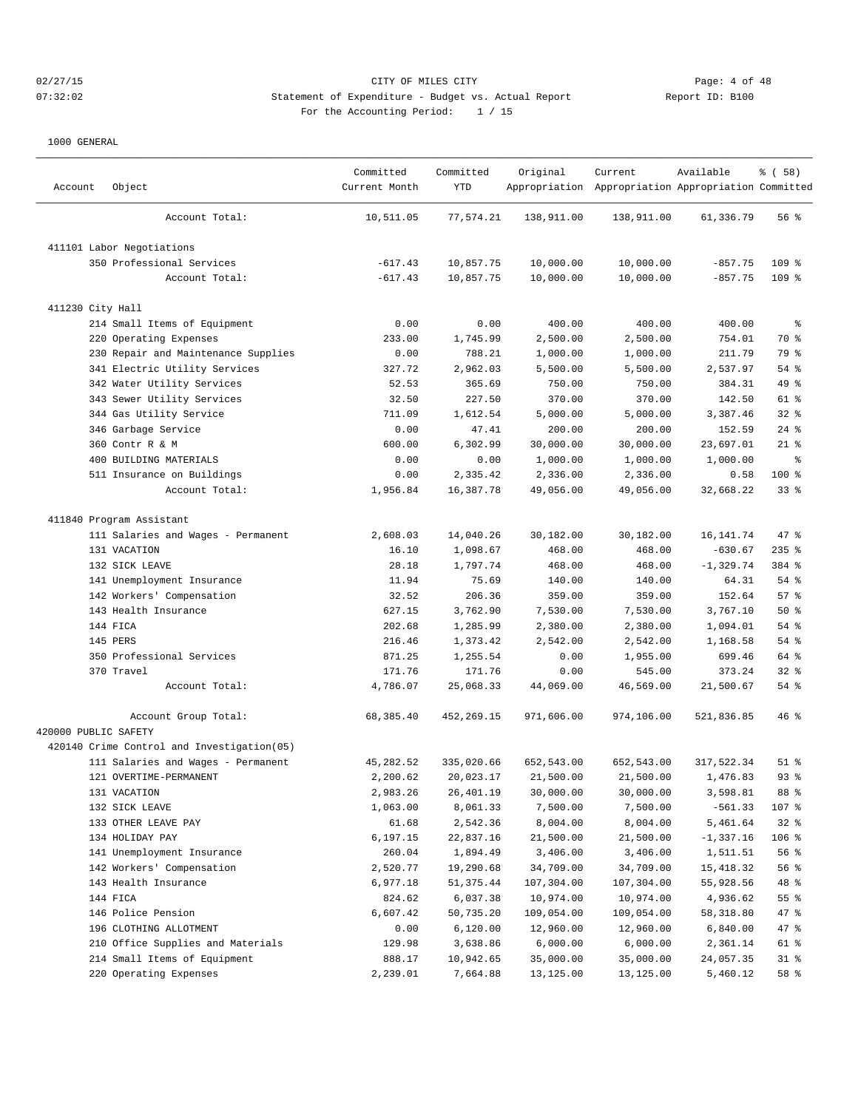### 02/27/15 CITY OF MILES CITY Page: 4 of 48 07:32:02 Statement of Expenditure - Budget vs. Actual Report Changer Report ID: B100 For the Accounting Period: 1 / 15

| Account              | Object                                     | Committed<br>Current Month | Committed<br>YTD | Original   | Current<br>Appropriation Appropriation Appropriation Committed | Available    | % ( 58 )           |
|----------------------|--------------------------------------------|----------------------------|------------------|------------|----------------------------------------------------------------|--------------|--------------------|
|                      | Account Total:                             | 10,511.05                  | 77,574.21        | 138,911.00 | 138,911.00                                                     | 61,336.79    | 56 %               |
|                      | 411101 Labor Negotiations                  |                            |                  |            |                                                                |              |                    |
|                      | 350 Professional Services                  | $-617.43$                  | 10,857.75        | 10,000.00  | 10,000.00                                                      | $-857.75$    | 109 %              |
|                      | Account Total:                             | $-617.43$                  | 10,857.75        | 10,000.00  | 10,000.00                                                      | $-857.75$    | $109$ %            |
| 411230 City Hall     |                                            |                            |                  |            |                                                                |              |                    |
|                      | 214 Small Items of Equipment               | 0.00                       | 0.00             | 400.00     | 400.00                                                         | 400.00       | ႜွ                 |
|                      | 220 Operating Expenses                     | 233.00                     | 1,745.99         | 2,500.00   | 2,500.00                                                       | 754.01       | 70 %               |
|                      | 230 Repair and Maintenance Supplies        | 0.00                       | 788.21           | 1,000.00   | 1,000.00                                                       | 211.79       | 79 %               |
|                      | 341 Electric Utility Services              | 327.72                     | 2,962.03         | 5,500.00   | 5,500.00                                                       | 2,537.97     | $54$ %             |
|                      | 342 Water Utility Services                 | 52.53                      | 365.69           | 750.00     | 750.00                                                         | 384.31       | 49 %               |
|                      | 343 Sewer Utility Services                 | 32.50                      | 227.50           | 370.00     | 370.00                                                         | 142.50       | 61 %               |
|                      | 344 Gas Utility Service                    | 711.09                     | 1,612.54         | 5,000.00   | 5,000.00                                                       | 3,387.46     | 32%                |
|                      | 346 Garbage Service                        | 0.00                       | 47.41            | 200.00     | 200.00                                                         | 152.59       | $24$ %             |
|                      | 360 Contr R & M                            | 600.00                     | 6,302.99         | 30,000.00  | 30,000.00                                                      | 23,697.01    | $21$ %             |
|                      | 400 BUILDING MATERIALS                     | 0.00                       | 0.00             | 1,000.00   | 1,000.00                                                       | 1,000.00     | ి                  |
|                      | 511 Insurance on Buildings                 | 0.00                       | 2,335.42         | 2,336.00   | 2,336.00                                                       | 0.58         | $100$ %            |
|                      | Account Total:                             | 1,956.84                   | 16,387.78        | 49,056.00  | 49,056.00                                                      | 32,668.22    | 33 <sup>8</sup>    |
|                      | 411840 Program Assistant                   |                            |                  |            |                                                                |              |                    |
|                      | 111 Salaries and Wages - Permanent         | 2,608.03                   | 14,040.26        | 30,182.00  | 30,182.00                                                      | 16, 141.74   | 47 %               |
|                      | 131 VACATION                               | 16.10                      | 1,098.67         | 468.00     | 468.00                                                         | $-630.67$    | $235$ %            |
|                      | 132 SICK LEAVE                             | 28.18                      | 1,797.74         | 468.00     | 468.00                                                         | $-1, 329.74$ | 384 %              |
|                      | 141 Unemployment Insurance                 | 11.94                      | 75.69            | 140.00     | 140.00                                                         | 64.31        | $54$ %             |
|                      | 142 Workers' Compensation                  | 32.52                      | 206.36           | 359.00     | 359.00                                                         | 152.64       | 57%                |
|                      | 143 Health Insurance                       | 627.15                     | 3,762.90         | 7,530.00   | 7,530.00                                                       | 3,767.10     | 50%                |
|                      | 144 FICA                                   | 202.68                     | 1,285.99         | 2,380.00   | 2,380.00                                                       | 1,094.01     | 54 %               |
|                      | 145 PERS                                   | 216.46                     | 1,373.42         | 2,542.00   | 2,542.00                                                       | 1,168.58     | $54$ %             |
|                      | 350 Professional Services                  | 871.25                     | 1,255.54         | 0.00       | 1,955.00                                                       | 699.46       | 64 %               |
|                      | 370 Travel                                 | 171.76                     | 171.76           | 0.00       | 545.00                                                         | 373.24       | $32$ $%$           |
|                      | Account Total:                             | 4,786.07                   | 25,068.33        | 44,069.00  | 46,569.00                                                      | 21,500.67    | $54$ %             |
| 420000 PUBLIC SAFETY | Account Group Total:                       | 68,385.40                  | 452,269.15       | 971,606.00 | 974,106.00                                                     | 521,836.85   | 46%                |
|                      | 420140 Crime Control and Investigation(05) |                            |                  |            |                                                                |              |                    |
|                      | 111 Salaries and Wages - Permanent         | 45, 282.52                 | 335,020.66       | 652,543.00 | 652,543.00                                                     | 317,522.34   | $51$ %             |
|                      | 121 OVERTIME-PERMANENT                     | 2,200.62                   | 20,023.17        | 21,500.00  | 21,500.00                                                      | 1,476.83     | 93 %               |
|                      | 131 VACATION                               | 2,983.26                   | 26,401.19        | 30,000.00  | 30,000.00                                                      | 3,598.81     | 88 %               |
|                      | 132 SICK LEAVE                             | 1,063.00                   | 8,061.33         | 7,500.00   | 7,500.00                                                       | $-561.33$    | $107$ %            |
|                      | 133 OTHER LEAVE PAY                        | 61.68                      | 2,542.36         | 8,004.00   | 8,004.00                                                       | 5,461.64     | 32%                |
|                      | 134 HOLIDAY PAY                            | 6,197.15                   | 22,837.16        | 21,500.00  | 21,500.00                                                      | $-1, 337.16$ | 106 %              |
|                      | 141 Unemployment Insurance                 | 260.04                     | 1,894.49         | 3,406.00   | 3,406.00                                                       | 1,511.51     | 56 %               |
|                      | 142 Workers' Compensation                  | 2,520.77                   | 19,290.68        | 34,709.00  | 34,709.00                                                      | 15,418.32    | 56 %               |
|                      | 143 Health Insurance                       | 6,977.18                   | 51, 375.44       | 107,304.00 | 107,304.00                                                     | 55,928.56    | 48 %               |
|                      | 144 FICA                                   | 824.62                     | 6,037.38         | 10,974.00  | 10,974.00                                                      | 4,936.62     | $55$ $\frac{6}{5}$ |
|                      | 146 Police Pension                         | 6,607.42                   | 50,735.20        | 109,054.00 | 109,054.00                                                     | 58,318.80    | $47$ %             |
|                      | 196 CLOTHING ALLOTMENT                     | 0.00                       | 6,120.00         | 12,960.00  | 12,960.00                                                      | 6,840.00     | 47 %               |
|                      | 210 Office Supplies and Materials          | 129.98                     | 3,638.86         | 6,000.00   | 6,000.00                                                       | 2,361.14     | 61 %               |
|                      | 214 Small Items of Equipment               | 888.17                     | 10,942.65        | 35,000.00  | 35,000.00                                                      | 24,057.35    | $31$ %             |
|                      | 220 Operating Expenses                     | 2,239.01                   | 7,664.88         | 13,125.00  | 13,125.00                                                      | 5,460.12     | 58 %               |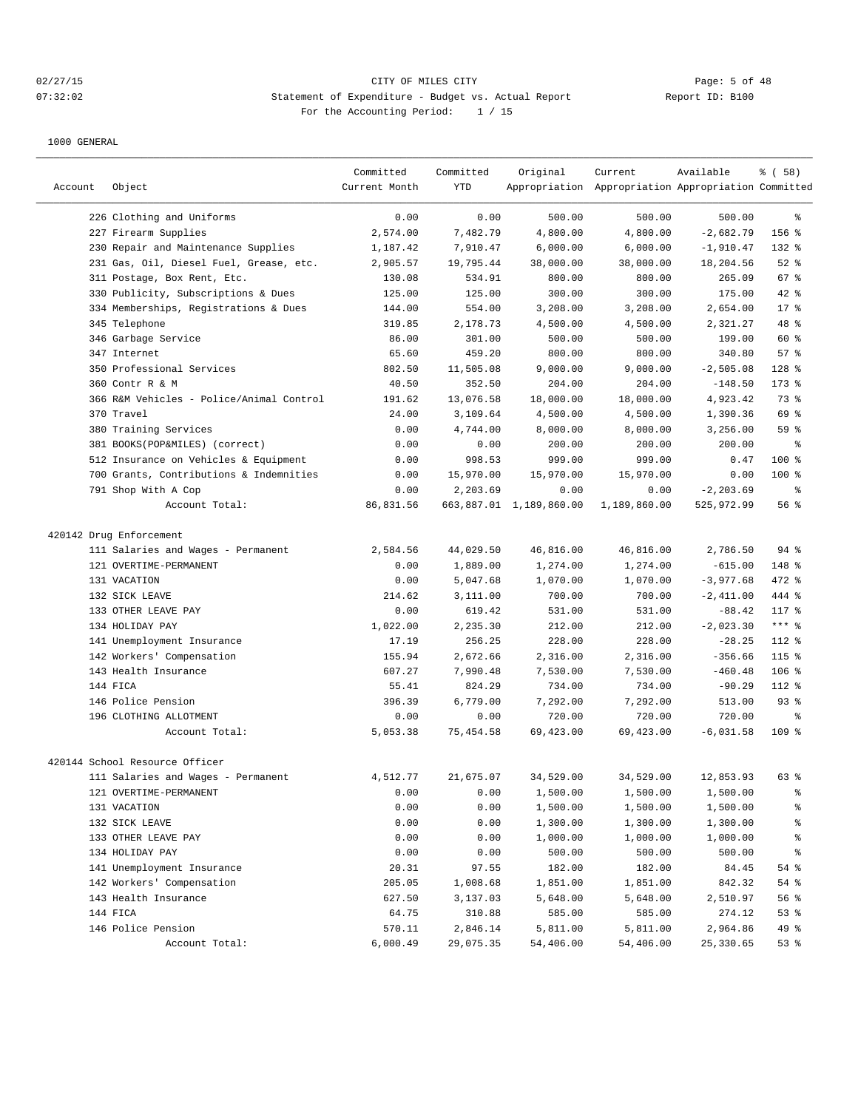# 02/27/15 **Page: 5 of 48** CITY OF MILES CITY **CONSTRUSS CONSTRUSS CONSTRUSS OF A SET ASSESS** 07:32:02 Statement of Expenditure - Budget vs. Actual Report Changer Report ID: B100 For the Accounting Period: 1 / 15

| Account | Object                                   | Committed<br>Current Month | Committed<br><b>YTD</b> | Original                | Current<br>Appropriation Appropriation Appropriation Committed | Available    | % ( 58)          |
|---------|------------------------------------------|----------------------------|-------------------------|-------------------------|----------------------------------------------------------------|--------------|------------------|
|         | 226 Clothing and Uniforms                | 0.00                       | 0.00                    | 500.00                  | 500.00                                                         | 500.00       | ႜ                |
|         | 227 Firearm Supplies                     | 2,574.00                   | 7,482.79                | 4,800.00                | 4,800.00                                                       | $-2,682.79$  | 156 %            |
|         | 230 Repair and Maintenance Supplies      | 1,187.42                   | 7,910.47                | 6,000.00                | 6,000.00                                                       | $-1,910.47$  | 132 %            |
|         | 231 Gas, Oil, Diesel Fuel, Grease, etc.  | 2,905.57                   | 19,795.44               | 38,000.00               | 38,000.00                                                      | 18,204.56    | $52$ $%$         |
|         | 311 Postage, Box Rent, Etc.              | 130.08                     | 534.91                  | 800.00                  | 800.00                                                         | 265.09       | 67 %             |
|         | 330 Publicity, Subscriptions & Dues      | 125.00                     | 125.00                  | 300.00                  | 300.00                                                         | 175.00       | $42$ %           |
|         | 334 Memberships, Registrations & Dues    | 144.00                     | 554.00                  | 3,208.00                | 3,208.00                                                       | 2,654.00     | $17*$            |
|         | 345 Telephone                            | 319.85                     | 2,178.73                | 4,500.00                | 4,500.00                                                       | 2,321.27     | 48 %             |
|         | 346 Garbage Service                      | 86.00                      | 301.00                  | 500.00                  | 500.00                                                         | 199.00       | 60 %             |
|         | 347 Internet                             | 65.60                      | 459.20                  | 800.00                  | 800.00                                                         | 340.80       | 57%              |
|         | 350 Professional Services                | 802.50                     | 11,505.08               | 9,000.00                | 9,000.00                                                       | $-2,505.08$  | $128$ %          |
|         | 360 Contr R & M                          | 40.50                      | 352.50                  | 204.00                  | 204.00                                                         | $-148.50$    | $173$ %          |
|         | 366 R&M Vehicles - Police/Animal Control | 191.62                     | 13,076.58               | 18,000.00               | 18,000.00                                                      | 4,923.42     | 73 %             |
|         | 370 Travel                               | 24.00                      | 3,109.64                | 4,500.00                | 4,500.00                                                       | 1,390.36     | 69 %             |
|         | 380 Training Services                    | 0.00                       | 4,744.00                | 8,000.00                | 8,000.00                                                       | 3,256.00     | 59 %             |
|         | 381 BOOKS(POP&MILES) (correct)           | 0.00                       | 0.00                    | 200.00                  | 200.00                                                         | 200.00       | နွ               |
|         | 512 Insurance on Vehicles & Equipment    | 0.00                       | 998.53                  | 999.00                  | 999.00                                                         | 0.47         | $100$ %          |
|         | 700 Grants, Contributions & Indemnities  | 0.00                       | 15,970.00               | 15,970.00               | 15,970.00                                                      | 0.00         | 100 %            |
|         | 791 Shop With A Cop                      | 0.00                       | 2,203.69                | 0.00                    | 0.00                                                           | $-2, 203.69$ | $\epsilon$       |
|         | Account Total:                           | 86,831.56                  |                         | 663,887.01 1,189,860.00 | 1,189,860.00                                                   | 525,972.99   | 56 %             |
|         | 420142 Drug Enforcement                  |                            |                         |                         |                                                                |              |                  |
|         | 111 Salaries and Wages - Permanent       | 2,584.56                   | 44,029.50               | 46,816.00               | 46,816.00                                                      | 2,786.50     | $94$ $%$         |
|         | 121 OVERTIME-PERMANENT                   | 0.00                       | 1,889.00                | 1,274.00                | 1,274.00                                                       | $-615.00$    | 148 %            |
|         | 131 VACATION                             | 0.00                       | 5,047.68                | 1,070.00                | 1,070.00                                                       | $-3,977.68$  | 472 %            |
|         | 132 SICK LEAVE                           | 214.62                     | 3,111.00                | 700.00                  | 700.00                                                         | $-2,411.00$  | 444 %            |
|         | 133 OTHER LEAVE PAY                      | 0.00                       | 619.42                  | 531.00                  | 531.00                                                         | $-88.42$     | 117 %            |
|         | 134 HOLIDAY PAY                          | 1,022.00                   | 2,235.30                | 212.00                  | 212.00                                                         | $-2,023.30$  | *** 응            |
|         | 141 Unemployment Insurance               | 17.19                      | 256.25                  | 228.00                  | 228.00                                                         | $-28.25$     | 112 %            |
|         | 142 Workers' Compensation                | 155.94                     | 2,672.66                | 2,316.00                | 2,316.00                                                       | $-356.66$    | $115$ %          |
|         | 143 Health Insurance                     | 607.27                     | 7,990.48                | 7,530.00                | 7,530.00                                                       | $-460.48$    | $106$ %          |
|         | 144 FICA                                 | 55.41                      | 824.29                  | 734.00                  | 734.00                                                         | $-90.29$     | 112 %            |
|         | 146 Police Pension                       | 396.39                     | 6,779.00                | 7,292.00                | 7,292.00                                                       | 513.00       | $93$ $%$         |
|         | 196 CLOTHING ALLOTMENT                   | 0.00                       | 0.00                    | 720.00                  | 720.00                                                         | 720.00       | နွ               |
|         | Account Total:                           | 5,053.38                   | 75, 454.58              | 69,423.00               | 69,423.00                                                      | $-6,031.58$  | 109 %            |
|         | 420144 School Resource Officer           |                            |                         |                         |                                                                |              |                  |
|         | 111 Salaries and Wages - Permanent       | 4,512.77                   | 21,675.07               | 34,529.00               | 34,529.00                                                      | 12,853.93    | 63 %             |
|         | 121 OVERTIME-PERMANENT                   | 0.00                       | 0.00                    | 1,500.00                | 1,500.00                                                       | 1,500.00     | ိန               |
|         | 131 VACATION                             | 0.00                       | 0.00                    | 1,500.00                | 1,500.00                                                       | 1,500.00     | န့               |
|         | 132 SICK LEAVE                           | 0.00                       | 0.00                    | 1,300.00                | 1,300.00                                                       | 1,300.00     | $\frac{6}{3}$    |
|         | 133 OTHER LEAVE PAY                      | 0.00                       | 0.00                    | 1,000.00                | 1,000.00                                                       | 1,000.00     | $\,{}^{\circ}\!$ |
|         | 134 HOLIDAY PAY                          | 0.00                       | 0.00                    | 500.00                  | 500.00                                                         | 500.00       | ိင               |
|         | 141 Unemployment Insurance               | 20.31                      | 97.55                   | 182.00                  | 182.00                                                         | 84.45        | 54 %             |
|         | 142 Workers' Compensation                | 205.05                     | 1,008.68                | 1,851.00                | 1,851.00                                                       | 842.32       | 54 %             |
|         | 143 Health Insurance                     | 627.50                     | 3,137.03                | 5,648.00                | 5,648.00                                                       | 2,510.97     | 56 %             |
|         | 144 FICA                                 | 64.75                      | 310.88                  | 585.00                  | 585.00                                                         | 274.12       | 53%              |
|         | 146 Police Pension                       | 570.11                     | 2,846.14                | 5,811.00                | 5,811.00                                                       | 2,964.86     | 49 %             |
|         | Account Total:                           | 6,000.49                   | 29,075.35               | 54,406.00               | 54,406.00                                                      | 25,330.65    | 53 %             |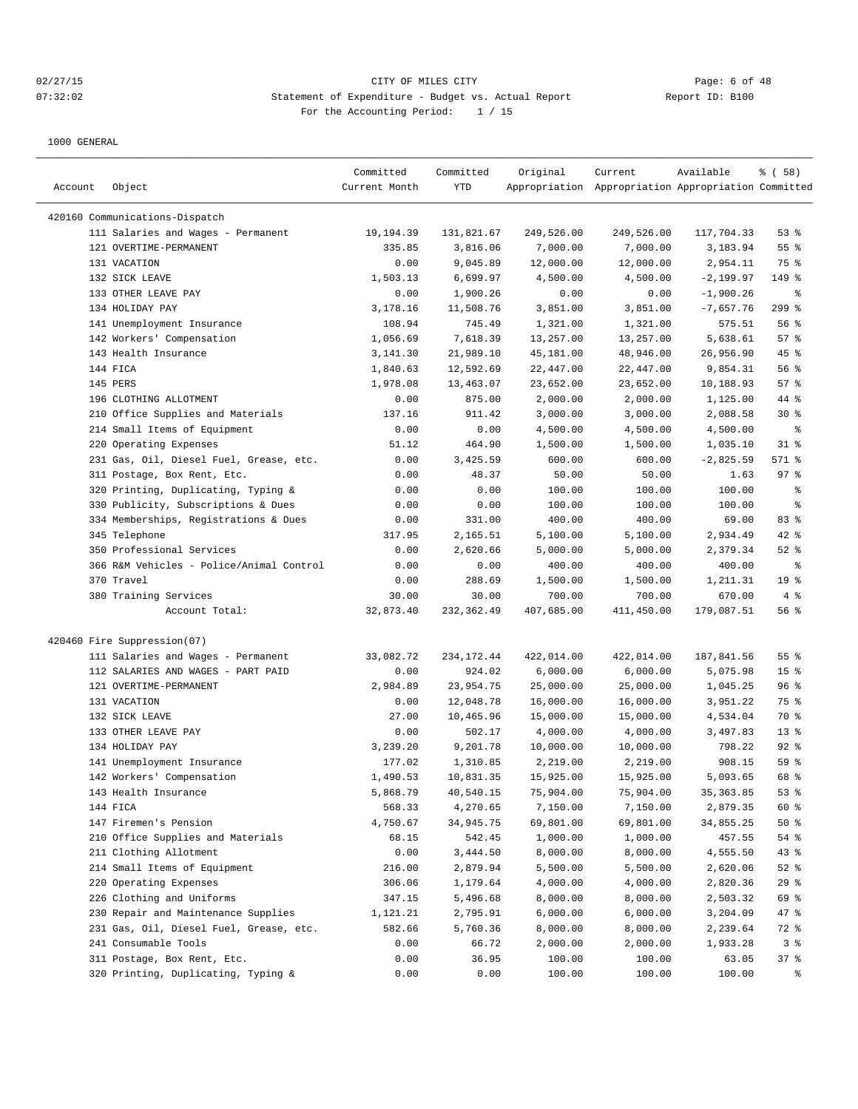# 02/27/15 CITY OF MILES CITY Page: 6 of 48 07:32:02 Statement of Expenditure - Budget vs. Actual Report Changer Report ID: B100 For the Accounting Period: 1 / 15

| Account | Object                                   | Committed<br>Current Month | Committed<br>YTD    | Original              | Current<br>Appropriation Appropriation Appropriation Committed | Available            | % ( 58 )        |
|---------|------------------------------------------|----------------------------|---------------------|-----------------------|----------------------------------------------------------------|----------------------|-----------------|
|         |                                          |                            |                     |                       |                                                                |                      |                 |
|         | 420160 Communications-Dispatch           |                            |                     |                       |                                                                |                      |                 |
|         | 111 Salaries and Wages - Permanent       | 19,194.39                  | 131,821.67          | 249,526.00            | 249,526.00                                                     | 117,704.33           | 53%             |
|         | 121 OVERTIME-PERMANENT                   | 335.85                     | 3,816.06            | 7,000.00              | 7,000.00                                                       | 3,183.94             | 55%             |
|         | 131 VACATION                             | 0.00                       | 9,045.89            | 12,000.00             | 12,000.00                                                      | 2,954.11             | 75 %            |
|         | 132 SICK LEAVE                           | 1,503.13                   | 6,699.97            | 4,500.00              | 4,500.00                                                       | $-2, 199.97$         | 149 %           |
|         | 133 OTHER LEAVE PAY                      | 0.00                       | 1,900.26            | 0.00                  | 0.00                                                           | $-1,900.26$          | ႜ               |
|         | 134 HOLIDAY PAY                          | 3,178.16                   | 11,508.76           | 3,851.00              | 3,851.00                                                       | $-7,657.76$          | $299$ %         |
|         | 141 Unemployment Insurance               | 108.94                     | 745.49              | 1,321.00              | 1,321.00                                                       | 575.51               | 56%             |
|         | 142 Workers' Compensation                | 1,056.69                   | 7,618.39            | 13,257.00             | 13,257.00                                                      | 5,638.61             | 57%             |
|         | 143 Health Insurance                     | 3, 141.30                  | 21,989.10           | 45,181.00             | 48,946.00                                                      | 26,956.90            | 45 %            |
|         | 144 FICA<br>145 PERS                     | 1,840.63                   | 12,592.69           | 22,447.00             | 22,447.00                                                      | 9,854.31             | 56%<br>57%      |
|         | 196 CLOTHING ALLOTMENT                   | 1,978.08<br>0.00           | 13,463.07<br>875.00 | 23,652.00<br>2,000.00 | 23,652.00<br>2,000.00                                          | 10,188.93            | 44 %            |
|         | 210 Office Supplies and Materials        | 137.16                     | 911.42              | 3,000.00              | 3,000.00                                                       | 1,125.00             | $30*$           |
|         | 214 Small Items of Equipment             | 0.00                       | 0.00                | 4,500.00              | 4,500.00                                                       | 2,088.58<br>4,500.00 | နွ              |
|         | 220 Operating Expenses                   | 51.12                      | 464.90              | 1,500.00              | 1,500.00                                                       | 1,035.10             | $31$ %          |
|         | 231 Gas, Oil, Diesel Fuel, Grease, etc.  | 0.00                       | 3,425.59            | 600.00                | 600.00                                                         | $-2,825.59$          | 571 %           |
|         | 311 Postage, Box Rent, Etc.              | 0.00                       | 48.37               | 50.00                 | 50.00                                                          | 1.63                 | 97%             |
|         | 320 Printing, Duplicating, Typing &      | 0.00                       | 0.00                | 100.00                | 100.00                                                         | 100.00               | နွ              |
|         | 330 Publicity, Subscriptions & Dues      | 0.00                       | 0.00                | 100.00                | 100.00                                                         | 100.00               | နွ              |
|         | 334 Memberships, Registrations & Dues    | 0.00                       | 331.00              | 400.00                | 400.00                                                         | 69.00                | 83%             |
|         | 345 Telephone                            | 317.95                     | 2,165.51            | 5,100.00              | 5,100.00                                                       | 2,934.49             | $42$ %          |
|         | 350 Professional Services                | 0.00                       | 2,620.66            | 5,000.00              | 5,000.00                                                       | 2,379.34             | $52$ $%$        |
|         | 366 R&M Vehicles - Police/Animal Control | 0.00                       | 0.00                | 400.00                | 400.00                                                         | 400.00               | နွ              |
|         | 370 Travel                               | 0.00                       | 288.69              | 1,500.00              | 1,500.00                                                       | 1,211.31             | 19 <sup>°</sup> |
|         | 380 Training Services                    | 30.00                      | 30.00               | 700.00                | 700.00                                                         | 670.00               | 4%              |
|         | Account Total:                           | 32,873.40                  | 232,362.49          | 407,685.00            | 411,450.00                                                     | 179,087.51           | 56%             |
|         | 420460 Fire Suppression(07)              |                            |                     |                       |                                                                |                      |                 |
|         | 111 Salaries and Wages - Permanent       | 33,082.72                  | 234,172.44          | 422,014.00            | 422,014.00                                                     | 187,841.56           | 55%             |
|         | 112 SALARIES AND WAGES - PART PAID       | 0.00                       | 924.02              | 6,000.00              | 6,000.00                                                       | 5,075.98             | 15 <sup>°</sup> |
|         | 121 OVERTIME-PERMANENT                   | 2,984.89                   | 23,954.75           | 25,000.00             | 25,000.00                                                      | 1,045.25             | 96%             |
|         | 131 VACATION                             | 0.00                       | 12,048.78           | 16,000.00             | 16,000.00                                                      | 3,951.22             | 75 %            |
|         | 132 SICK LEAVE                           | 27.00                      | 10,465.96           | 15,000.00             | 15,000.00                                                      | 4,534.04             | 70 %            |
|         | 133 OTHER LEAVE PAY                      | 0.00                       | 502.17              | 4,000.00              | 4,000.00                                                       | 3,497.83             | $13*$           |
|         | 134 HOLIDAY PAY                          | 3,239.20                   | 9,201.78            | 10,000.00             | 10,000.00                                                      | 798.22               | $92$ %          |
|         | 141 Unemployment Insurance               | 177.02                     | 1,310.85            | 2,219.00              | 2,219.00                                                       | 908.15               | 59 %            |
|         | 142 Workers' Compensation                | 1,490.53                   | 10,831.35           | 15,925.00             | 15,925.00                                                      | 5,093.65             | 68 %            |
|         | 143 Health Insurance                     | 5,868.79                   | 40,540.15           | 75,904.00             | 75,904.00                                                      | 35, 363.85           | 53 %            |
|         | 144 FICA                                 | 568.33                     | 4,270.65            | 7,150.00              | 7,150.00                                                       | 2,879.35             | 60 %            |
|         | 147 Firemen's Pension                    | 4,750.67                   | 34,945.75           | 69,801.00             | 69,801.00                                                      | 34,855.25            | $50*$           |
|         | 210 Office Supplies and Materials        | 68.15                      | 542.45              | 1,000.00              | 1,000.00                                                       | 457.55               | $54$ %          |
|         | 211 Clothing Allotment                   | 0.00                       | 3,444.50            | 8,000.00              | 8,000.00                                                       | 4,555.50             | 43 %            |
|         | 214 Small Items of Equipment             | 216.00                     | 2,879.94            | 5,500.00              | 5,500.00                                                       | 2,620.06             | $52$ $%$        |
|         | 220 Operating Expenses                   | 306.06                     | 1,179.64            | 4,000.00              | 4,000.00                                                       | 2,820.36             | 29%             |
|         | 226 Clothing and Uniforms                | 347.15                     | 5,496.68            | 8,000.00              | 8,000.00                                                       | 2,503.32             | 69 %            |
|         | 230 Repair and Maintenance Supplies      | 1,121.21                   | 2,795.91            | 6,000.00              | 6,000.00                                                       | 3,204.09             | $47$ %          |
|         | 231 Gas, Oil, Diesel Fuel, Grease, etc.  | 582.66                     | 5,760.36            | 8,000.00              | 8,000.00                                                       | 2,239.64             | 72 %            |
|         | 241 Consumable Tools                     | 0.00                       | 66.72               | 2,000.00              | 2,000.00                                                       | 1,933.28             | 3%              |
|         | 311 Postage, Box Rent, Etc.              | 0.00                       | 36.95               | 100.00                | 100.00                                                         | 63.05                | 37%             |
|         | 320 Printing, Duplicating, Typing &      | 0.00                       | 0.00                | 100.00                | 100.00                                                         | 100.00               | ွေ              |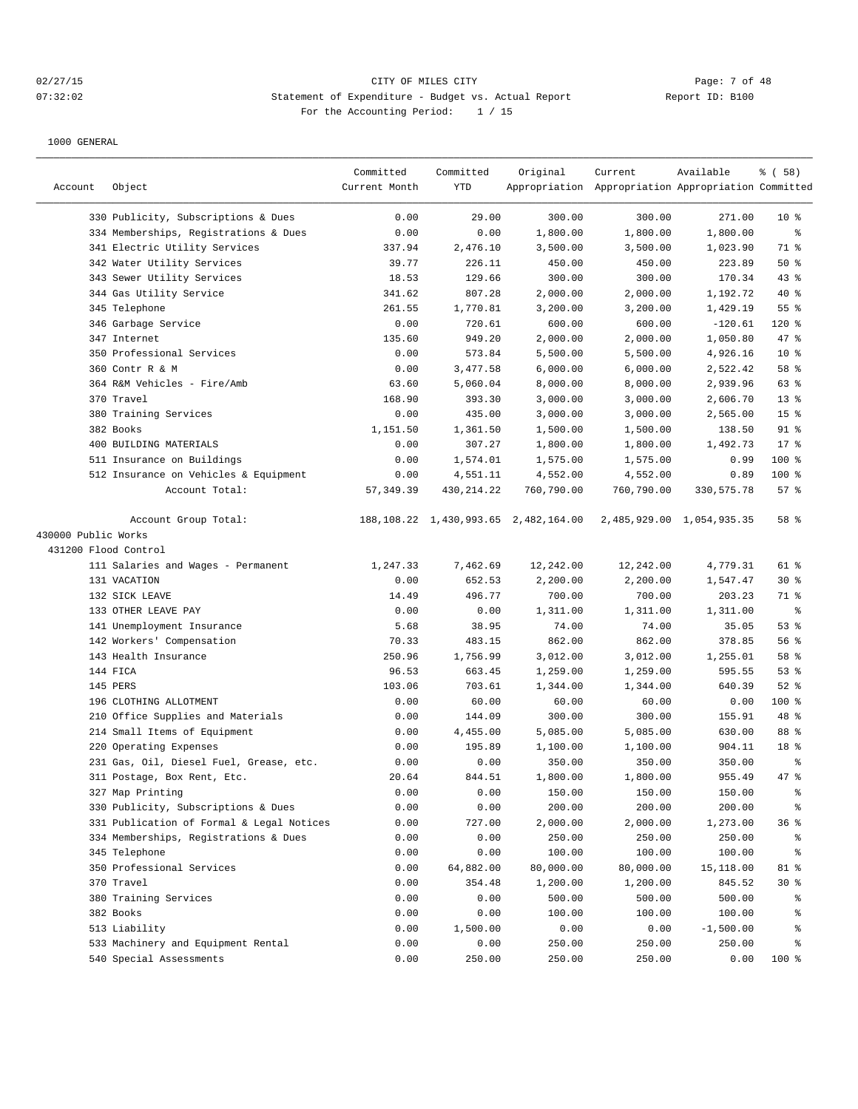### 02/27/15 **Page: 7 of 48** CITY OF MILES CITY CONTROL PAGE: 7 of 48 07:32:02 Statement of Expenditure - Budget vs. Actual Report Changer Report ID: B100 For the Accounting Period: 1 / 15

|                     |                                           | Committed     | Committed   | Original                             | Current                                             | Available                 | % ( 58 )        |
|---------------------|-------------------------------------------|---------------|-------------|--------------------------------------|-----------------------------------------------------|---------------------------|-----------------|
| Account             | Object                                    | Current Month | <b>YTD</b>  |                                      | Appropriation Appropriation Appropriation Committed |                           |                 |
|                     | 330 Publicity, Subscriptions & Dues       | 0.00          | 29.00       | 300.00                               | 300.00                                              | 271.00                    | 10 <sup>8</sup> |
|                     | 334 Memberships, Registrations & Dues     | 0.00          | 0.00        | 1,800.00                             | 1,800.00                                            | 1,800.00                  | $\epsilon$      |
|                     | 341 Electric Utility Services             | 337.94        | 2,476.10    | 3,500.00                             | 3,500.00                                            | 1,023.90                  | 71 %            |
|                     | 342 Water Utility Services                | 39.77         | 226.11      | 450.00                               | 450.00                                              | 223.89                    | 50%             |
|                     | 343 Sewer Utility Services                | 18.53         | 129.66      | 300.00                               | 300.00                                              | 170.34                    | 43%             |
|                     | 344 Gas Utility Service                   | 341.62        | 807.28      | 2,000.00                             | 2,000.00                                            | 1,192.72                  | $40*$           |
|                     | 345 Telephone                             | 261.55        | 1,770.81    | 3,200.00                             | 3,200.00                                            | 1,429.19                  | 55%             |
|                     | 346 Garbage Service                       | 0.00          | 720.61      | 600.00                               | 600.00                                              | $-120.61$                 | $120$ %         |
|                     | 347 Internet                              | 135.60        | 949.20      | 2,000.00                             | 2,000.00                                            | 1,050.80                  | 47 %            |
|                     | 350 Professional Services                 | 0.00          | 573.84      | 5,500.00                             | 5,500.00                                            | 4,926.16                  | 10 <sup>8</sup> |
|                     | 360 Contr R & M                           | 0.00          | 3,477.58    | 6,000.00                             | 6,000.00                                            | 2,522.42                  | 58 %            |
|                     | 364 R&M Vehicles - Fire/Amb               | 63.60         | 5,060.04    | 8,000.00                             | 8,000.00                                            | 2,939.96                  | 63 %            |
|                     | 370 Travel                                | 168.90        | 393.30      | 3,000.00                             | 3,000.00                                            | 2,606.70                  | 13 <sup>8</sup> |
|                     | 380 Training Services                     | 0.00          | 435.00      | 3,000.00                             | 3,000.00                                            | 2,565.00                  | 15 <sup>8</sup> |
|                     | 382 Books                                 | 1,151.50      | 1,361.50    | 1,500.00                             | 1,500.00                                            | 138.50                    | $91$ %          |
|                     | 400 BUILDING MATERIALS                    | 0.00          | 307.27      | 1,800.00                             | 1,800.00                                            | 1,492.73                  | 17.8            |
|                     | 511 Insurance on Buildings                | 0.00          | 1,574.01    | 1,575.00                             | 1,575.00                                            | 0.99                      | 100 %           |
|                     | 512 Insurance on Vehicles & Equipment     | 0.00          | 4,551.11    | 4,552.00                             | 4,552.00                                            | 0.89                      | 100 %           |
|                     | Account Total:                            | 57, 349.39    | 430, 214.22 | 760,790.00                           | 760,790.00                                          | 330,575.78                | 57%             |
|                     | Account Group Total:                      |               |             | 188,108.22 1,430,993.65 2,482,164.00 |                                                     | 2,485,929.00 1,054,935.35 | 58 %            |
| 430000 Public Works |                                           |               |             |                                      |                                                     |                           |                 |
|                     | 431200 Flood Control                      |               |             |                                      |                                                     |                           |                 |
|                     | 111 Salaries and Wages - Permanent        | 1,247.33      | 7,462.69    | 12,242.00                            | 12,242.00                                           | 4,779.31                  | $61$ %          |
|                     | 131 VACATION                              | 0.00          | 652.53      | 2,200.00                             | 2,200.00                                            | 1,547.47                  | $30*$           |
|                     | 132 SICK LEAVE                            | 14.49         | 496.77      | 700.00                               | 700.00                                              | 203.23                    | 71 %            |
|                     | 133 OTHER LEAVE PAY                       | 0.00          | 0.00        | 1,311.00                             | 1,311.00                                            | 1,311.00                  | နွ              |
|                     | 141 Unemployment Insurance                | 5.68          | 38.95       | 74.00                                | 74.00                                               | 35.05                     | 53%             |
|                     | 142 Workers' Compensation                 | 70.33         | 483.15      | 862.00                               | 862.00                                              | 378.85                    | 56%             |
|                     | 143 Health Insurance                      | 250.96        | 1,756.99    | 3,012.00                             | 3,012.00                                            | 1,255.01                  | 58 %            |
|                     | 144 FICA                                  | 96.53         | 663.45      | 1,259.00                             | 1,259.00                                            | 595.55                    | 53%             |
|                     | 145 PERS                                  | 103.06        | 703.61      | 1,344.00                             | 1,344.00                                            | 640.39                    | $52$ $%$        |
|                     | 196 CLOTHING ALLOTMENT                    | 0.00          | 60.00       | 60.00                                | 60.00                                               | 0.00                      | $100$ %         |
|                     | 210 Office Supplies and Materials         | 0.00          | 144.09      | 300.00                               | 300.00                                              | 155.91                    | 48 %            |
|                     | 214 Small Items of Equipment              | 0.00          | 4,455.00    | 5,085.00                             | 5,085.00                                            | 630.00                    | 88 %            |
|                     | 220 Operating Expenses                    | 0.00          | 195.89      | 1,100.00                             | 1,100.00                                            | 904.11                    | 18 %            |
|                     | 231 Gas, Oil, Diesel Fuel, Grease, etc.   | 0.00          | 0.00        | 350.00                               | 350.00                                              | 350.00                    | ి               |
|                     | 311 Postage, Box Rent, Etc.               | 20.64         | 844.51      | 1,800.00                             | 1,800.00                                            | 955.49                    | 47.8            |
|                     | 327 Map Printing                          | 0.00          | 0.00        | 150.00                               | 150.00                                              | 150.00                    | $\frac{6}{3}$   |
|                     | 330 Publicity, Subscriptions & Dues       | 0.00          | 0.00        | 200.00                               | 200.00                                              | 200.00                    | န္              |
|                     | 331 Publication of Formal & Legal Notices | 0.00          | 727.00      | 2,000.00                             | 2,000.00                                            | 1,273.00                  | 36%             |
|                     | 334 Memberships, Registrations & Dues     | 0.00          | 0.00        | 250.00                               | 250.00                                              | 250.00                    | ွေ              |
|                     | 345 Telephone                             | 0.00          | 0.00        | 100.00                               | 100.00                                              | 100.00                    | ိင              |
|                     | 350 Professional Services                 | 0.00          | 64,882.00   | 80,000.00                            | 80,000.00                                           | 15,118.00                 | 81 %            |
|                     | 370 Travel                                | 0.00          | 354.48      | 1,200.00                             | 1,200.00                                            | 845.52                    | $30*$           |
|                     | 380 Training Services                     | 0.00          | 0.00        | 500.00                               | 500.00                                              | 500.00                    | ွေ              |
|                     | 382 Books                                 | 0.00          | 0.00        | 100.00                               | 100.00                                              | 100.00                    | ႜွ              |
|                     | 513 Liability                             | 0.00          | 1,500.00    | 0.00                                 | 0.00                                                | $-1,500.00$               | ႜွ              |
|                     | 533 Machinery and Equipment Rental        | 0.00          | 0.00        | 250.00                               | 250.00                                              | 250.00                    | ి               |
|                     | 540 Special Assessments                   | 0.00          | 250.00      | 250.00                               | 250.00                                              | 0.00                      | 100 %           |
|                     |                                           |               |             |                                      |                                                     |                           |                 |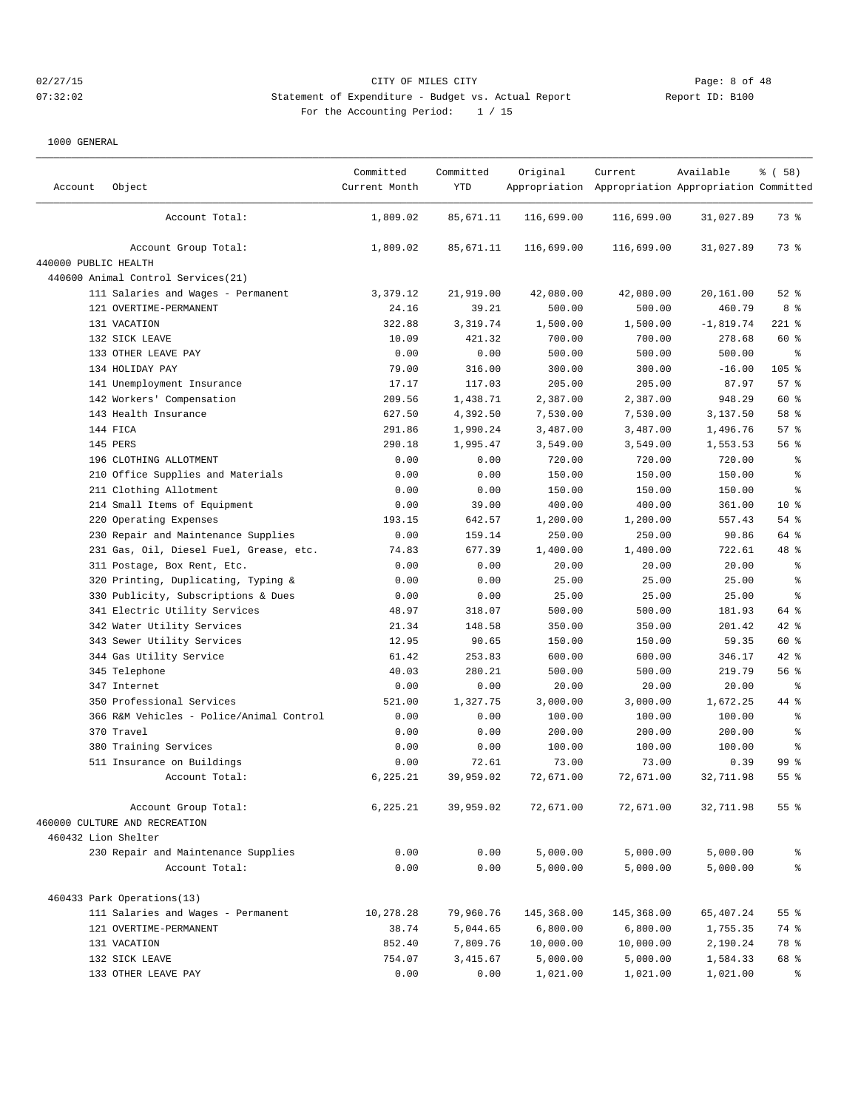# 02/27/15 CITY OF MILES CITY Page: 8 of 48 07:32:02 Statement of Expenditure - Budget vs. Actual Report Changer Report ID: B100 For the Accounting Period: 1 / 15

| Account              | Object                                   | Committed<br>Current Month | Committed<br><b>YTD</b> | Original   | Current<br>Appropriation Appropriation Appropriation Committed | Available   | % ( 58 )        |
|----------------------|------------------------------------------|----------------------------|-------------------------|------------|----------------------------------------------------------------|-------------|-----------------|
|                      | Account Total:                           | 1,809.02                   | 85,671.11               | 116,699.00 | 116,699.00                                                     | 31,027.89   | 73 %            |
|                      | Account Group Total:                     | 1,809.02                   | 85,671.11               | 116,699.00 | 116,699.00                                                     | 31,027.89   | $73$ $%$        |
| 440000 PUBLIC HEALTH |                                          |                            |                         |            |                                                                |             |                 |
|                      | 440600 Animal Control Services (21)      |                            |                         |            |                                                                |             |                 |
|                      | 111 Salaries and Wages - Permanent       | 3,379.12                   | 21,919.00               | 42,080.00  | 42,080.00                                                      | 20,161.00   | $52$ $%$        |
|                      | 121 OVERTIME-PERMANENT                   | 24.16                      | 39.21                   | 500.00     | 500.00                                                         | 460.79      | 8%              |
|                      | 131 VACATION                             | 322.88                     | 3,319.74                | 1,500.00   | 1,500.00                                                       | $-1,819.74$ | $221$ %         |
|                      | 132 SICK LEAVE                           | 10.09                      | 421.32                  | 700.00     | 700.00                                                         | 278.68      | 60 %            |
|                      | 133 OTHER LEAVE PAY                      | 0.00                       | 0.00                    | 500.00     | 500.00                                                         | 500.00      | $\epsilon$      |
|                      | 134 HOLIDAY PAY                          | 79.00                      | 316.00                  | 300.00     | 300.00                                                         | $-16.00$    | 105 %           |
|                      | 141 Unemployment Insurance               | 17.17                      | 117.03                  | 205.00     | 205.00                                                         | 87.97       | 57%             |
|                      | 142 Workers' Compensation                | 209.56                     | 1,438.71                | 2,387.00   | 2,387.00                                                       | 948.29      | 60 %            |
|                      | 143 Health Insurance                     | 627.50                     | 4,392.50                | 7,530.00   | 7,530.00                                                       | 3,137.50    | 58 %            |
|                      | 144 FICA                                 | 291.86                     | 1,990.24                | 3,487.00   | 3,487.00                                                       | 1,496.76    | 57%             |
|                      | 145 PERS                                 | 290.18                     | 1,995.47                | 3,549.00   | 3,549.00                                                       | 1,553.53    | 56%             |
|                      | 196 CLOTHING ALLOTMENT                   | 0.00                       | 0.00                    | 720.00     | 720.00                                                         | 720.00      | $\epsilon$      |
|                      | 210 Office Supplies and Materials        | 0.00                       | 0.00                    | 150.00     | 150.00                                                         | 150.00      | နွ              |
|                      | 211 Clothing Allotment                   | 0.00                       | 0.00                    | 150.00     | 150.00                                                         | 150.00      | $\epsilon$      |
|                      | 214 Small Items of Equipment             | 0.00                       | 39.00                   | 400.00     | 400.00                                                         | 361.00      | $10*$           |
|                      | 220 Operating Expenses                   | 193.15                     | 642.57                  | 1,200.00   | 1,200.00                                                       | 557.43      | $54$ %          |
|                      | 230 Repair and Maintenance Supplies      | 0.00                       | 159.14                  | 250.00     | 250.00                                                         | 90.86       | 64 %            |
|                      | 231 Gas, Oil, Diesel Fuel, Grease, etc.  | 74.83                      | 677.39                  | 1,400.00   | 1,400.00                                                       | 722.61      | 48 %            |
|                      | 311 Postage, Box Rent, Etc.              | 0.00                       | 0.00                    | 20.00      | 20.00                                                          | 20.00       | $\epsilon$      |
|                      | 320 Printing, Duplicating, Typing &      | 0.00                       | 0.00                    | 25.00      | 25.00                                                          | 25.00       | $\,$ $\,$ $\,$  |
|                      | 330 Publicity, Subscriptions & Dues      | 0.00                       | 0.00                    | 25.00      | 25.00                                                          | 25.00       | နွ              |
|                      | 341 Electric Utility Services            | 48.97                      | 318.07                  | 500.00     | 500.00                                                         | 181.93      | 64 %            |
|                      | 342 Water Utility Services               | 21.34                      | 148.58                  | 350.00     | 350.00                                                         | 201.42      | $42$ %          |
|                      | 343 Sewer Utility Services               | 12.95                      | 90.65                   | 150.00     | 150.00                                                         | 59.35       | 60 %            |
|                      | 344 Gas Utility Service                  | 61.42                      | 253.83                  | 600.00     | 600.00                                                         | 346.17      | 42 %            |
|                      | 345 Telephone                            | 40.03                      | 280.21                  | 500.00     | 500.00                                                         | 219.79      | 56%             |
|                      | 347 Internet                             | 0.00                       | 0.00                    | 20.00      | 20.00                                                          | 20.00       | ႜ               |
|                      | 350 Professional Services                | 521.00                     | 1,327.75                | 3,000.00   | 3,000.00                                                       | 1,672.25    | 44 %            |
|                      | 366 R&M Vehicles - Police/Animal Control | 0.00                       | 0.00                    | 100.00     | 100.00                                                         | 100.00      | $\epsilon$      |
|                      | 370 Travel                               | 0.00                       | 0.00                    | 200.00     | 200.00                                                         | 200.00      | $\,$ $\,$ $\,$  |
|                      | 380 Training Services                    | 0.00                       | 0.00                    | 100.00     | 100.00                                                         | 100.00      | နွ              |
|                      | 511 Insurance on Buildings               | 0.00                       | 72.61                   | 73.00      | 73.00                                                          | 0.39        | 99 %            |
|                      | Account Total:                           | 6,225.21                   | 39,959.02               | 72,671.00  | 72,671.00                                                      | 32,711.98   | 55 <sup>8</sup> |
|                      | Account Group Total:                     | 6,225.21                   | 39,959.02               | 72,671.00  | 72,671.00                                                      | 32,711.98   | 55 <sup>8</sup> |
|                      | 460000 CULTURE AND RECREATION            |                            |                         |            |                                                                |             |                 |
|                      | 460432 Lion Shelter                      |                            |                         |            |                                                                |             |                 |
|                      | 230 Repair and Maintenance Supplies      | 0.00                       | 0.00                    | 5,000.00   | 5,000.00                                                       | 5,000.00    | နွ              |
|                      | Account Total:                           | 0.00                       | 0.00                    | 5,000.00   | 5,000.00                                                       | 5,000.00    | ್ಠಿ             |
|                      | 460433 Park Operations(13)               |                            |                         |            |                                                                |             |                 |
|                      | 111 Salaries and Wages - Permanent       | 10,278.28                  | 79,960.76               | 145,368.00 | 145,368.00                                                     | 65,407.24   | 55 <sup>8</sup> |
|                      | 121 OVERTIME-PERMANENT                   | 38.74                      | 5,044.65                | 6,800.00   | 6,800.00                                                       | 1,755.35    | 74 %            |
|                      | 131 VACATION                             | 852.40                     | 7,809.76                | 10,000.00  | 10,000.00                                                      | 2,190.24    | 78 %            |
|                      | 132 SICK LEAVE                           | 754.07                     | 3,415.67                | 5,000.00   | 5,000.00                                                       | 1,584.33    | 68 %            |
|                      | 133 OTHER LEAVE PAY                      | 0.00                       | 0.00                    | 1,021.00   | 1,021.00                                                       | 1,021.00    | ిం              |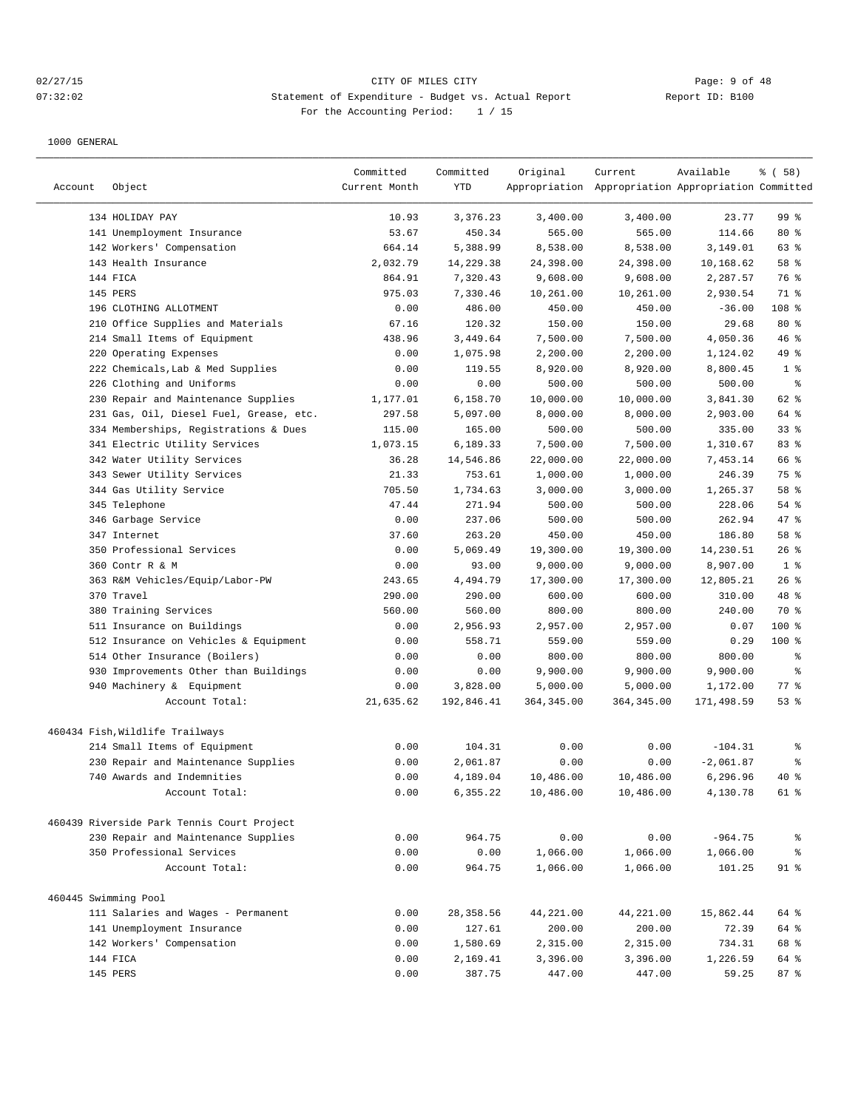# 02/27/15 **Page: 9 of 48 CITY OF MILES CITY CITY Page: 9 of 48** 07:32:02 Statement of Expenditure - Budget vs. Actual Report Report ID: B100 For the Accounting Period: 1 / 15

|                      |                                            | Committed     | Committed  | Original    | Current                                             | Available   | 8 ( 58)         |
|----------------------|--------------------------------------------|---------------|------------|-------------|-----------------------------------------------------|-------------|-----------------|
| Account              | Object                                     | Current Month | YTD        |             | Appropriation Appropriation Appropriation Committed |             |                 |
|                      | 134 HOLIDAY PAY                            | 10.93         | 3,376.23   | 3,400.00    | 3,400.00                                            | 23.77       | 99 %            |
|                      | 141 Unemployment Insurance                 | 53.67         | 450.34     | 565.00      | 565.00                                              | 114.66      | 80 %            |
|                      | 142 Workers' Compensation                  | 664.14        | 5,388.99   | 8,538.00    | 8,538.00                                            | 3,149.01    | 63 %            |
|                      | 143 Health Insurance                       | 2,032.79      | 14,229.38  | 24,398.00   | 24,398.00                                           | 10,168.62   | 58 %            |
|                      | 144 FICA                                   | 864.91        | 7,320.43   | 9,608.00    | 9,608.00                                            | 2,287.57    | 76 %            |
|                      | 145 PERS                                   | 975.03        | 7,330.46   | 10,261.00   | 10,261.00                                           | 2,930.54    | 71 %            |
|                      | 196 CLOTHING ALLOTMENT                     | 0.00          | 486.00     | 450.00      | 450.00                                              | $-36.00$    | 108 %           |
|                      | 210 Office Supplies and Materials          | 67.16         | 120.32     | 150.00      | 150.00                                              | 29.68       | $80*$           |
|                      | 214 Small Items of Equipment               | 438.96        | 3,449.64   | 7,500.00    | 7,500.00                                            | 4,050.36    | 46%             |
| 220                  | Operating Expenses                         | 0.00          | 1,075.98   | 2,200.00    | 2,200.00                                            | 1,124.02    | 49 %            |
|                      | 222 Chemicals, Lab & Med Supplies          | 0.00          | 119.55     | 8,920.00    | 8,920.00                                            | 8,800.45    | 1 <sup>8</sup>  |
|                      | 226 Clothing and Uniforms                  | 0.00          | 0.00       | 500.00      | 500.00                                              | 500.00      | $\epsilon$      |
|                      | 230 Repair and Maintenance Supplies        | 1,177.01      | 6,158.70   | 10,000.00   | 10,000.00                                           | 3,841.30    | 62 %            |
|                      | 231 Gas, Oil, Diesel Fuel, Grease, etc.    | 297.58        | 5,097.00   | 8,000.00    | 8,000.00                                            | 2,903.00    | 64 %            |
|                      | 334 Memberships, Registrations & Dues      | 115.00        | 165.00     | 500.00      | 500.00                                              | 335.00      | 33 <sup>8</sup> |
|                      | 341 Electric Utility Services              | 1,073.15      | 6,189.33   | 7,500.00    | 7,500.00                                            | 1,310.67    | 83 %            |
|                      | 342 Water Utility Services                 | 36.28         | 14,546.86  | 22,000.00   | 22,000.00                                           | 7,453.14    | 66 %            |
|                      | 343 Sewer Utility Services                 | 21.33         | 753.61     | 1,000.00    | 1,000.00                                            | 246.39      | 75 %            |
|                      | 344 Gas Utility Service                    | 705.50        | 1,734.63   | 3,000.00    | 3,000.00                                            | 1,265.37    | 58 %            |
|                      | 345 Telephone                              | 47.44         | 271.94     | 500.00      | 500.00                                              | 228.06      | 54 %            |
|                      | 346 Garbage Service                        | 0.00          | 237.06     | 500.00      | 500.00                                              | 262.94      | 47 %            |
|                      | 347 Internet                               | 37.60         | 263.20     | 450.00      | 450.00                                              | 186.80      | 58 %            |
|                      | 350 Professional Services                  | 0.00          | 5,069.49   | 19,300.00   | 19,300.00                                           | 14,230.51   | $26$ %          |
|                      | 360 Contr R & M                            | 0.00          | 93.00      | 9,000.00    | 9,000.00                                            | 8,907.00    | 1 <sup>°</sup>  |
|                      | 363 R&M Vehicles/Equip/Labor-PW            | 243.65        | 4,494.79   | 17,300.00   | 17,300.00                                           | 12,805.21   | 26%             |
|                      | 370 Travel                                 | 290.00        | 290.00     | 600.00      | 600.00                                              | 310.00      | 48 %            |
|                      | 380 Training Services                      | 560.00        | 560.00     | 800.00      | 800.00                                              | 240.00      | 70 %            |
|                      | 511 Insurance on Buildings                 | 0.00          | 2,956.93   | 2,957.00    | 2,957.00                                            | 0.07        | $100$ %         |
|                      | 512 Insurance on Vehicles & Equipment      | 0.00          | 558.71     | 559.00      | 559.00                                              | 0.29        | $100$ %         |
|                      | 514 Other Insurance (Boilers)              | 0.00          | 0.00       | 800.00      | 800.00                                              | 800.00      | န့              |
|                      | 930 Improvements Other than Buildings      | 0.00          | 0.00       | 9,900.00    | 9,900.00                                            | 9,900.00    | ႜ               |
|                      | 940 Machinery & Equipment                  | 0.00          | 3,828.00   | 5,000.00    | 5,000.00                                            | 1,172.00    | $77$ $%$        |
|                      | Account Total:                             | 21,635.62     | 192,846.41 | 364, 345.00 | 364, 345.00                                         | 171,498.59  | 53%             |
|                      | 460434 Fish, Wildlife Trailways            |               |            |             |                                                     |             |                 |
|                      | 214 Small Items of Equipment               | 0.00          | 104.31     | 0.00        | 0.00                                                | $-104.31$   | ႜ               |
|                      | 230 Repair and Maintenance Supplies        | 0.00          | 2,061.87   | 0.00        | 0.00                                                | $-2,061.87$ | န္              |
|                      | 740 Awards and Indemnities                 | 0.00          | 4,189.04   | 10,486.00   | 10,486.00                                           | 6,296.96    | $40*$           |
|                      | Account Total:                             | 0.00          | 6,355.22   | 10,486.00   | 10,486.00                                           | 4,130.78    | 61 %            |
|                      |                                            |               |            |             |                                                     |             |                 |
|                      | 460439 Riverside Park Tennis Court Project |               |            |             |                                                     |             |                 |
|                      | 230 Repair and Maintenance Supplies        | 0.00          | 964.75     | 0.00        | 0.00                                                | $-964.75$   | န္              |
|                      | 350 Professional Services                  | 0.00          | 0.00       | 1,066.00    | 1,066.00                                            | 1,066.00    | ႜ               |
|                      | Account Total:                             | 0.00          | 964.75     | 1,066.00    | 1,066.00                                            | 101.25      | $91$ %          |
| 460445 Swimming Pool |                                            |               |            |             |                                                     |             |                 |
|                      | 111 Salaries and Wages - Permanent         | 0.00          | 28,358.56  | 44,221.00   | 44,221.00                                           | 15,862.44   | 64 %            |
|                      | 141 Unemployment Insurance                 | 0.00          | 127.61     | 200.00      | 200.00                                              | 72.39       | 64 %            |
|                      | 142 Workers' Compensation                  | 0.00          | 1,580.69   | 2,315.00    | 2,315.00                                            | 734.31      | 68 %            |
|                      | 144 FICA                                   | 0.00          | 2,169.41   | 3,396.00    | 3,396.00                                            | 1,226.59    | 64 %            |
|                      | 145 PERS                                   | 0.00          | 387.75     | 447.00      | 447.00                                              | 59.25       | 87%             |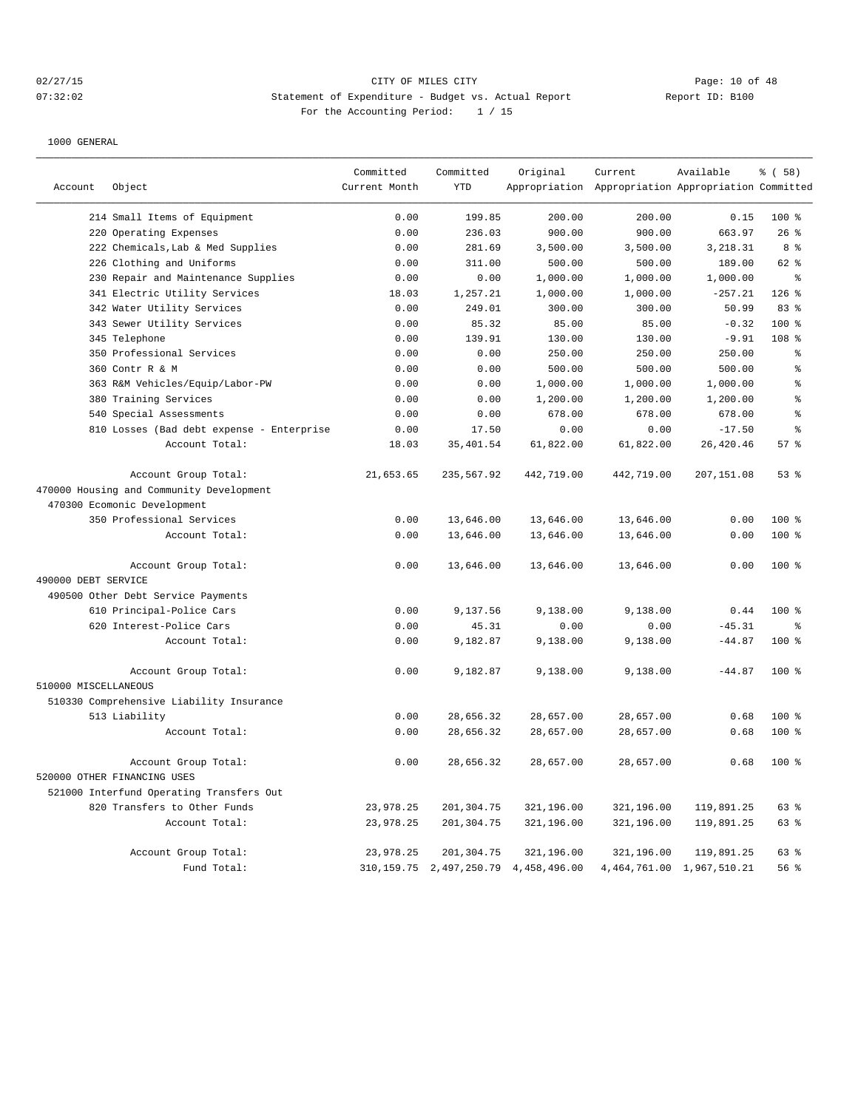# 02/27/15 **Page: 10 of 48** CITY OF MILES CITY **Page: 10 of 48** 07:32:02 Statement of Expenditure - Budget vs. Actual Report Changer Report ID: B100 For the Accounting Period: 1 / 15

|                      |                                           | Committed     | Committed  | Original                                  | Current                                             | Available                     | % (58)           |
|----------------------|-------------------------------------------|---------------|------------|-------------------------------------------|-----------------------------------------------------|-------------------------------|------------------|
| Account              | Object                                    | Current Month | <b>YTD</b> |                                           | Appropriation Appropriation Appropriation Committed |                               |                  |
|                      | 214 Small Items of Equipment              | 0.00          | 199.85     | 200.00                                    | 200.00                                              | 0.15                          | 100 %            |
|                      | 220 Operating Expenses                    | 0.00          | 236.03     | 900.00                                    | 900.00                                              | 663.97                        | $26$ %           |
|                      | 222 Chemicals, Lab & Med Supplies         | 0.00          | 281.69     | 3,500.00                                  | 3,500.00                                            | 3,218.31                      | 8%               |
|                      | 226 Clothing and Uniforms                 | 0.00          | 311.00     | 500.00                                    | 500.00                                              | 189.00                        | 62 %             |
|                      | 230 Repair and Maintenance Supplies       | 0.00          | 0.00       | 1,000.00                                  | 1,000.00                                            | 1,000.00                      | နွ               |
|                      | 341 Electric Utility Services             | 18.03         | 1,257.21   | 1,000.00                                  | 1,000.00                                            | $-257.21$                     | 126%             |
|                      | 342 Water Utility Services                | 0.00          | 249.01     | 300.00                                    | 300.00                                              | 50.99                         | 83 %             |
|                      | 343 Sewer Utility Services                | 0.00          | 85.32      | 85.00                                     | 85.00                                               | $-0.32$                       | 100%             |
|                      | 345 Telephone                             | 0.00          | 139.91     | 130.00                                    | 130.00                                              | $-9.91$                       | 108 %            |
|                      | 350 Professional Services                 | 0.00          | 0.00       | 250.00                                    | 250.00                                              | 250.00                        | နွ               |
|                      | 360 Contr R & M                           | 0.00          | 0.00       | 500.00                                    | 500.00                                              | 500.00                        | န္               |
|                      | 363 R&M Vehicles/Equip/Labor-PW           | 0.00          | 0.00       | 1,000.00                                  | 1,000.00                                            | 1,000.00                      | န္               |
|                      | 380 Training Services                     | 0.00          | 0.00       | 1,200.00                                  | 1,200.00                                            | 1,200.00                      | န္               |
|                      | 540 Special Assessments                   | 0.00          | 0.00       | 678.00                                    | 678.00                                              | 678.00                        | š                |
|                      | 810 Losses (Bad debt expense - Enterprise | 0.00          | 17.50      | 0.00                                      | 0.00                                                | $-17.50$                      | ٥Ŗ               |
|                      | Account Total:                            | 18.03         | 35, 401.54 | 61,822.00                                 | 61,822.00                                           | 26,420.46                     | 57%              |
|                      | Account Group Total:                      | 21,653.65     | 235,567.92 | 442,719.00                                | 442,719.00                                          | 207,151.08                    | 53%              |
|                      | 470000 Housing and Community Development  |               |            |                                           |                                                     |                               |                  |
|                      | 470300 Ecomonic Development               |               |            |                                           |                                                     |                               |                  |
|                      | 350 Professional Services                 | 0.00          | 13,646.00  | 13,646.00                                 | 13,646.00                                           | 0.00                          | 100%             |
|                      | Account Total:                            | 0.00          | 13,646.00  | 13,646.00                                 | 13,646.00                                           | 0.00                          | 100 %            |
|                      | Account Group Total:                      | 0.00          | 13,646.00  | 13,646.00                                 | 13,646.00                                           | 0.00                          | 100 %            |
| 490000 DEBT SERVICE  |                                           |               |            |                                           |                                                     |                               |                  |
|                      | 490500 Other Debt Service Payments        |               |            |                                           |                                                     |                               |                  |
|                      | 610 Principal-Police Cars                 | 0.00          | 9,137.56   | 9,138.00                                  | 9,138.00                                            | 0.44                          | 100 %            |
|                      | 620 Interest-Police Cars                  | 0.00          | 45.31      | 0.00                                      | 0.00                                                | $-45.31$                      | နွ               |
|                      | Account Total:                            | 0.00          | 9,182.87   | 9,138.00                                  | 9,138.00                                            | $-44.87$                      | 100 %            |
|                      | Account Group Total:                      | 0.00          | 9,182.87   | 9,138.00                                  | 9,138.00                                            | $-44.87$                      | 100 <sub>8</sub> |
| 510000 MISCELLANEOUS |                                           |               |            |                                           |                                                     |                               |                  |
|                      | 510330 Comprehensive Liability Insurance  |               |            |                                           |                                                     |                               |                  |
|                      | 513 Liability                             | 0.00          | 28,656.32  | 28,657.00                                 | 28,657.00                                           | 0.68                          | 100 %            |
|                      | Account Total:                            | 0.00          | 28,656.32  | 28,657.00                                 | 28,657.00                                           | 0.68                          | 100 %            |
|                      | Account Group Total:                      | 0.00          | 28,656.32  | 28,657.00                                 | 28,657.00                                           | 0.68                          | 100 %            |
|                      | 520000 OTHER FINANCING USES               |               |            |                                           |                                                     |                               |                  |
|                      | 521000 Interfund Operating Transfers Out  |               |            |                                           |                                                     |                               |                  |
|                      | 820 Transfers to Other Funds              | 23,978.25     | 201,304.75 | 321,196.00                                | 321,196.00                                          | 119,891.25                    | 63 %             |
|                      | Account Total:                            | 23,978.25     | 201,304.75 | 321,196.00                                | 321,196.00                                          | 119,891.25                    | $63$ $%$         |
|                      | Account Group Total:                      | 23,978.25     | 201,304.75 | 321,196.00                                | 321,196.00                                          | 119,891.25                    | 63 %             |
|                      | Fund Total:                               |               |            | 310, 159.75 2, 497, 250.79 4, 458, 496.00 |                                                     | 4, 464, 761.00 1, 967, 510.21 | 56 %             |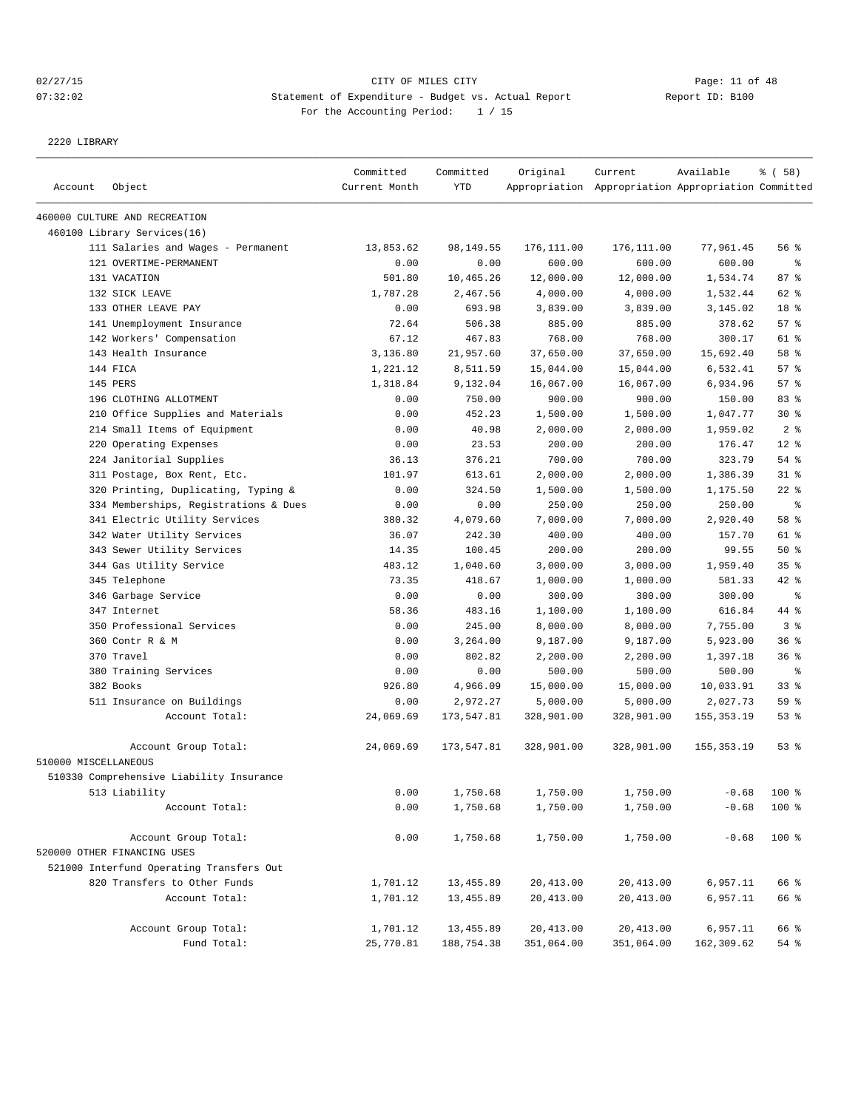# 02/27/15 **Page: 11 of 48** CITY OF MILES CITY **Page: 11 of 48** 07:32:02 Statement of Expenditure - Budget vs. Actual Report Report ID: B100 For the Accounting Period: 1 / 15

2220 LIBRARY

| Account              | Object                                              | Committed<br>Current Month | Committed<br><b>YTD</b> | Original    | Current<br>Appropriation Appropriation Appropriation Committed | Available    | % (58)          |
|----------------------|-----------------------------------------------------|----------------------------|-------------------------|-------------|----------------------------------------------------------------|--------------|-----------------|
|                      | 460000 CULTURE AND RECREATION                       |                            |                         |             |                                                                |              |                 |
|                      | 460100 Library Services(16)                         |                            |                         |             |                                                                |              |                 |
|                      | 111 Salaries and Wages - Permanent                  | 13,853.62                  | 98,149.55               | 176, 111.00 | 176,111.00                                                     | 77,961.45    | 56 %            |
|                      | 121 OVERTIME-PERMANENT                              | 0.00                       | 0.00                    | 600.00      | 600.00                                                         | 600.00       | နွ              |
|                      | 131 VACATION                                        | 501.80                     | 10,465.26               | 12,000.00   | 12,000.00                                                      | 1,534.74     | 87%             |
|                      | 132 SICK LEAVE                                      | 1,787.28                   | 2,467.56                | 4,000.00    | 4,000.00                                                       | 1,532.44     | 62 %            |
|                      | 133 OTHER LEAVE PAY                                 | 0.00                       | 693.98                  | 3,839.00    | 3,839.00                                                       | 3,145.02     | 18 %            |
|                      | 141 Unemployment Insurance                          | 72.64                      | 506.38                  | 885.00      | 885.00                                                         | 378.62       | 57%             |
|                      | 142 Workers' Compensation                           | 67.12                      | 467.83                  | 768.00      | 768.00                                                         | 300.17       | 61 %            |
|                      | 143 Health Insurance                                | 3,136.80                   | 21,957.60               | 37,650.00   | 37,650.00                                                      | 15,692.40    | 58 %            |
|                      | 144 FICA                                            | 1,221.12                   | 8,511.59                | 15,044.00   | 15,044.00                                                      | 6,532.41     | 57%             |
|                      | 145 PERS                                            | 1,318.84                   | 9,132.04                | 16,067.00   | 16,067.00                                                      | 6,934.96     | 57%             |
|                      | 196 CLOTHING ALLOTMENT                              | 0.00                       | 750.00                  | 900.00      | 900.00                                                         | 150.00       | 83%             |
|                      | 210 Office Supplies and Materials                   | 0.00                       | 452.23                  | 1,500.00    | 1,500.00                                                       | 1,047.77     | $30*$           |
|                      | 214 Small Items of Equipment                        | 0.00                       | 40.98                   | 2,000.00    | 2,000.00                                                       | 1,959.02     | 2 <sup>8</sup>  |
|                      | 220 Operating Expenses                              | 0.00                       | 23.53                   | 200.00      | 200.00                                                         | 176.47       | $12$ %          |
|                      | 224 Janitorial Supplies                             | 36.13                      | 376.21                  | 700.00      | 700.00                                                         | 323.79       | 54 %            |
|                      | 311 Postage, Box Rent, Etc.                         | 101.97                     | 613.61                  | 2,000.00    | 2,000.00                                                       | 1,386.39     | $31$ %          |
|                      | 320 Printing, Duplicating, Typing &                 | 0.00                       | 324.50                  | 1,500.00    | 1,500.00                                                       | 1,175.50     | $22$ %          |
|                      | 334 Memberships, Registrations & Dues               | 0.00                       | 0.00                    | 250.00      | 250.00                                                         | 250.00       | $\epsilon$      |
|                      | 341 Electric Utility Services                       | 380.32                     | 4,079.60                | 7,000.00    | 7,000.00                                                       | 2,920.40     | 58 %            |
|                      | 342 Water Utility Services                          | 36.07                      | 242.30                  | 400.00      | 400.00                                                         | 157.70       | 61 %            |
|                      | 343 Sewer Utility Services                          | 14.35                      | 100.45                  | 200.00      | 200.00                                                         | 99.55        | 50%             |
|                      | 344 Gas Utility Service                             | 483.12                     | 1,040.60                | 3,000.00    | 3,000.00                                                       | 1,959.40     | 35%             |
|                      | 345 Telephone                                       | 73.35                      | 418.67                  | 1,000.00    | 1,000.00                                                       | 581.33       | 42 %            |
|                      | 346 Garbage Service                                 | 0.00                       | 0.00                    | 300.00      | 300.00                                                         | 300.00       | နွ              |
|                      | 347 Internet                                        | 58.36                      | 483.16                  | 1,100.00    | 1,100.00                                                       | 616.84       | 44 %            |
|                      | 350 Professional Services                           | 0.00                       | 245.00                  | 8,000.00    | 8,000.00                                                       | 7,755.00     | 3 <sup>°</sup>  |
|                      | 360 Contr R & M                                     | 0.00                       | 3,264.00                | 9,187.00    | 9,187.00                                                       | 5,923.00     | 36%             |
|                      | 370 Travel                                          | 0.00                       | 802.82                  | 2,200.00    | 2,200.00                                                       | 1,397.18     | 36%             |
|                      | 380 Training Services                               | 0.00                       | 0.00                    | 500.00      | 500.00                                                         | 500.00       | နွ              |
|                      | 382 Books                                           | 926.80                     | 4,966.09                | 15,000.00   | 15,000.00                                                      | 10,033.91    | 33 <sup>8</sup> |
|                      | 511 Insurance on Buildings                          | 0.00                       | 2,972.27                | 5,000.00    | 5,000.00                                                       | 2,027.73     | 59 %            |
|                      | Account Total:                                      | 24,069.69                  | 173,547.81              | 328,901.00  | 328,901.00                                                     | 155, 353. 19 | 53%             |
| 510000 MISCELLANEOUS | Account Group Total:                                | 24,069.69                  | 173,547.81              | 328,901.00  | 328,901.00                                                     | 155, 353. 19 | $53$ $%$        |
|                      | 510330 Comprehensive Liability Insurance            |                            |                         |             |                                                                |              |                 |
|                      | 513 Liability                                       | 0.00                       | 1,750.68                | 1,750.00    | 1,750.00                                                       | $-0.68$      | 100 %           |
|                      | Account Total:                                      | 0.00                       | 1,750.68                | 1,750.00    | 1,750.00                                                       | $-0.68$      | 100 %           |
|                      | Account Group Total:<br>520000 OTHER FINANCING USES | 0.00                       | 1,750.68                | 1,750.00    | 1,750.00                                                       | $-0.68$      | 100 %           |
|                      | 521000 Interfund Operating Transfers Out            |                            |                         |             |                                                                |              |                 |
|                      | 820 Transfers to Other Funds                        | 1,701.12                   | 13, 455.89              | 20,413.00   | 20,413.00                                                      | 6,957.11     | 66 %            |
|                      | Account Total:                                      | 1,701.12                   | 13,455.89               | 20,413.00   | 20,413.00                                                      | 6,957.11     | 66 %            |
|                      | Account Group Total:                                | 1,701.12                   | 13,455.89               | 20, 413.00  | 20, 413.00                                                     | 6,957.11     | 66 %            |
|                      | Fund Total:                                         | 25,770.81                  | 188,754.38              | 351,064.00  | 351,064.00                                                     | 162,309.62   | 54 %            |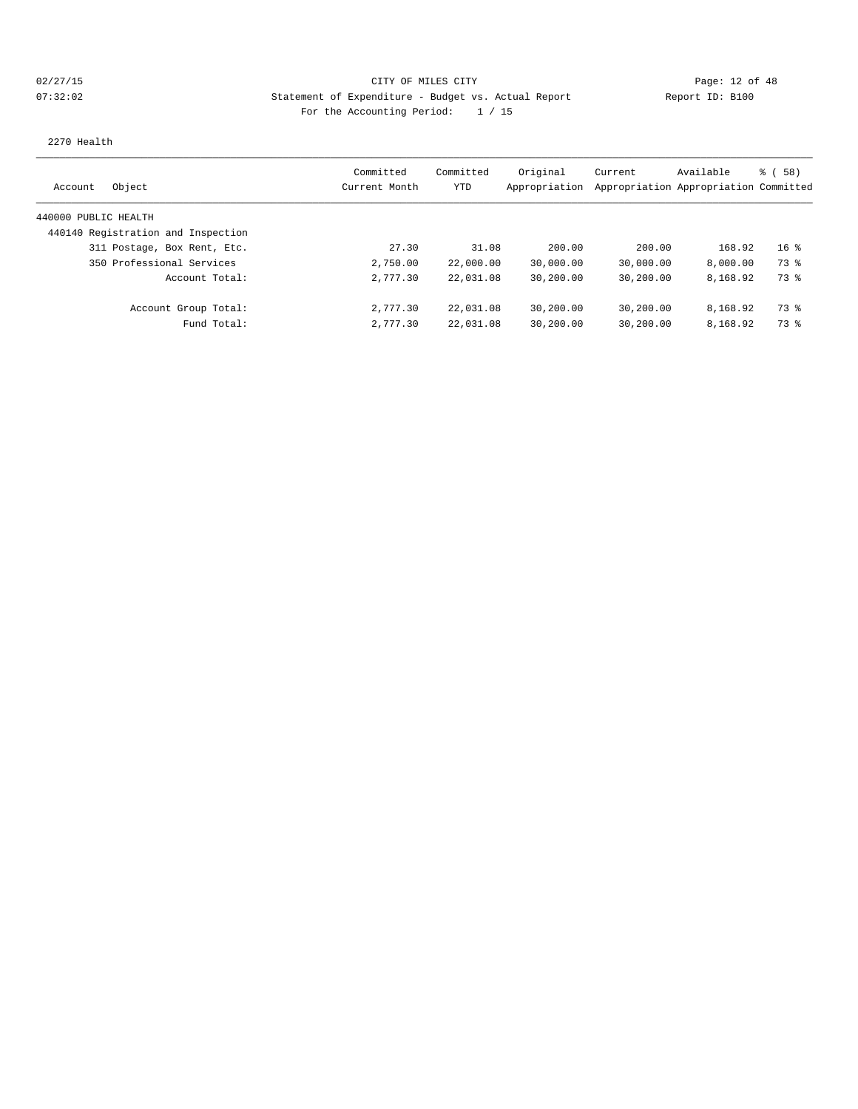# 02/27/15 **Page: 12 of 48** CITY OF MILES CITY **Page: 12 of 48** 07:32:02 Statement of Expenditure - Budget vs. Actual Report Report ID: B100 For the Accounting Period: 1 / 15

2270 Health

| Object<br>Account                  | Committed<br>Current Month | Committed<br>YTD | Original<br>Appropriation | Current<br>Appropriation Appropriation Committed | Available | <sub>8</sub> (58) |
|------------------------------------|----------------------------|------------------|---------------------------|--------------------------------------------------|-----------|-------------------|
|                                    |                            |                  |                           |                                                  |           |                   |
| 440000 PUBLIC HEALTH               |                            |                  |                           |                                                  |           |                   |
| 440140 Registration and Inspection |                            |                  |                           |                                                  |           |                   |
| 311 Postage, Box Rent, Etc.        | 27.30                      | 31.08            | 200.00                    | 200.00                                           | 168.92    | 16 <sup>8</sup>   |
| 350 Professional Services          | 2,750.00                   | 22,000.00        | 30,000.00                 | 30,000.00                                        | 8,000.00  | 73 %              |
| Account Total:                     | 2,777.30                   | 22,031.08        | 30,200.00                 | 30,200.00                                        | 8,168.92  | 73 %              |
| Account Group Total:               | 2,777.30                   | 22,031.08        | 30,200.00                 | 30,200.00                                        | 8,168.92  | 73 %              |
| Fund Total:                        | 2,777.30                   | 22,031.08        | 30,200.00                 | 30,200.00                                        | 8,168.92  | 73 %              |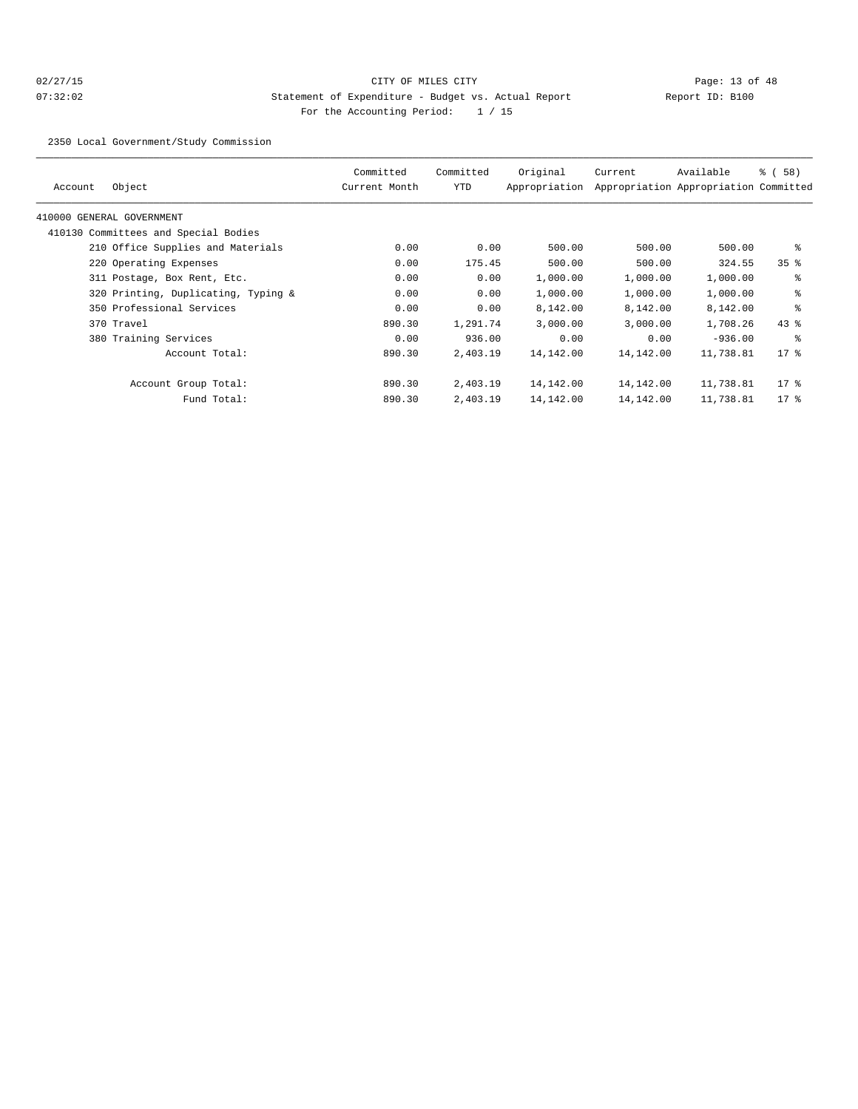# 02/27/15 **Page: 13 of 48** CITY OF MILES CITY **Page: 13 of 48** 07:32:02 Statement of Expenditure - Budget vs. Actual Report Changer Report ID: B100 For the Accounting Period: 1 / 15

2350 Local Government/Study Commission

| Account | Object                               | Committed<br>Current Month | Committed<br>YTD | Original<br>Appropriation | Current   | Available<br>Appropriation Appropriation Committed | 8 ( 58)         |
|---------|--------------------------------------|----------------------------|------------------|---------------------------|-----------|----------------------------------------------------|-----------------|
|         | 410000 GENERAL GOVERNMENT            |                            |                  |                           |           |                                                    |                 |
|         | 410130 Committees and Special Bodies |                            |                  |                           |           |                                                    |                 |
|         | 210 Office Supplies and Materials    | 0.00                       | 0.00             | 500.00                    | 500.00    | 500.00                                             | နွ              |
|         | 220 Operating Expenses               | 0.00                       | 175.45           | 500.00                    | 500.00    | 324.55                                             | 35 <sup>8</sup> |
|         | 311 Postage, Box Rent, Etc.          | 0.00                       | 0.00             | 1,000.00                  | 1,000.00  | 1,000.00                                           | နွ              |
|         | 320 Printing, Duplicating, Typing &  | 0.00                       | 0.00             | 1,000.00                  | 1,000.00  | 1,000.00                                           | နွ              |
|         | 350 Professional Services            | 0.00                       | 0.00             | 8,142.00                  | 8,142.00  | 8,142.00                                           | ి               |
|         | 370 Travel                           | 890.30                     | 1,291.74         | 3,000.00                  | 3,000.00  | 1,708.26                                           | $43$ %          |
|         | 380 Training Services                | 0.00                       | 936.00           | 0.00                      | 0.00      | $-936.00$                                          | ႜ               |
|         | Account Total:                       | 890.30                     | 2,403.19         | 14,142.00                 | 14,142.00 | 11,738.81                                          | $17*$           |
|         | Account Group Total:                 | 890.30                     | 2,403.19         | 14,142.00                 | 14,142.00 | 11,738.81                                          | $17$ %          |
|         | Fund Total:                          | 890.30                     | 2,403.19         | 14,142.00                 | 14,142.00 | 11,738.81                                          | $17$ %          |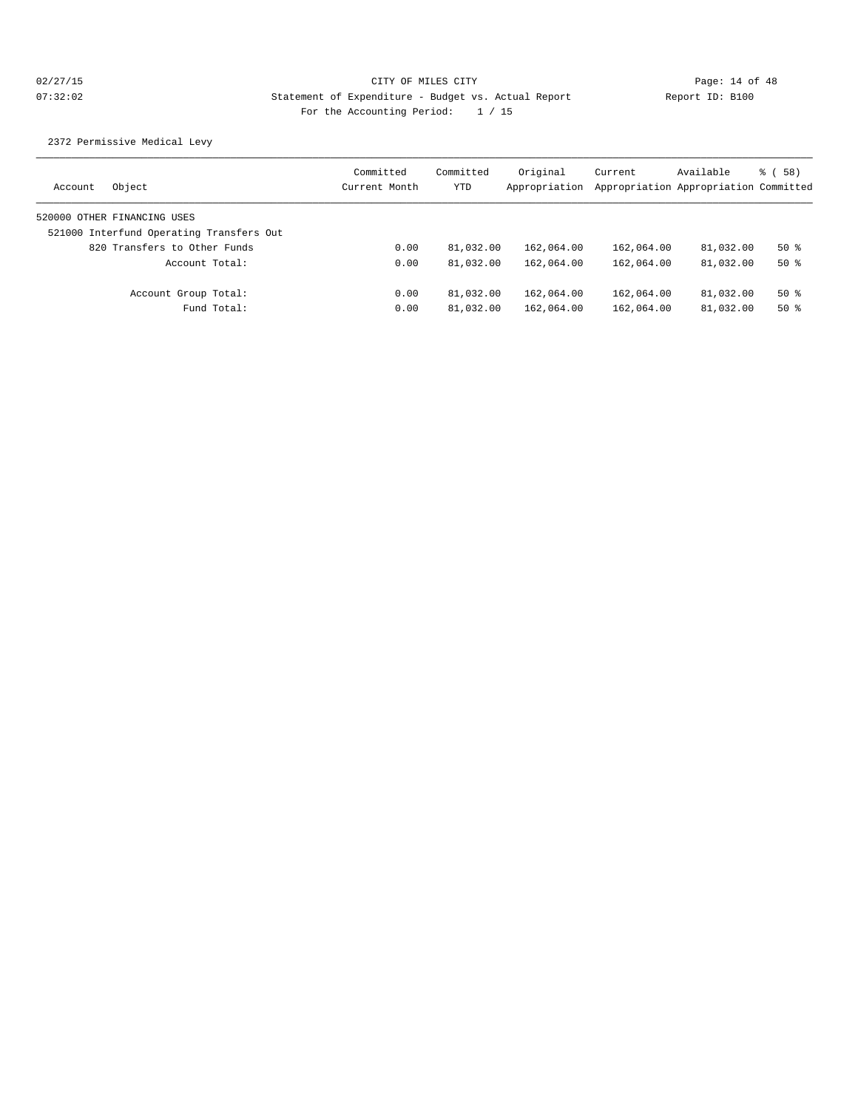2372 Permissive Medical Levy

| Object<br>Account                        | Committed<br>Current Month | Committed<br>YTD | Original<br>Appropriation | Current    | Available<br>Appropriation Appropriation Committed | <sub>8</sub> (58) |
|------------------------------------------|----------------------------|------------------|---------------------------|------------|----------------------------------------------------|-------------------|
| 520000 OTHER FINANCING USES              |                            |                  |                           |            |                                                    |                   |
| 521000 Interfund Operating Transfers Out |                            |                  |                           |            |                                                    |                   |
| 820 Transfers to Other Funds             | 0.00                       | 81,032.00        | 162,064.00                | 162,064.00 | 81,032.00                                          | 50%               |
| Account Total:                           | 0.00                       | 81,032.00        | 162,064.00                | 162,064.00 | 81,032.00                                          | $50*$             |
| Account Group Total:                     | 0.00                       | 81,032.00        | 162,064.00                | 162,064.00 | 81,032.00                                          | $50*$             |
| Fund Total:                              | 0.00                       | 81,032.00        | 162,064.00                | 162,064.00 | 81,032.00                                          | $50*$             |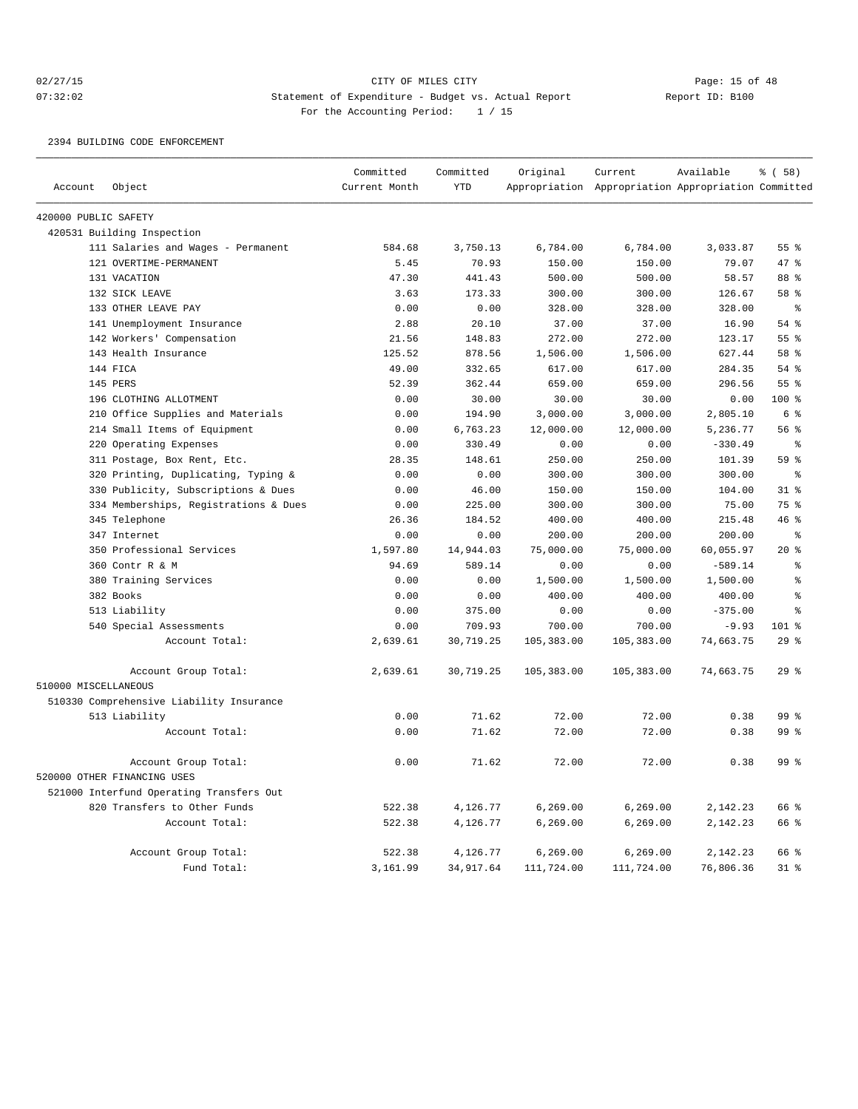### 02/27/15 **Page: 15 of 48** CITY OF MILES CITY **Page: 15 of 48** 07:32:02 Statement of Expenditure - Budget vs. Actual Report Changer Report ID: B100 For the Accounting Period: 1 / 15

### 2394 BUILDING CODE ENFORCEMENT

|                      |                                          | Committed     | Committed  | Original   | Current                                             | Available | % (58)          |
|----------------------|------------------------------------------|---------------|------------|------------|-----------------------------------------------------|-----------|-----------------|
| Account              | Object                                   | Current Month | YTD        |            | Appropriation Appropriation Appropriation Committed |           |                 |
| 420000 PUBLIC SAFETY |                                          |               |            |            |                                                     |           |                 |
|                      | 420531 Building Inspection               |               |            |            |                                                     |           |                 |
|                      | 111 Salaries and Wages - Permanent       | 584.68        | 3,750.13   | 6,784.00   | 6,784.00                                            | 3,033.87  | 55 %            |
|                      | 121 OVERTIME-PERMANENT                   | 5.45          | 70.93      | 150.00     | 150.00                                              | 79.07     | 47 %            |
|                      | 131 VACATION                             | 47.30         | 441.43     | 500.00     | 500.00                                              | 58.57     | 88 %            |
|                      | 132 SICK LEAVE                           | 3.63          | 173.33     | 300.00     | 300.00                                              | 126.67    | 58 %            |
|                      | 133 OTHER LEAVE PAY                      | 0.00          | 0.00       | 328.00     | 328.00                                              | 328.00    | ႜ               |
|                      | 141 Unemployment Insurance               | 2.88          | 20.10      | 37.00      | 37.00                                               | 16.90     | 54 %            |
|                      | 142 Workers' Compensation                | 21.56         | 148.83     | 272.00     | 272.00                                              | 123.17    | 55 %            |
|                      | 143 Health Insurance                     | 125.52        | 878.56     | 1,506.00   | 1,506.00                                            | 627.44    | 58 %            |
|                      | 144 FICA                                 | 49.00         | 332.65     | 617.00     | 617.00                                              | 284.35    | 54 %            |
|                      | 145 PERS                                 | 52.39         | 362.44     | 659.00     | 659.00                                              | 296.56    | 55 %            |
|                      | 196 CLOTHING ALLOTMENT                   | 0.00          | 30.00      | 30.00      | 30.00                                               | 0.00      | 100 %           |
|                      | 210 Office Supplies and Materials        | 0.00          | 194.90     | 3,000.00   | 3,000.00                                            | 2,805.10  | 6 <sup>°</sup>  |
|                      | 214 Small Items of Equipment             | 0.00          | 6,763.23   | 12,000.00  | 12,000.00                                           | 5,236.77  | 56%             |
|                      | 220 Operating Expenses                   | 0.00          | 330.49     | 0.00       | 0.00                                                | $-330.49$ | $\epsilon$      |
|                      | 311 Postage, Box Rent, Etc.              | 28.35         | 148.61     | 250.00     | 250.00                                              | 101.39    | 59 %            |
|                      | 320 Printing, Duplicating, Typing &      | 0.00          | 0.00       | 300.00     | 300.00                                              | 300.00    | နွ              |
|                      | 330 Publicity, Subscriptions & Dues      | 0.00          | 46.00      | 150.00     | 150.00                                              | 104.00    | 31.8            |
|                      | 334 Memberships, Registrations & Dues    | 0.00          | 225.00     | 300.00     | 300.00                                              | 75.00     | 75 %            |
|                      | 345 Telephone                            | 26.36         | 184.52     | 400.00     | 400.00                                              | 215.48    | 46 %            |
|                      | 347 Internet                             | 0.00          | 0.00       | 200.00     | 200.00                                              | 200.00    | $\epsilon$      |
|                      | 350 Professional Services                | 1,597.80      | 14,944.03  | 75,000.00  | 75,000.00                                           | 60,055.97 | $20*$           |
|                      | 360 Contr R & M                          | 94.69         | 589.14     | 0.00       | 0.00                                                | $-589.14$ | ి               |
|                      | 380 Training Services                    | 0.00          | 0.00       | 1,500.00   | 1,500.00                                            | 1,500.00  | န္              |
|                      | 382 Books                                | 0.00          | 0.00       | 400.00     | 400.00                                              | 400.00    | န္              |
|                      | 513 Liability                            | 0.00          | 375.00     | 0.00       | 0.00                                                | $-375.00$ | $\approx$       |
|                      | 540 Special Assessments                  | 0.00          | 709.93     | 700.00     | 700.00                                              | $-9.93$   | 101 %           |
|                      | Account Total:                           | 2,639.61      | 30,719.25  | 105,383.00 | 105,383.00                                          | 74,663.75 | 29%             |
| 510000 MISCELLANEOUS | Account Group Total:                     | 2,639.61      | 30,719.25  | 105,383.00 | 105,383.00                                          | 74,663.75 | 29%             |
|                      | 510330 Comprehensive Liability Insurance |               |            |            |                                                     |           |                 |
|                      | 513 Liability                            | 0.00          | 71.62      | 72.00      | 72.00                                               | 0.38      | 99 <sup>8</sup> |
|                      | Account Total:                           | 0.00          | 71.62      | 72.00      | 72.00                                               | 0.38      | 99 %            |
|                      |                                          |               |            |            |                                                     |           |                 |
|                      | Account Group Total:                     | 0.00          | 71.62      | 72.00      | 72.00                                               | 0.38      | 99 %            |
|                      | 520000 OTHER FINANCING USES              |               |            |            |                                                     |           |                 |
|                      | 521000 Interfund Operating Transfers Out |               |            |            |                                                     |           |                 |
|                      | 820 Transfers to Other Funds             | 522.38        | 4,126.77   | 6,269.00   | 6,269.00                                            | 2,142.23  | 66 %            |
|                      | Account Total:                           | 522.38        | 4,126.77   | 6, 269.00  | 6, 269.00                                           | 2,142.23  | 66 %            |
|                      | Account Group Total:                     | 522.38        | 4,126.77   | 6, 269.00  | 6, 269.00                                           | 2,142.23  | 66 %            |
|                      | Fund Total:                              | 3,161.99      | 34, 917.64 | 111,724.00 | 111,724.00                                          | 76,806.36 | 31.8            |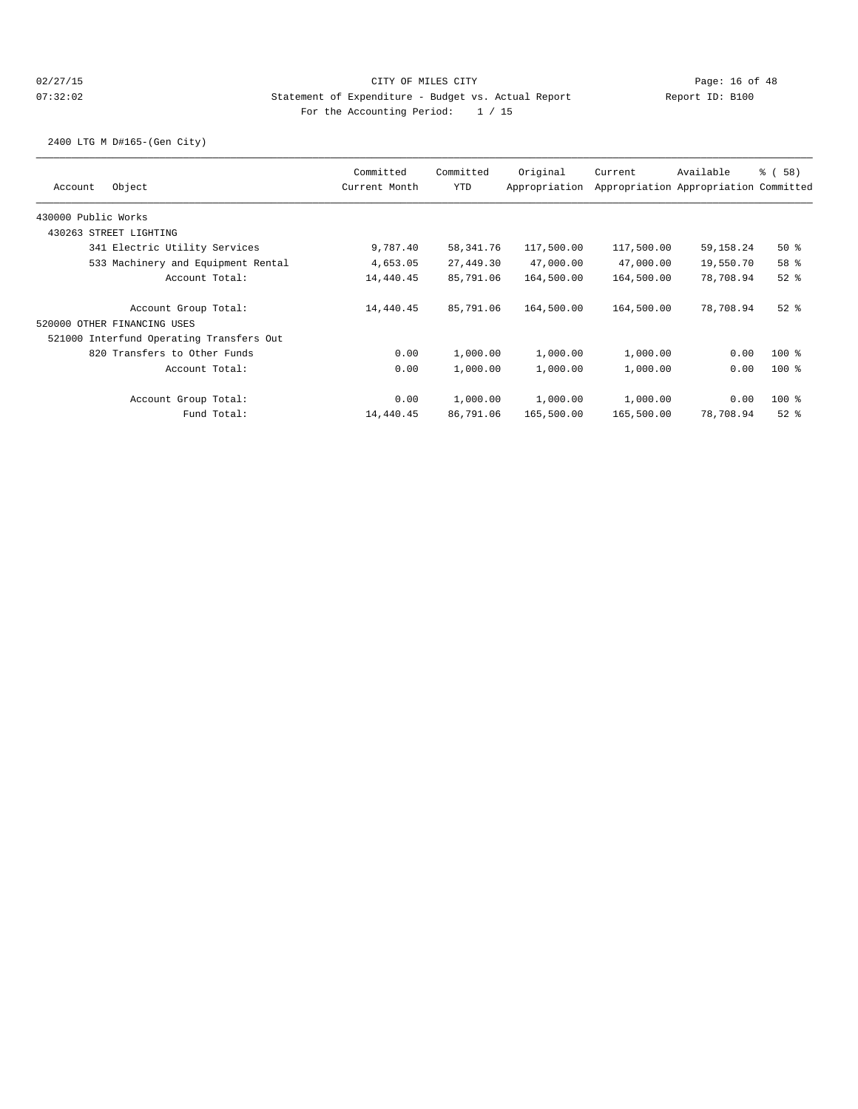2400 LTG M D#165-(Gen City)

| Object<br>Account                        | Committed<br>Current Month | Committed<br><b>YTD</b> | Original<br>Appropriation | Current    | Available<br>Appropriation Appropriation Committed | % (58)   |
|------------------------------------------|----------------------------|-------------------------|---------------------------|------------|----------------------------------------------------|----------|
| 430000 Public Works                      |                            |                         |                           |            |                                                    |          |
| 430263 STREET LIGHTING                   |                            |                         |                           |            |                                                    |          |
| 341 Electric Utility Services            | 9,787.40                   | 58, 341.76              | 117,500.00                | 117,500.00 | 59,158.24                                          | 50%      |
| 533 Machinery and Equipment Rental       | 4,653.05                   | 27,449.30               | 47,000.00                 | 47,000.00  | 19,550.70                                          | 58 %     |
| Account Total:                           | 14,440.45                  | 85,791.06               | 164,500.00                | 164,500.00 | 78,708.94                                          | $52$ $%$ |
| Account Group Total:                     | 14,440.45                  | 85,791.06               | 164,500.00                | 164,500.00 | 78,708.94                                          | $52$ $%$ |
| 520000 OTHER FINANCING USES              |                            |                         |                           |            |                                                    |          |
| 521000 Interfund Operating Transfers Out |                            |                         |                           |            |                                                    |          |
| 820 Transfers to Other Funds             | 0.00                       | 1,000.00                | 1,000.00                  | 1,000.00   | 0.00                                               | $100$ %  |
| Account Total:                           | 0.00                       | 1,000.00                | 1,000.00                  | 1,000.00   | 0.00                                               | $100$ %  |
| Account Group Total:                     | 0.00                       | 1,000.00                | 1,000.00                  | 1,000.00   | 0.00                                               | $100$ %  |
| Fund Total:                              | 14,440.45                  | 86,791.06               | 165,500.00                | 165,500.00 | 78,708.94                                          | $52$ $%$ |
|                                          |                            |                         |                           |            |                                                    |          |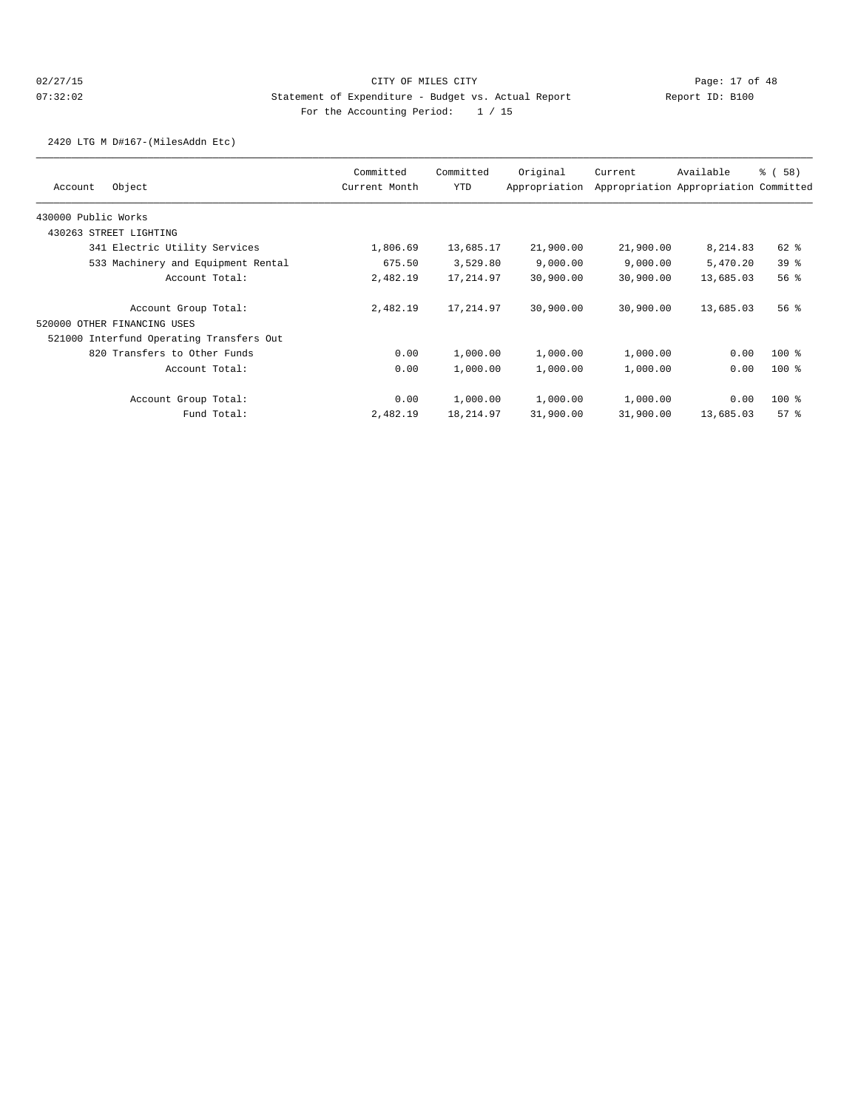2420 LTG M D#167-(MilesAddn Etc)

|                                          | Committed     | Committed  | Original      | Current   | Available                             | % (58)          |
|------------------------------------------|---------------|------------|---------------|-----------|---------------------------------------|-----------------|
| Object<br>Account                        | Current Month | <b>YTD</b> | Appropriation |           | Appropriation Appropriation Committed |                 |
| 430000 Public Works                      |               |            |               |           |                                       |                 |
| 430263 STREET LIGHTING                   |               |            |               |           |                                       |                 |
| 341 Electric Utility Services            | 1,806.69      | 13,685.17  | 21,900.00     | 21,900.00 | 8,214.83                              | $62$ $%$        |
| 533 Machinery and Equipment Rental       | 675.50        | 3,529.80   | 9,000.00      | 9,000.00  | 5,470.20                              | 39 <sup>8</sup> |
| Account Total:                           | 2,482.19      | 17,214.97  | 30,900.00     | 30,900.00 | 13,685.03                             | 56%             |
| Account Group Total:                     | 2,482.19      | 17,214.97  | 30,900.00     | 30,900.00 | 13,685.03                             | 56 <sup>8</sup> |
| 520000 OTHER FINANCING USES              |               |            |               |           |                                       |                 |
| 521000 Interfund Operating Transfers Out |               |            |               |           |                                       |                 |
| 820 Transfers to Other Funds             | 0.00          | 1,000.00   | 1,000.00      | 1,000.00  | 0.00                                  | $100$ %         |
| Account Total:                           | 0.00          | 1,000.00   | 1,000.00      | 1,000.00  | 0.00                                  | $100$ %         |
| Account Group Total:                     | 0.00          | 1,000.00   | 1,000.00      | 1,000.00  | 0.00                                  | $100$ %         |
| Fund Total:                              | 2,482.19      | 18, 214.97 | 31,900.00     | 31,900.00 | 13,685.03                             | 57%             |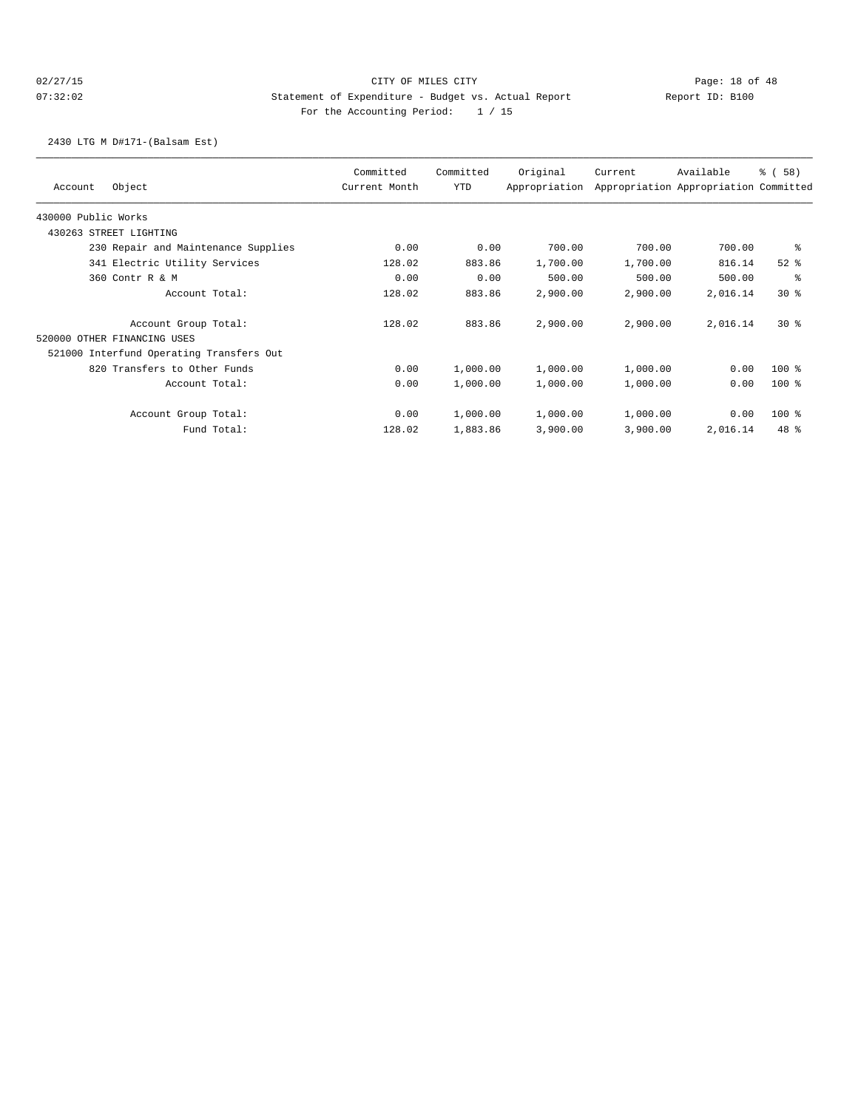# 02/27/15 **Page: 18 of 48** CITY OF MILES CITY **Page: 18 of 48** 07:32:02 Statement of Expenditure - Budget vs. Actual Report Report ID: B100 For the Accounting Period: 1 / 15

2430 LTG M D#171-(Balsam Est)

| Account             | Object                                   | Committed<br>Current Month | Committed<br>YTD | Original<br>Appropriation | Current  | Available<br>Appropriation Appropriation Committed | % (58)   |
|---------------------|------------------------------------------|----------------------------|------------------|---------------------------|----------|----------------------------------------------------|----------|
| 430000 Public Works |                                          |                            |                  |                           |          |                                                    |          |
|                     | 430263 STREET LIGHTING                   |                            |                  |                           |          |                                                    |          |
|                     | 230 Repair and Maintenance Supplies      | 0.00                       | 0.00             | 700.00                    | 700.00   | 700.00                                             | ႜ        |
|                     | 341 Electric Utility Services            | 128.02                     | 883.86           | 1,700.00                  | 1,700.00 | 816.14                                             | $52$ $%$ |
|                     | 360 Contr R & M                          | 0.00                       | 0.00             | 500.00                    | 500.00   | 500.00                                             | ి        |
|                     | Account Total:                           | 128.02                     | 883.86           | 2,900.00                  | 2,900.00 | 2,016.14                                           | $30*$    |
|                     | Account Group Total:                     | 128.02                     | 883.86           | 2,900.00                  | 2,900.00 | 2,016.14                                           | $30*$    |
|                     | 520000 OTHER FINANCING USES              |                            |                  |                           |          |                                                    |          |
|                     | 521000 Interfund Operating Transfers Out |                            |                  |                           |          |                                                    |          |
|                     | 820 Transfers to Other Funds             | 0.00                       | 1,000.00         | 1,000.00                  | 1,000.00 | 0.00                                               | $100$ %  |
|                     | Account Total:                           | 0.00                       | 1,000.00         | 1,000.00                  | 1,000.00 | 0.00                                               | $100$ %  |
|                     | Account Group Total:                     | 0.00                       | 1,000.00         | 1,000.00                  | 1,000.00 | 0.00                                               | $100$ %  |
|                     | Fund Total:                              | 128.02                     | 1,883.86         | 3,900.00                  | 3,900.00 | 2,016.14                                           | 48 %     |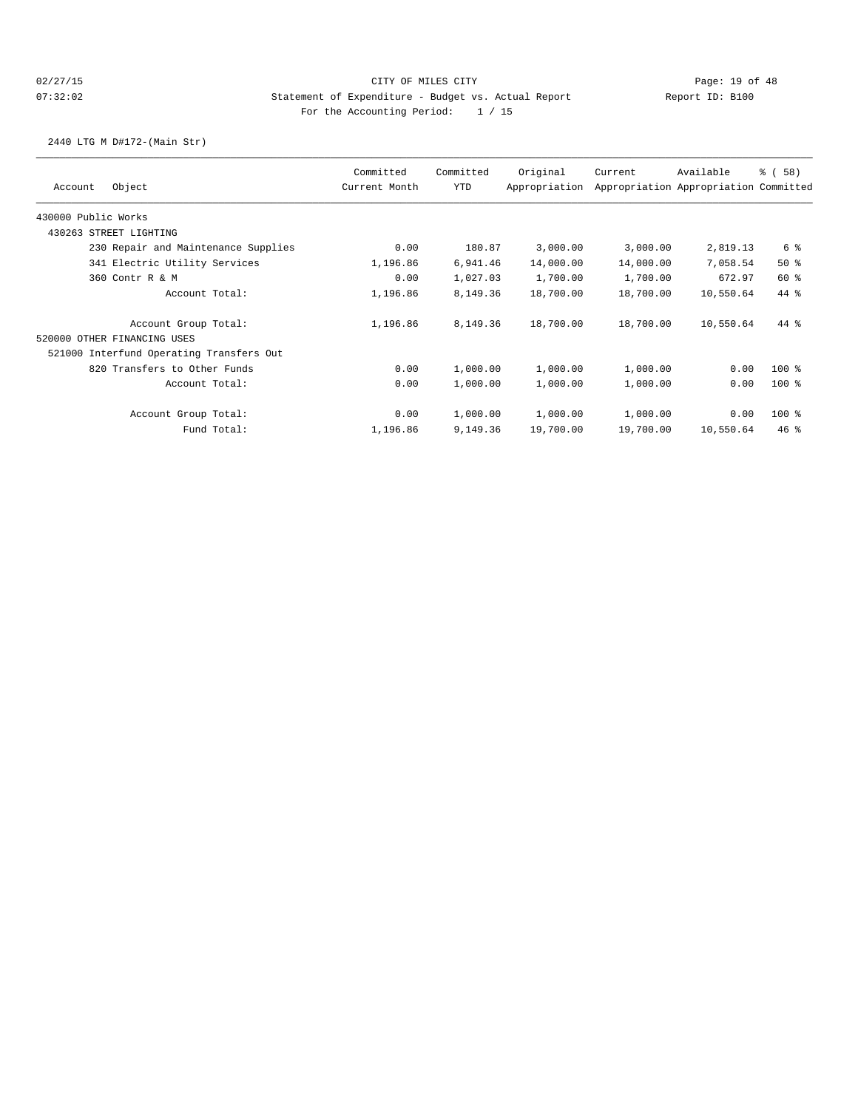2440 LTG M D#172-(Main Str)

| Object<br>Account                        | Committed<br>Current Month | Committed<br>YTD | Original<br>Appropriation | Current   | Available<br>Appropriation Appropriation Committed | % (58)  |
|------------------------------------------|----------------------------|------------------|---------------------------|-----------|----------------------------------------------------|---------|
|                                          |                            |                  |                           |           |                                                    |         |
| 430000 Public Works                      |                            |                  |                           |           |                                                    |         |
| 430263 STREET LIGHTING                   |                            |                  |                           |           |                                                    |         |
| 230 Repair and Maintenance Supplies      | 0.00                       | 180.87           | 3,000.00                  | 3,000.00  | 2,819.13                                           | 6 %     |
| 341 Electric Utility Services            | 1,196.86                   | 6,941.46         | 14,000.00                 | 14,000.00 | 7,058.54                                           | $50*$   |
| 360 Contr R & M                          | 0.00                       | 1,027.03         | 1,700.00                  | 1,700.00  | 672.97                                             | 60 %    |
| Account Total:                           | 1,196.86                   | 8,149.36         | 18,700.00                 | 18,700.00 | 10,550.64                                          | 44 %    |
| Account Group Total:                     | 1,196.86                   | 8,149.36         | 18,700.00                 | 18,700.00 | 10,550.64                                          | $44*$   |
| 520000 OTHER FINANCING USES              |                            |                  |                           |           |                                                    |         |
| 521000 Interfund Operating Transfers Out |                            |                  |                           |           |                                                    |         |
| 820 Transfers to Other Funds             | 0.00                       | 1,000.00         | 1,000.00                  | 1,000.00  | 0.00                                               | $100$ % |
| Account Total:                           | 0.00                       | 1,000.00         | 1,000.00                  | 1,000.00  | 0.00                                               | $100$ % |
| Account Group Total:                     | 0.00                       | 1,000.00         | 1,000.00                  | 1,000.00  | 0.00                                               | $100$ % |
| Fund Total:                              | 1,196.86                   | 9,149.36         | 19,700.00                 | 19,700.00 | 10,550.64                                          | $46*$   |
|                                          |                            |                  |                           |           |                                                    |         |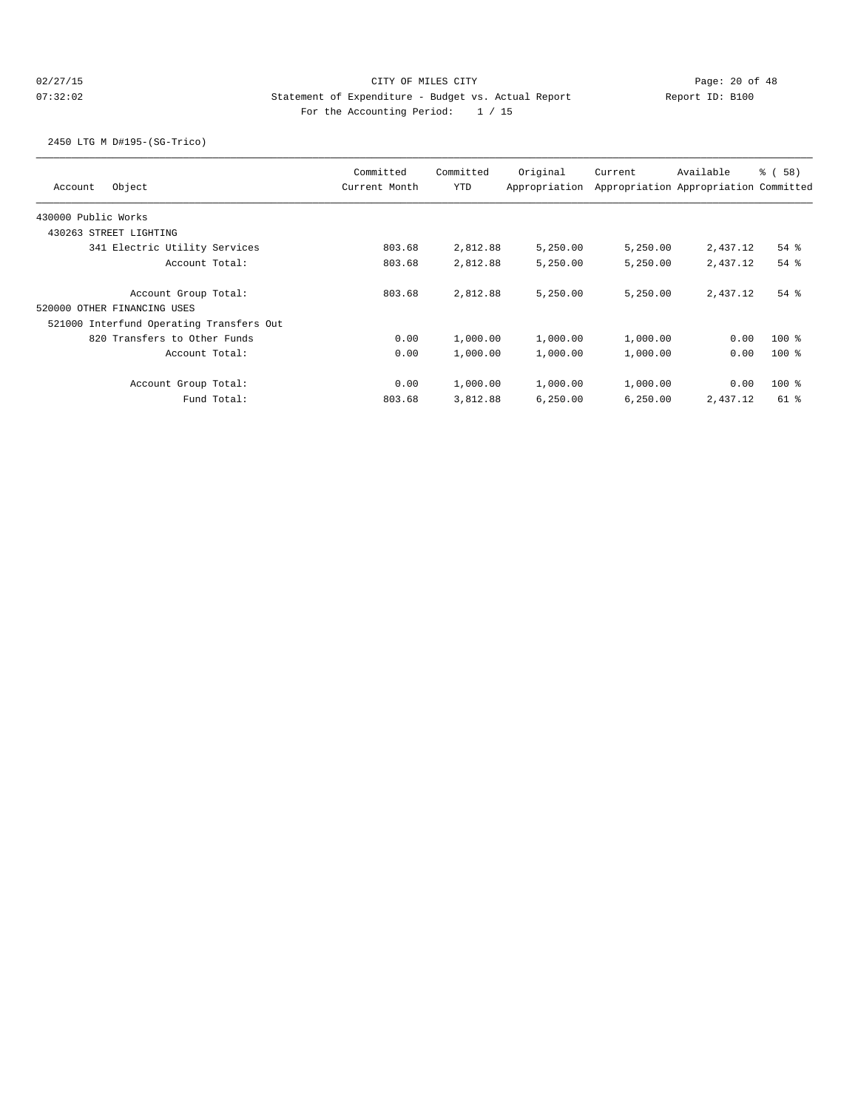2450 LTG M D#195-(SG-Trico)

| Object<br>Account                        | Committed<br>Current Month | Committed<br>YTD | Original<br>Appropriation | Current   | Available<br>Appropriation Appropriation Committed | % ( 58 ) |
|------------------------------------------|----------------------------|------------------|---------------------------|-----------|----------------------------------------------------|----------|
| 430000 Public Works                      |                            |                  |                           |           |                                                    |          |
| 430263 STREET LIGHTING                   |                            |                  |                           |           |                                                    |          |
| 341 Electric Utility Services            | 803.68                     | 2,812.88         | 5,250.00                  | 5,250.00  | 2,437.12                                           | $54$ $%$ |
| Account Total:                           | 803.68                     | 2,812.88         | 5,250.00                  | 5,250.00  | 2,437.12                                           | $54$ $%$ |
| Account Group Total:                     | 803.68                     | 2,812.88         | 5,250.00                  | 5.250.00  | 2,437.12                                           | $54$ $%$ |
| 520000 OTHER FINANCING USES              |                            |                  |                           |           |                                                    |          |
| 521000 Interfund Operating Transfers Out |                            |                  |                           |           |                                                    |          |
| 820 Transfers to Other Funds             | 0.00                       | 1,000.00         | 1,000.00                  | 1,000.00  | 0.00                                               | $100*$   |
| Account Total:                           | 0.00                       | 1,000.00         | 1,000.00                  | 1,000.00  | 0.00                                               | $100$ %  |
| Account Group Total:                     | 0.00                       | 1,000.00         | 1,000.00                  | 1,000.00  | 0.00                                               | $100$ %  |
| Fund Total:                              | 803.68                     | 3,812.88         | 6,250.00                  | 6, 250.00 | 2,437.12                                           | $61$ %   |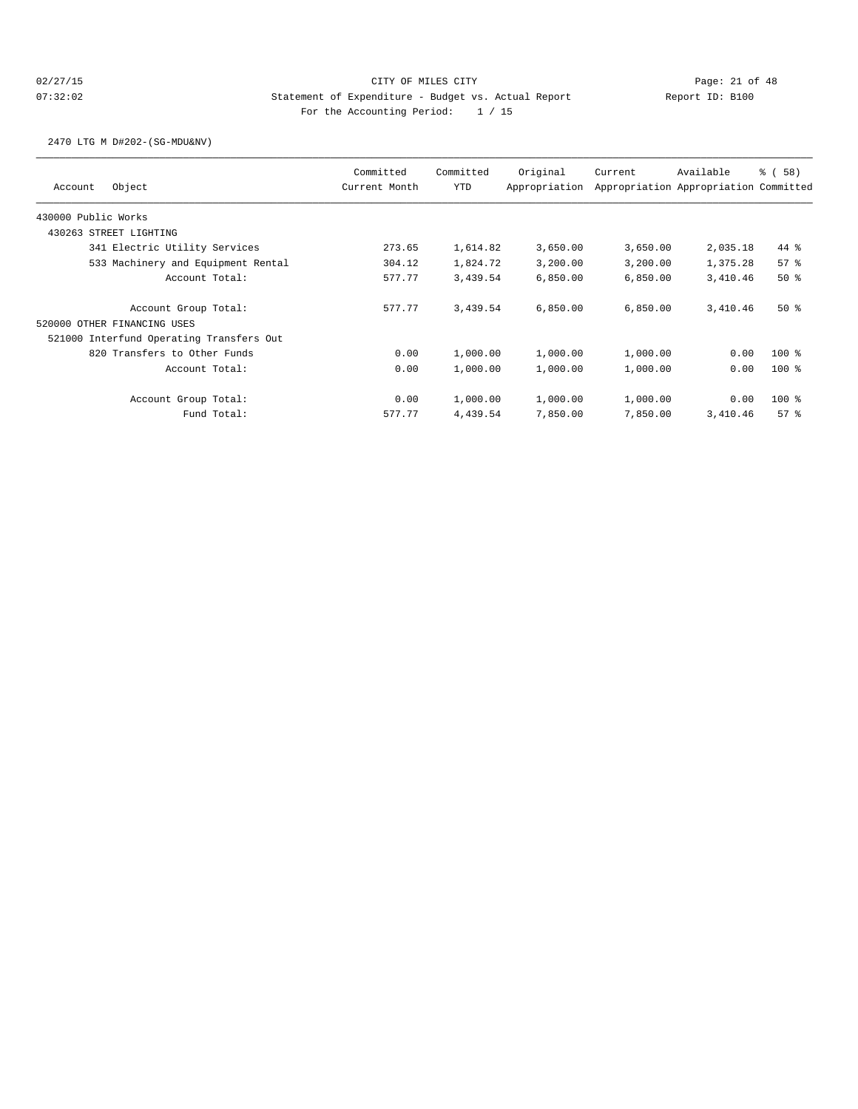2470 LTG M D#202-(SG-MDU&NV)

| Object<br>Account                        | Committed<br>Current Month | Committed<br><b>YTD</b> | Original<br>Appropriation | Current  | Available<br>Appropriation Appropriation Committed | % (58)  |
|------------------------------------------|----------------------------|-------------------------|---------------------------|----------|----------------------------------------------------|---------|
| 430000 Public Works                      |                            |                         |                           |          |                                                    |         |
| 430263 STREET LIGHTING                   |                            |                         |                           |          |                                                    |         |
| 341 Electric Utility Services            | 273.65                     | 1,614.82                | 3,650.00                  | 3,650.00 | 2,035.18                                           | 44 %    |
| 533 Machinery and Equipment Rental       | 304.12                     | 1,824.72                | 3,200.00                  | 3,200.00 | 1,375.28                                           | 57%     |
| Account Total:                           | 577.77                     | 3,439.54                | 6,850.00                  | 6,850.00 | 3,410.46                                           | $50*$   |
| Account Group Total:                     | 577.77                     | 3,439.54                | 6,850.00                  | 6,850.00 | 3,410.46                                           | $50*$   |
| 520000 OTHER FINANCING USES              |                            |                         |                           |          |                                                    |         |
| 521000 Interfund Operating Transfers Out |                            |                         |                           |          |                                                    |         |
| 820 Transfers to Other Funds             | 0.00                       | 1,000.00                | 1,000.00                  | 1,000.00 | 0.00                                               | $100$ % |
| Account Total:                           | 0.00                       | 1,000.00                | 1,000.00                  | 1,000.00 | 0.00                                               | $100$ % |
| Account Group Total:                     | 0.00                       | 1,000.00                | 1,000.00                  | 1,000.00 | 0.00                                               | $100$ % |
| Fund Total:                              | 577.77                     | 4,439.54                | 7,850.00                  | 7,850.00 | 3,410.46                                           | 57%     |
|                                          |                            |                         |                           |          |                                                    |         |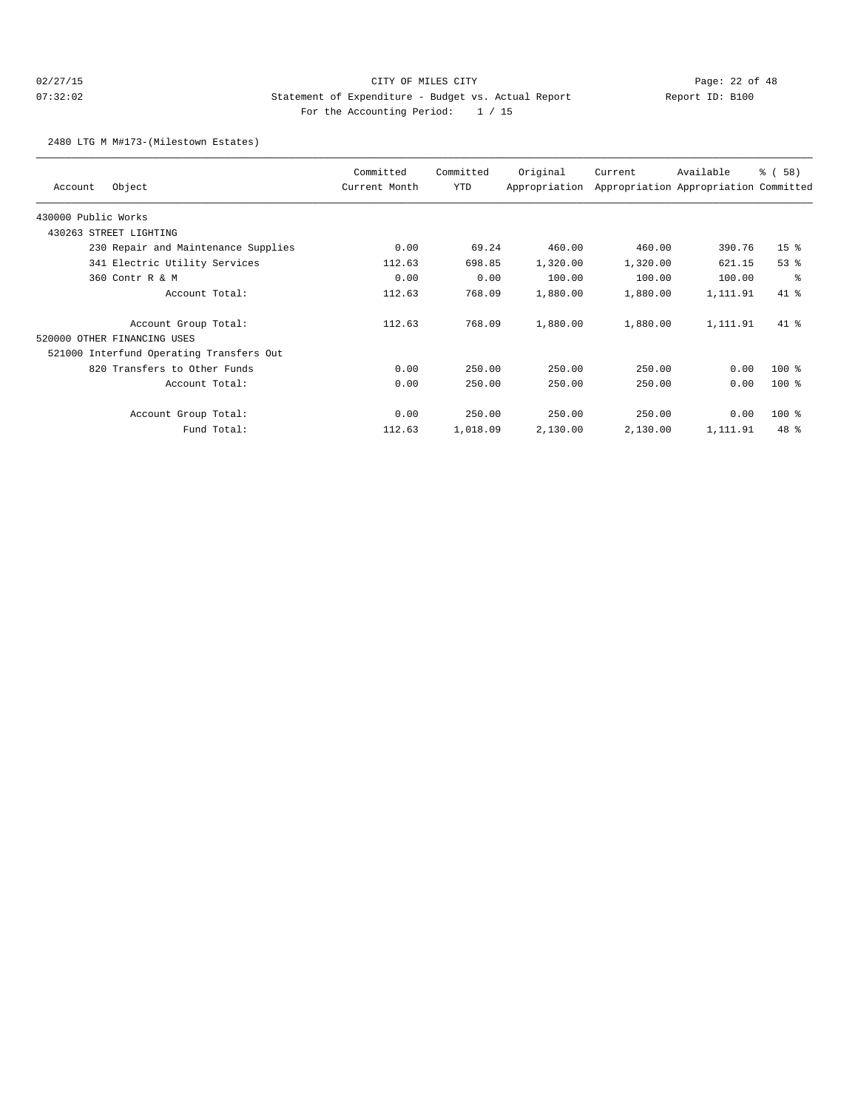# 02/27/15 **Page: 22 of 48** CITY OF MILES CITY **Page: 22 of 48** 07:32:02 Statement of Expenditure - Budget vs. Actual Report Report ID: B100 For the Accounting Period: 1 / 15

2480 LTG M M#173-(Milestown Estates)

| Object<br>Account                        | Committed<br>Current Month | Committed<br>YTD | Original<br>Appropriation | Current  | Available<br>Appropriation Appropriation Committed | % (58)          |
|------------------------------------------|----------------------------|------------------|---------------------------|----------|----------------------------------------------------|-----------------|
| 430000 Public Works                      |                            |                  |                           |          |                                                    |                 |
| STREET LIGHTING<br>430263                |                            |                  |                           |          |                                                    |                 |
| 230 Repair and Maintenance Supplies      | 0.00                       | 69.24            | 460.00                    | 460.00   | 390.76                                             | 15 <sup>8</sup> |
| 341 Electric Utility Services            | 112.63                     | 698.85           | 1,320.00                  | 1,320.00 | 621.15                                             | $53$ $%$        |
| 360 Contr R & M                          | 0.00                       | 0.00             | 100.00                    | 100.00   | 100.00                                             | နွ              |
| Account Total:                           | 112.63                     | 768.09           | 1,880.00                  | 1,880.00 | 1,111.91                                           | $41*$           |
| Account Group Total:                     | 112.63                     | 768.09           | 1,880.00                  | 1,880.00 | 1,111.91                                           | $41*$           |
| 520000 OTHER FINANCING USES              |                            |                  |                           |          |                                                    |                 |
| 521000 Interfund Operating Transfers Out |                            |                  |                           |          |                                                    |                 |
| 820 Transfers to Other Funds             | 0.00                       | 250.00           | 250.00                    | 250.00   | 0.00                                               | $100$ %         |
| Account Total:                           | 0.00                       | 250.00           | 250.00                    | 250.00   | 0.00                                               | $100$ %         |
| Account Group Total:                     | 0.00                       | 250.00           | 250.00                    | 250.00   | 0.00                                               | $100$ %         |
| Fund Total:                              | 112.63                     | 1,018.09         | 2,130.00                  | 2,130.00 | 1,111.91                                           | $48*$           |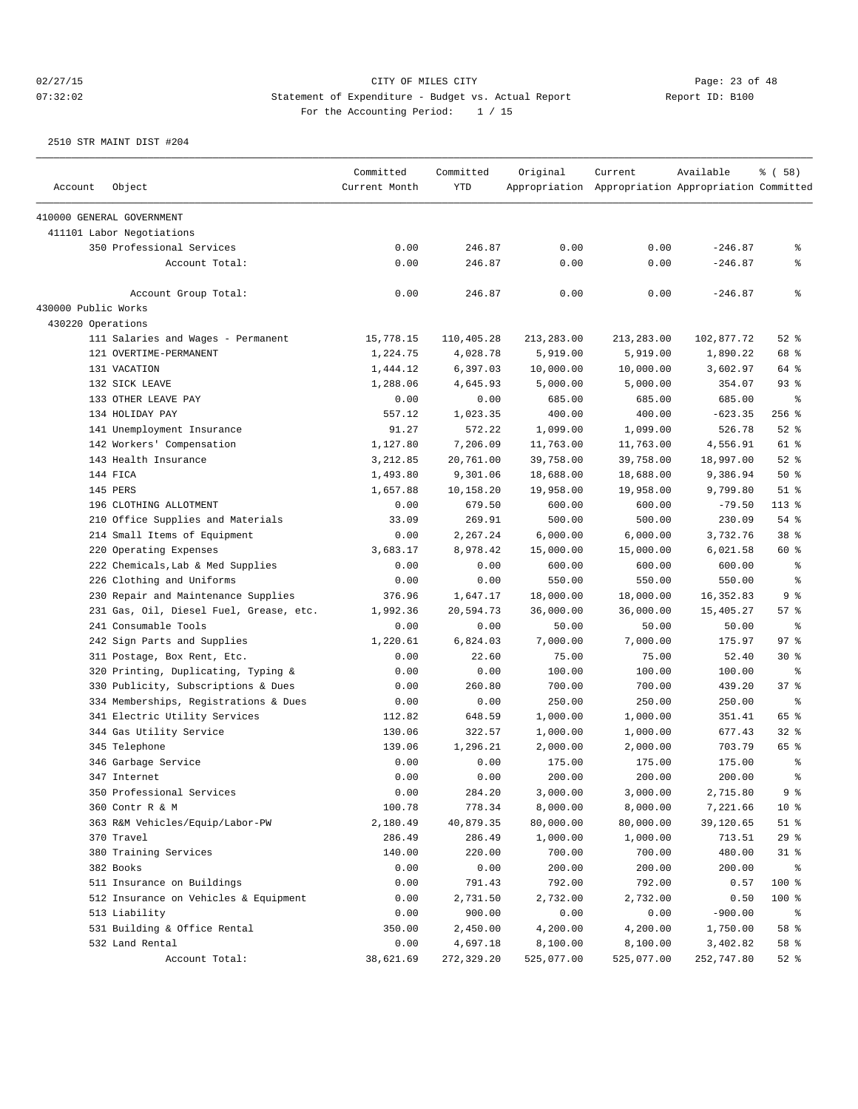### 02/27/15 **Page: 23 of 48** CITY OF MILES CITY **Page: 23 of 48** 07:32:02 Statement of Expenditure - Budget vs. Actual Report Changer Report ID: B100 For the Accounting Period: 1 / 15

|                     |                                                                 | Committed     | Committed        | Original         | Current                                             | Available        | % ( 58 )        |
|---------------------|-----------------------------------------------------------------|---------------|------------------|------------------|-----------------------------------------------------|------------------|-----------------|
| Account             | Object                                                          | Current Month | YTD              |                  | Appropriation Appropriation Appropriation Committed |                  |                 |
|                     | 410000 GENERAL GOVERNMENT                                       |               |                  |                  |                                                     |                  |                 |
|                     | 411101 Labor Negotiations                                       |               |                  |                  |                                                     |                  |                 |
|                     | 350 Professional Services                                       | 0.00          | 246.87           | 0.00             | 0.00                                                | $-246.87$        | ႜ               |
|                     | Account Total:                                                  | 0.00          | 246.87           | 0.00             | 0.00                                                | $-246.87$        | နွ              |
|                     |                                                                 | 0.00          | 246.87           | 0.00             | 0.00                                                |                  | ి               |
| 430000 Public Works | Account Group Total:                                            |               |                  |                  |                                                     | $-246.87$        |                 |
| 430220 Operations   |                                                                 |               |                  |                  |                                                     |                  |                 |
|                     | 111 Salaries and Wages - Permanent                              | 15,778.15     | 110,405.28       | 213,283.00       | 213,283.00                                          | 102,877.72       | $52$ $%$        |
|                     | 121 OVERTIME-PERMANENT                                          | 1,224.75      | 4,028.78         | 5,919.00         | 5,919.00                                            | 1,890.22         | 68 %            |
|                     | 131 VACATION                                                    | 1,444.12      | 6,397.03         | 10,000.00        | 10,000.00                                           | 3,602.97         | 64 %            |
|                     | 132 SICK LEAVE                                                  | 1,288.06      | 4,645.93         | 5,000.00         | 5,000.00                                            | 354.07           | 93%             |
|                     | 133 OTHER LEAVE PAY                                             | 0.00          | 0.00             | 685.00           | 685.00                                              | 685.00           | နွ              |
|                     | 134 HOLIDAY PAY                                                 | 557.12        | 1,023.35         | 400.00           | 400.00                                              | $-623.35$        | $256$ %         |
|                     | 141 Unemployment Insurance                                      | 91.27         | 572.22           | 1,099.00         | 1,099.00                                            | 526.78           | $52$ $%$        |
|                     | 142 Workers' Compensation                                       | 1,127.80      | 7,206.09         | 11,763.00        | 11,763.00                                           | 4,556.91         | 61 %            |
|                     | 143 Health Insurance                                            | 3,212.85      | 20,761.00        | 39,758.00        | 39,758.00                                           | 18,997.00        | $52$ $%$        |
|                     | 144 FICA                                                        | 1,493.80      | 9,301.06         | 18,688.00        | 18,688.00                                           | 9,386.94         | 50%             |
|                     | 145 PERS                                                        | 1,657.88      | 10,158.20        | 19,958.00        | 19,958.00                                           | 9,799.80         | $51$ %          |
|                     | 196 CLOTHING ALLOTMENT                                          | 0.00          | 679.50           | 600.00           | 600.00                                              | $-79.50$         | $113$ %         |
|                     | 210 Office Supplies and Materials                               | 33.09         | 269.91           | 500.00           | 500.00                                              | 230.09           | $54$ %          |
|                     | 214 Small Items of Equipment                                    | 0.00          | 2,267.24         | 6,000.00         | 6,000.00                                            | 3,732.76         | 38 <sup>8</sup> |
|                     | 220 Operating Expenses                                          | 3,683.17      | 8,978.42         | 15,000.00        | 15,000.00                                           | 6,021.58         | 60 %            |
|                     | 222 Chemicals, Lab & Med Supplies                               | 0.00          | 0.00             | 600.00           | 600.00                                              | 600.00           | နွ              |
|                     | 226 Clothing and Uniforms                                       | 0.00          | 0.00             | 550.00           | 550.00                                              | 550.00           | နွ              |
|                     | 230 Repair and Maintenance Supplies                             | 376.96        | 1,647.17         | 18,000.00        | 18,000.00                                           | 16, 352.83       | 9 %             |
|                     |                                                                 | 1,992.36      | 20,594.73        | 36,000.00        | 36,000.00                                           | 15,405.27        | 57%             |
|                     | 231 Gas, Oil, Diesel Fuel, Grease, etc.<br>241 Consumable Tools | 0.00          | 0.00             | 50.00            | 50.00                                               | 50.00            | ႜ               |
|                     |                                                                 | 1,220.61      | 6,824.03         | 7,000.00         | 7,000.00                                            | 175.97           | 97%             |
|                     | 242 Sign Parts and Supplies                                     |               | 22.60            | 75.00            | 75.00                                               | 52.40            | $30*$           |
|                     | 311 Postage, Box Rent, Etc.                                     | 0.00          |                  | 100.00           |                                                     |                  |                 |
|                     | 320 Printing, Duplicating, Typing &                             | 0.00          | 0.00             |                  | 100.00                                              | 100.00           | ႜ<br>37%        |
|                     | 330 Publicity, Subscriptions & Dues                             | 0.00<br>0.00  | 260.80<br>0.00   | 700.00<br>250.00 | 700.00<br>250.00                                    | 439.20<br>250.00 | နွ              |
|                     | 334 Memberships, Registrations & Dues                           |               |                  |                  |                                                     |                  | 65 %            |
|                     | 341 Electric Utility Services                                   | 112.82        | 648.59<br>322.57 | 1,000.00         | 1,000.00                                            | 351.41           | 32%             |
|                     | 344 Gas Utility Service                                         | 130.06        |                  | 1,000.00         | 1,000.00                                            | 677.43           | 65 %            |
|                     | 345 Telephone                                                   | 139.06        | 1,296.21         | 2,000.00         | 2,000.00                                            | 703.79           | ి               |
|                     | 346 Garbage Service                                             | 0.00<br>0.00  | 0.00             | 175.00           | 175.00                                              | 175.00<br>200.00 | ⊱               |
|                     | 347 Internet                                                    |               | 0.00             | 200.00           | 200.00                                              |                  |                 |
|                     | 350 Professional Services                                       | 0.00          | 284.20           | 3,000.00         | 3,000.00                                            | 2,715.80         | 9 %             |
|                     | 360 Contr R & M                                                 | 100.78        | 778.34           | 8,000.00         | 8,000.00                                            | 7,221.66         | 10 <sup>°</sup> |
|                     | 363 R&M Vehicles/Equip/Labor-PW                                 | 2,180.49      | 40,879.35        | 80,000.00        | 80,000.00                                           | 39,120.65        | $51$ %          |
|                     | 370 Travel                                                      | 286.49        | 286.49           | 1,000.00         | 1,000.00                                            | 713.51           | 29%             |
|                     | 380 Training Services                                           | 140.00        | 220.00           | 700.00           | 700.00                                              | 480.00           | $31$ %          |
|                     | 382 Books                                                       | 0.00          | 0.00             | 200.00           | 200.00                                              | 200.00           | ႜૢ              |
|                     | 511 Insurance on Buildings                                      | 0.00          | 791.43           | 792.00           | 792.00                                              | 0.57             | 100 %           |
|                     | 512 Insurance on Vehicles & Equipment                           | 0.00          | 2,731.50         | 2,732.00         | 2,732.00                                            | 0.50             | 100 %           |
|                     | 513 Liability                                                   | 0.00          | 900.00           | 0.00             | 0.00                                                | $-900.00$        | နွ              |
|                     | 531 Building & Office Rental                                    | 350.00        | 2,450.00         | 4,200.00         | 4,200.00                                            | 1,750.00         | 58 %            |
|                     | 532 Land Rental                                                 | 0.00          | 4,697.18         | 8,100.00         | 8,100.00                                            | 3,402.82         | 58 %            |
|                     | Account Total:                                                  | 38,621.69     | 272,329.20       | 525,077.00       | 525,077.00                                          | 252,747.80       | $52$ $%$        |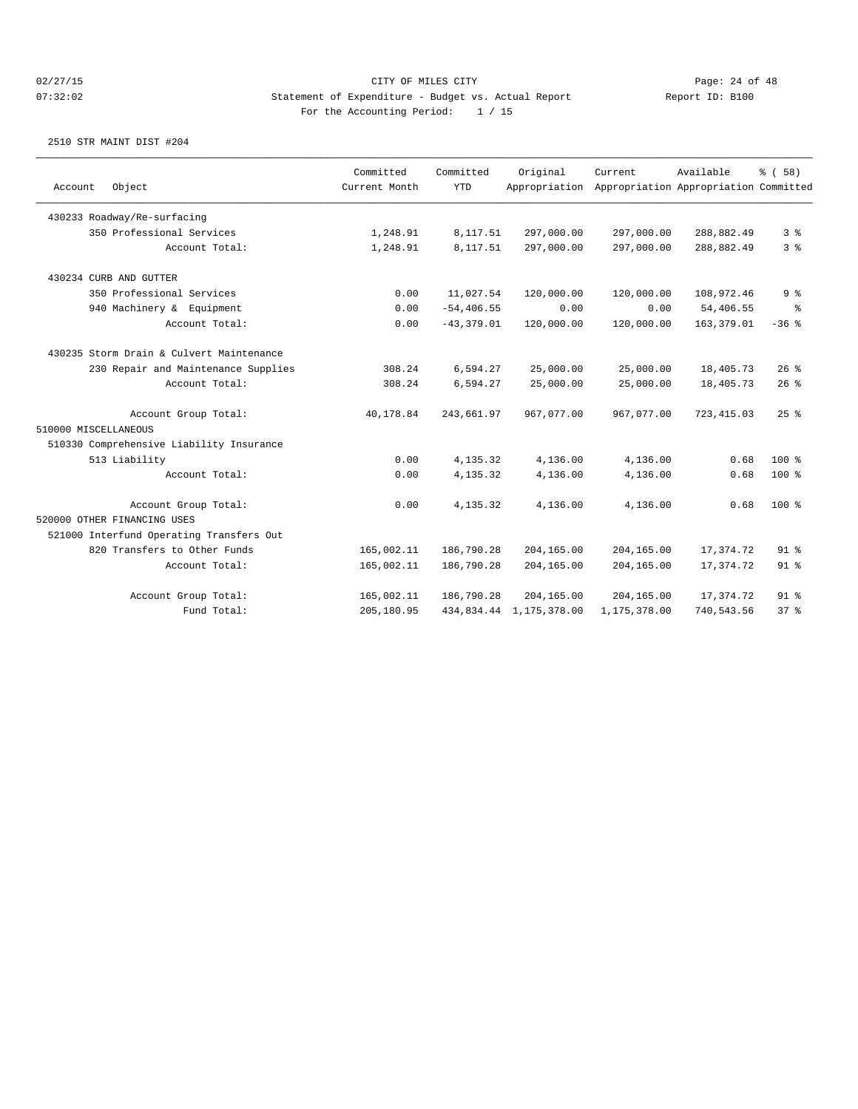| Object<br>Account                        | Committed<br>Current Month | Committed<br><b>YTD</b> | Original<br>Appropriation | Current      | Available<br>Appropriation Appropriation Committed | % (58)          |
|------------------------------------------|----------------------------|-------------------------|---------------------------|--------------|----------------------------------------------------|-----------------|
| 430233 Roadway/Re-surfacing              |                            |                         |                           |              |                                                    |                 |
| 350 Professional Services                | 1,248.91                   | 8,117.51                | 297,000.00                | 297,000.00   | 288,882.49                                         | 3 <sup>8</sup>  |
| Account Total:                           | 1,248.91                   | 8,117.51                | 297,000.00                | 297,000.00   | 288,882.49                                         | 3%              |
| 430234 CURB AND GUTTER                   |                            |                         |                           |              |                                                    |                 |
| 350 Professional Services                | 0.00                       | 11,027.54               | 120,000.00                | 120,000.00   | 108,972.46                                         | 9 <sup>8</sup>  |
| 940 Machinery & Equipment                | 0.00                       | $-54, 406.55$           | 0.00                      | 0.00         | 54,406.55                                          | ွေ              |
| Account Total:                           | 0.00                       | $-43, 379.01$           | 120,000.00                | 120,000.00   | 163, 379.01                                        | $-36$ %         |
| 430235 Storm Drain & Culvert Maintenance |                            |                         |                           |              |                                                    |                 |
| 230 Repair and Maintenance Supplies      | 308.24                     | 6,594.27                | 25,000.00                 | 25,000.00    | 18,405.73                                          | 26%             |
| Account Total:                           | 308.24                     | 6,594.27                | 25,000.00                 | 25,000.00    | 18,405.73                                          | $26$ %          |
| Account Group Total:                     | 40,178.84                  | 243,661.97              | 967,077.00                | 967,077.00   | 723, 415.03                                        | 25%             |
| 510000 MISCELLANEOUS                     |                            |                         |                           |              |                                                    |                 |
| 510330 Comprehensive Liability Insurance |                            |                         |                           |              |                                                    |                 |
| 513 Liability                            | 0.00                       | 4,135.32                | 4,136.00                  | 4,136.00     | 0.68                                               | $100*$          |
| Account Total:                           | 0.00                       | 4,135.32                | 4,136.00                  | 4,136.00     | 0.68                                               | 100 %           |
| Account Group Total:                     | 0.00                       | 4,135.32                | 4,136.00                  | 4,136.00     | 0.68                                               | $100*$          |
| 520000 OTHER FINANCING USES              |                            |                         |                           |              |                                                    |                 |
| 521000 Interfund Operating Transfers Out |                            |                         |                           |              |                                                    |                 |
| 820 Transfers to Other Funds             | 165,002.11                 | 186,790.28              | 204,165.00                | 204,165.00   | 17,374.72                                          | 91 <sup>°</sup> |
| Account Total:                           | 165,002.11                 | 186,790.28              | 204,165.00                | 204,165.00   | 17,374.72                                          | $91$ %          |
| Account Group Total:                     | 165,002.11                 | 186,790.28              | 204,165.00                | 204,165.00   | 17,374.72                                          | $91$ %          |
| Fund Total:                              | 205,180.95                 |                         | 434,834.44 1,175,378.00   | 1,175,378.00 | 740,543.56                                         | 37%             |
|                                          |                            |                         |                           |              |                                                    |                 |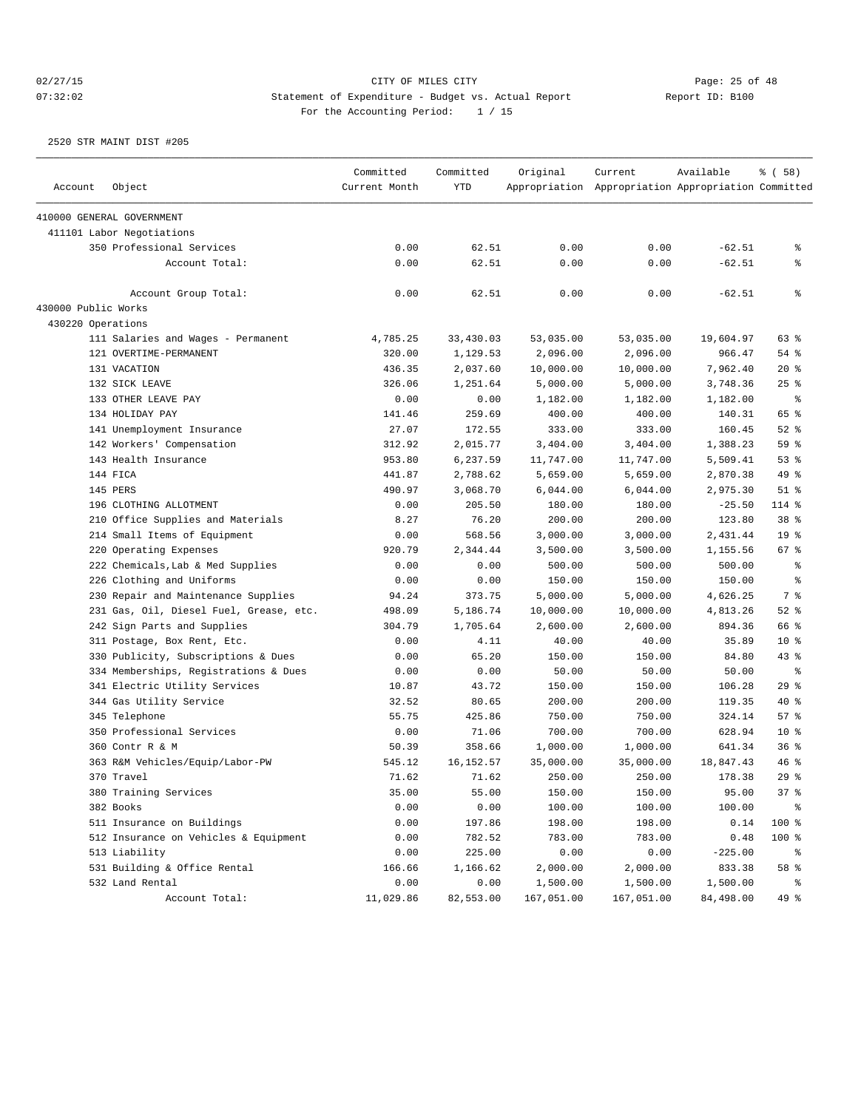| Account             | Object                                  | Committed<br>Current Month | Committed<br><b>YTD</b> | Original   | Current<br>Appropriation Appropriation Appropriation Committed | Available | % (58)          |
|---------------------|-----------------------------------------|----------------------------|-------------------------|------------|----------------------------------------------------------------|-----------|-----------------|
|                     |                                         |                            |                         |            |                                                                |           |                 |
|                     | 410000 GENERAL GOVERNMENT               |                            |                         |            |                                                                |           |                 |
|                     | 411101 Labor Negotiations               |                            |                         |            |                                                                |           |                 |
|                     | 350 Professional Services               | 0.00                       | 62.51                   | 0.00       | 0.00                                                           | $-62.51$  | နွ              |
|                     | Account Total:                          | 0.00                       | 62.51                   | 0.00       | 0.00                                                           | $-62.51$  | နွ              |
|                     | Account Group Total:                    | 0.00                       | 62.51                   | 0.00       | 0.00                                                           | $-62.51$  | ៖               |
| 430000 Public Works |                                         |                            |                         |            |                                                                |           |                 |
| 430220 Operations   |                                         |                            |                         |            |                                                                |           |                 |
|                     | 111 Salaries and Wages - Permanent      | 4,785.25                   | 33,430.03               | 53,035.00  | 53,035.00                                                      | 19,604.97 | 63 %            |
|                     | 121 OVERTIME-PERMANENT                  | 320.00                     | 1,129.53                | 2,096.00   | 2,096.00                                                       | 966.47    | 54 %            |
|                     | 131 VACATION                            | 436.35                     | 2,037.60                | 10,000.00  | 10,000.00                                                      | 7,962.40  | $20*$           |
|                     | 132 SICK LEAVE                          | 326.06                     | 1,251.64                | 5,000.00   | 5,000.00                                                       | 3,748.36  | $25$ %          |
|                     | 133 OTHER LEAVE PAY                     | 0.00                       | 0.00                    | 1,182.00   | 1,182.00                                                       | 1,182.00  | ႜ               |
|                     | 134 HOLIDAY PAY                         | 141.46                     | 259.69                  | 400.00     | 400.00                                                         | 140.31    | 65 %            |
|                     | 141 Unemployment Insurance              | 27.07                      | 172.55                  | 333.00     | 333.00                                                         | 160.45    | $52$ $%$        |
|                     | 142 Workers' Compensation               | 312.92                     | 2,015.77                | 3,404.00   | 3,404.00                                                       | 1,388.23  | 59 %            |
|                     | 143 Health Insurance                    | 953.80                     | 6,237.59                | 11,747.00  | 11,747.00                                                      | 5,509.41  | 53%             |
|                     | 144 FICA                                | 441.87                     | 2,788.62                | 5,659.00   | 5,659.00                                                       | 2,870.38  | 49 %            |
|                     | 145 PERS                                | 490.97                     | 3,068.70                | 6,044.00   | 6,044.00                                                       | 2,975.30  | $51$ %          |
|                     | 196 CLOTHING ALLOTMENT                  | 0.00                       | 205.50                  | 180.00     | 180.00                                                         | $-25.50$  | 114 %           |
|                     | 210 Office Supplies and Materials       | 8.27                       | 76.20                   | 200.00     | 200.00                                                         | 123.80    | 38 %            |
|                     | 214 Small Items of Equipment            | 0.00                       | 568.56                  | 3,000.00   | 3,000.00                                                       | 2,431.44  | 19 <sup>°</sup> |
|                     | 220 Operating Expenses                  | 920.79                     | 2,344.44                | 3,500.00   | 3,500.00                                                       | 1,155.56  | 67%             |
|                     | 222 Chemicals, Lab & Med Supplies       | 0.00                       | 0.00                    | 500.00     | 500.00                                                         | 500.00    | $\epsilon$      |
|                     | 226 Clothing and Uniforms               | 0.00                       | 0.00                    | 150.00     | 150.00                                                         | 150.00    | ి               |
|                     | 230 Repair and Maintenance Supplies     | 94.24                      | 373.75                  | 5,000.00   | 5,000.00                                                       | 4,626.25  | 7 <sup>°</sup>  |
|                     | 231 Gas, Oil, Diesel Fuel, Grease, etc. | 498.09                     | 5,186.74                | 10,000.00  | 10,000.00                                                      | 4,813.26  | $52$ $%$        |
|                     | 242 Sign Parts and Supplies             | 304.79                     | 1,705.64                | 2,600.00   | 2,600.00                                                       | 894.36    | 66 %            |
|                     | 311 Postage, Box Rent, Etc.             | 0.00                       | 4.11                    | 40.00      | 40.00                                                          | 35.89     | $10*$           |
|                     | 330 Publicity, Subscriptions & Dues     | 0.00                       | 65.20                   | 150.00     | 150.00                                                         | 84.80     | $43$ %          |
|                     | 334 Memberships, Registrations & Dues   | 0.00                       | 0.00                    | 50.00      | 50.00                                                          | 50.00     | နွ              |
|                     | 341 Electric Utility Services           | 10.87                      | 43.72                   | 150.00     | 150.00                                                         | 106.28    | 29%             |
|                     | 344 Gas Utility Service                 | 32.52                      | 80.65                   | 200.00     | 200.00                                                         | 119.35    | $40*$           |
|                     | 345 Telephone                           | 55.75                      | 425.86                  | 750.00     | 750.00                                                         | 324.14    | 57%             |
|                     | 350 Professional Services               | 0.00                       | 71.06                   | 700.00     | 700.00                                                         | 628.94    | 10 <sup>8</sup> |
|                     | 360 Contr R & M                         | 50.39                      | 358.66                  | 1,000.00   | 1,000.00                                                       | 641.34    | 36%             |
|                     | 363 R&M Vehicles/Equip/Labor-PW         | 545.12                     | 16, 152.57              | 35,000.00  | 35,000.00                                                      | 18,847.43 | 46 %            |
|                     | 370 Travel                              | 71.62                      | 71.62                   | 250.00     | 250.00                                                         | 178.38    | 29 %            |
|                     | 380 Training Services                   | 35.00                      | 55.00                   | 150.00     | 150.00                                                         | 95.00     | 37%             |
|                     | 382 Books                               | 0.00                       | 0.00                    | 100.00     | 100.00                                                         | 100.00    | နွ              |
|                     | 511 Insurance on Buildings              | 0.00                       | 197.86                  | 198.00     | 198.00                                                         | 0.14      | 100 %           |
|                     | 512 Insurance on Vehicles & Equipment   | 0.00                       | 782.52                  | 783.00     | 783.00                                                         | 0.48      | 100 %           |
|                     | 513 Liability                           | 0.00                       | 225.00                  | 0.00       | 0.00                                                           | $-225.00$ | ိ               |
|                     | 531 Building & Office Rental            | 166.66                     | 1,166.62                | 2,000.00   | 2,000.00                                                       | 833.38    | 58 %            |
|                     | 532 Land Rental                         | 0.00                       | 0.00                    | 1,500.00   | 1,500.00                                                       | 1,500.00  | ိ               |
|                     | Account Total:                          | 11,029.86                  | 82,553.00               | 167,051.00 | 167,051.00                                                     | 84,498.00 | 49 %            |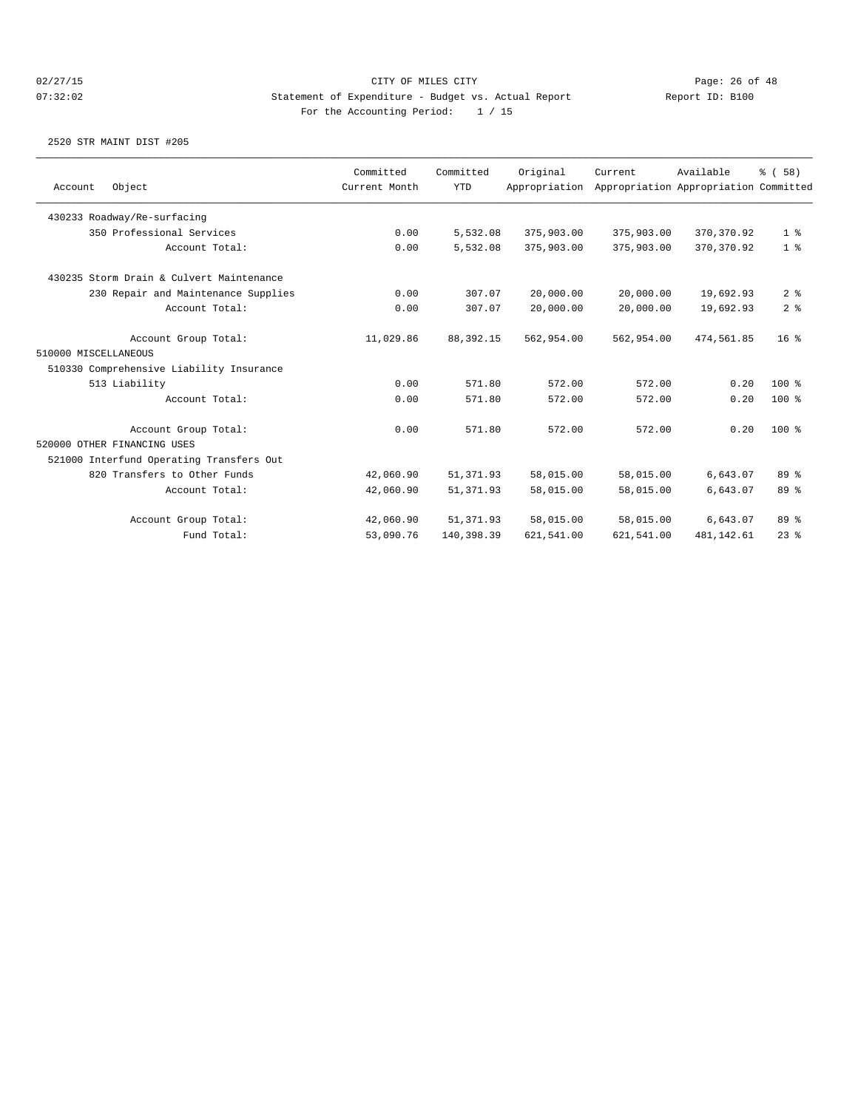|                      |                                          | Committed     | Committed   | Original      | Current    | Available                             | % (58)          |
|----------------------|------------------------------------------|---------------|-------------|---------------|------------|---------------------------------------|-----------------|
| Account              | Object                                   | Current Month | <b>YTD</b>  | Appropriation |            | Appropriation Appropriation Committed |                 |
|                      | 430233 Roadway/Re-surfacing              |               |             |               |            |                                       |                 |
|                      | 350 Professional Services                | 0.00          | 5,532.08    | 375,903.00    | 375,903.00 | 370, 370.92                           | 1 <sup>8</sup>  |
|                      | Account Total:                           | 0.00          | 5,532.08    | 375,903.00    | 375,903.00 | 370, 370.92                           | 1 <sup>8</sup>  |
|                      | 430235 Storm Drain & Culvert Maintenance |               |             |               |            |                                       |                 |
|                      | 230 Repair and Maintenance Supplies      | 0.00          | 307.07      | 20,000.00     | 20,000.00  | 19,692.93                             | 2 <sup>8</sup>  |
|                      | Account Total:                           | 0.00          | 307.07      | 20,000.00     | 20,000.00  | 19,692.93                             | 2 <sup>8</sup>  |
|                      | Account Group Total:                     | 11,029.86     | 88, 392. 15 | 562,954.00    | 562,954.00 | 474,561.85                            | 16 <sup>8</sup> |
| 510000 MISCELLANEOUS |                                          |               |             |               |            |                                       |                 |
|                      | 510330 Comprehensive Liability Insurance |               |             |               |            |                                       |                 |
|                      | 513 Liability                            | 0.00          | 571.80      | 572.00        | 572.00     | 0.20                                  | $100*$          |
|                      | Account Total:                           | 0.00          | 571.80      | 572.00        | 572.00     | 0.20                                  | $100*$          |
|                      | Account Group Total:                     | 0.00          | 571.80      | 572.00        | 572.00     | 0.20                                  | $100*$          |
|                      | 520000 OTHER FINANCING USES              |               |             |               |            |                                       |                 |
|                      | 521000 Interfund Operating Transfers Out |               |             |               |            |                                       |                 |
|                      | 820 Transfers to Other Funds             | 42,060.90     | 51, 371.93  | 58,015.00     | 58,015.00  | 6,643.07                              | 89 %            |
|                      | Account Total:                           | 42,060.90     | 51, 371.93  | 58,015.00     | 58,015.00  | 6,643.07                              | 89 %            |
|                      | Account Group Total:                     | 42,060.90     | 51, 371.93  | 58,015.00     | 58,015.00  | 6,643.07                              | 89 %            |
|                      | Fund Total:                              | 53,090.76     | 140,398.39  | 621,541.00    | 621,541.00 | 481,142.61                            | $23$ $%$        |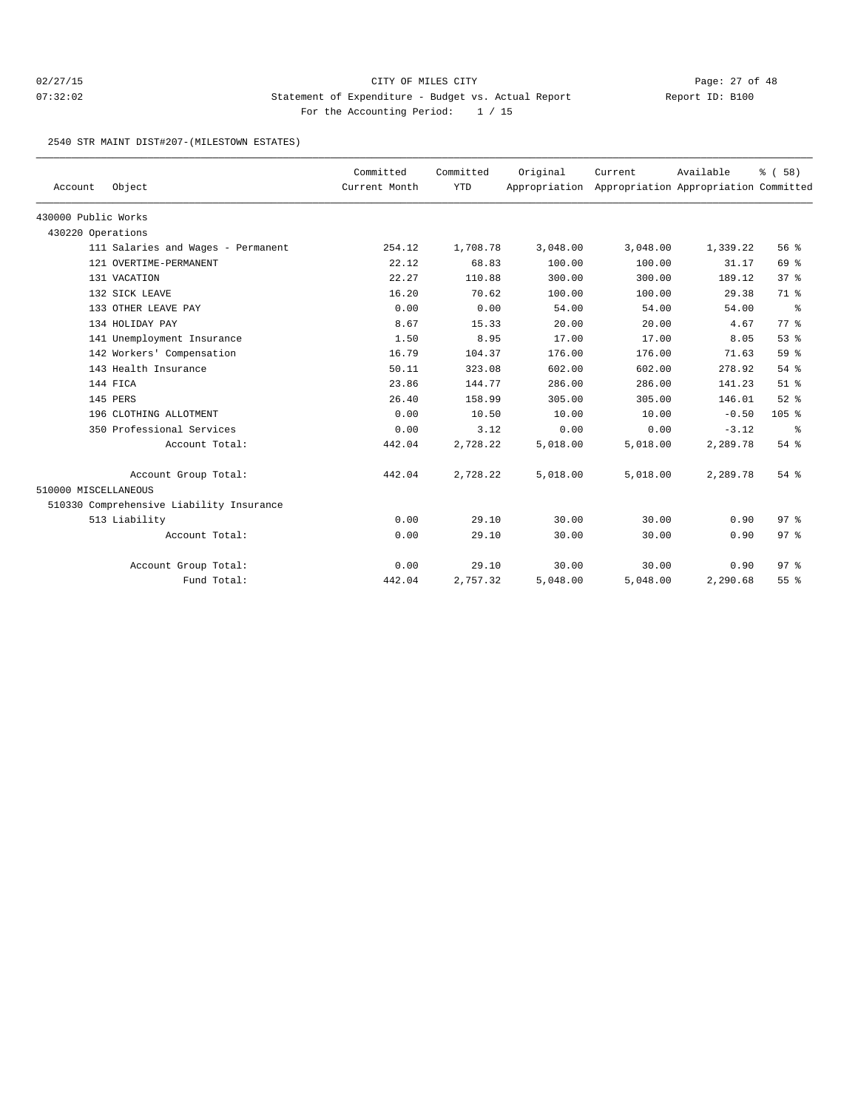# 02/27/15 **Page: 27 of 48** CITY OF MILES CITY **Page: 27 of 48** 07:32:02 Statement of Expenditure - Budget vs. Actual Report Report ID: B100 For the Accounting Period: 1 / 15

2540 STR MAINT DIST#207-(MILESTOWN ESTATES)

| Account              | Object                                   | Committed<br>Current Month | Committed<br><b>YTD</b> | Original | Current<br>Appropriation Appropriation Appropriation Committed | Available | % ( 58 )        |
|----------------------|------------------------------------------|----------------------------|-------------------------|----------|----------------------------------------------------------------|-----------|-----------------|
| 430000 Public Works  |                                          |                            |                         |          |                                                                |           |                 |
| 430220 Operations    |                                          |                            |                         |          |                                                                |           |                 |
|                      | 111 Salaries and Wages - Permanent       | 254.12                     | 1,708.78                | 3,048.00 | 3,048.00                                                       | 1,339.22  | 56 %            |
|                      | 121 OVERTIME-PERMANENT                   | 22.12                      | 68.83                   | 100.00   | 100.00                                                         | 31.17     | 69 %            |
|                      | 131 VACATION                             | 22.27                      | 110.88                  | 300.00   | 300.00                                                         | 189.12    | 37 <sup>8</sup> |
|                      | 132 SICK LEAVE                           | 16.20                      | 70.62                   | 100.00   | 100.00                                                         | 29.38     | 71.8            |
|                      | 133 OTHER LEAVE PAY                      | 0.00                       | 0.00                    | 54.00    | 54.00                                                          | 54.00     | ွေ              |
|                      | 134 HOLIDAY PAY                          | 8.67                       | 15.33                   | 20.00    | 20.00                                                          | 4.67      | 77.8            |
|                      | 141 Unemployment Insurance               | 1.50                       | 8.95                    | 17.00    | 17.00                                                          | 8.05      | 53%             |
|                      | 142 Workers' Compensation                | 16.79                      | 104.37                  | 176.00   | 176.00                                                         | 71.63     | 59%             |
|                      | 143 Health Insurance                     | 50.11                      | 323.08                  | 602.00   | 602.00                                                         | 278.92    | 54 %            |
|                      | 144 FICA                                 | 23.86                      | 144.77                  | 286.00   | 286.00                                                         | 141.23    | $51$ %          |
|                      | 145 PERS                                 | 26.40                      | 158.99                  | 305.00   | 305.00                                                         | 146.01    | $52$ $%$        |
|                      | 196 CLOTHING ALLOTMENT                   | 0.00                       | 10.50                   | 10.00    | 10.00                                                          | $-0.50$   | $105$ %         |
|                      | 350 Professional Services                | 0.00                       | 3.12                    | 0.00     | 0.00                                                           | $-3.12$   | ႜ               |
|                      | Account Total:                           | 442.04                     | 2,728.22                | 5,018.00 | 5,018.00                                                       | 2,289.78  | 54 %            |
|                      | Account Group Total:                     | 442.04                     | 2,728.22                | 5,018.00 | 5,018.00                                                       | 2,289.78  | 54%             |
| 510000 MISCELLANEOUS |                                          |                            |                         |          |                                                                |           |                 |
|                      | 510330 Comprehensive Liability Insurance |                            |                         |          |                                                                |           |                 |
|                      | 513 Liability                            | 0.00                       | 29.10                   | 30.00    | 30.00                                                          | 0.90      | 97 <sup>°</sup> |
|                      | Account Total:                           | 0.00                       | 29.10                   | 30.00    | 30.00                                                          | 0.90      | 97 <sub>8</sub> |
|                      | Account Group Total:                     | 0.00                       | 29.10                   | 30.00    | 30.00                                                          | 0.90      | 97 <sub>8</sub> |
|                      | Fund Total:                              | 442.04                     | 2,757.32                | 5,048.00 | 5,048.00                                                       | 2,290.68  | 55%             |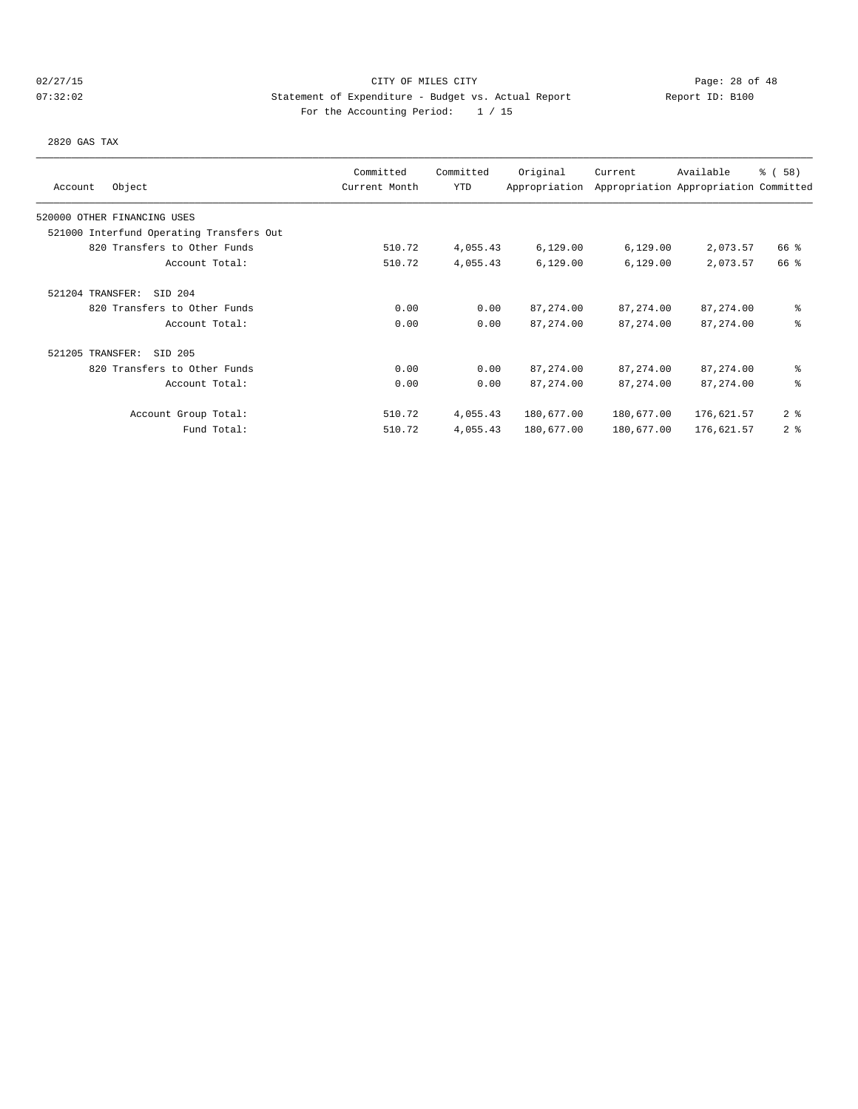# 02/27/15 **Page: 28 of 48** CITY OF MILES CITY **CITY Page: 28 of 48** 07:32:02 Statement of Expenditure - Budget vs. Actual Report Changer Report ID: B100 For the Accounting Period: 1 / 15

2820 GAS TAX

| Object<br>Account                        | Committed<br>Current Month | Committed<br>YTD | Original<br>Appropriation | Current    | Available<br>Appropriation Appropriation Committed | % (58)         |
|------------------------------------------|----------------------------|------------------|---------------------------|------------|----------------------------------------------------|----------------|
|                                          |                            |                  |                           |            |                                                    |                |
| 520000 OTHER FINANCING USES              |                            |                  |                           |            |                                                    |                |
| 521000 Interfund Operating Transfers Out |                            |                  |                           |            |                                                    |                |
| 820 Transfers to Other Funds             | 510.72                     | 4,055.43         | 6,129.00                  | 6,129.00   | 2,073.57                                           | 66 %           |
| Account Total:                           | 510.72                     | 4,055.43         | 6,129.00                  | 6,129.00   | 2,073.57                                           | 66 %           |
| 521204 TRANSFER:<br>SID 204              |                            |                  |                           |            |                                                    |                |
| 820 Transfers to Other Funds             | 0.00                       | 0.00             | 87, 274.00                | 87, 274.00 | 87,274.00                                          | နွ             |
| Account Total:                           | 0.00                       | 0.00             | 87, 274.00                | 87, 274.00 | 87,274.00                                          | နွ             |
| 521205 TRANSFER:<br>SID 205              |                            |                  |                           |            |                                                    |                |
| 820 Transfers to Other Funds             | 0.00                       | 0.00             | 87, 274.00                | 87, 274.00 | 87,274.00                                          | နွ             |
| Account Total:                           | 0.00                       | 0.00             | 87, 274.00                | 87, 274.00 | 87,274.00                                          | နွ             |
| Account Group Total:                     | 510.72                     | 4,055.43         | 180,677.00                | 180,677.00 | 176,621.57                                         | 2 <sup>8</sup> |
| Fund Total:                              | 510.72                     | 4,055.43         | 180,677.00                | 180,677.00 | 176,621.57                                         | 2 <sup>8</sup> |
|                                          |                            |                  |                           |            |                                                    |                |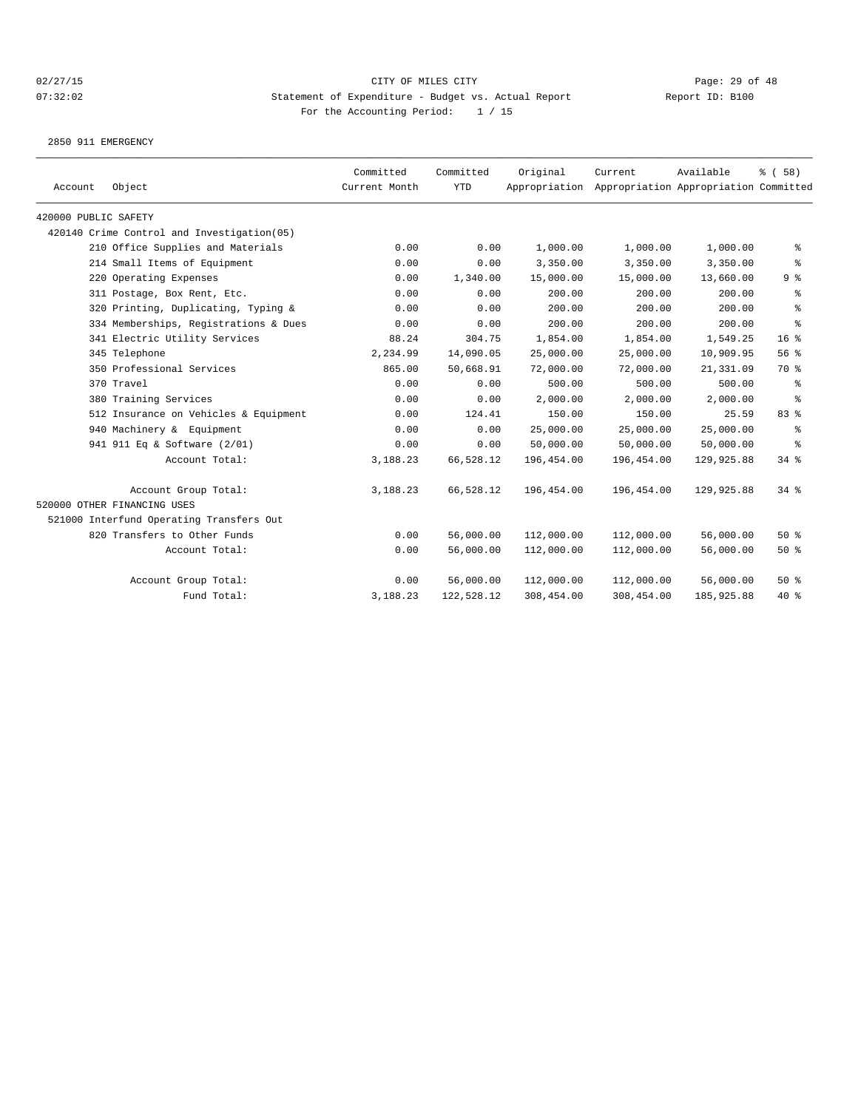2850 911 EMERGENCY

| Account              | Object                                     | Committed<br>Current Month | Committed<br><b>YTD</b> | Original   | Current<br>Appropriation Appropriation Appropriation Committed | Available  | % (58)          |
|----------------------|--------------------------------------------|----------------------------|-------------------------|------------|----------------------------------------------------------------|------------|-----------------|
| 420000 PUBLIC SAFETY |                                            |                            |                         |            |                                                                |            |                 |
|                      | 420140 Crime Control and Investigation(05) |                            |                         |            |                                                                |            |                 |
|                      | 210 Office Supplies and Materials          | 0.00                       | 0.00                    | 1,000.00   | 1,000.00                                                       | 1,000.00   | ႜ               |
|                      | 214 Small Items of Equipment               | 0.00                       | 0.00                    | 3,350.00   | 3,350.00                                                       | 3,350.00   | ႜ               |
|                      | 220 Operating Expenses                     | 0.00                       | 1,340.00                | 15,000.00  | 15,000.00                                                      | 13,660.00  | 9 <sup>°</sup>  |
|                      | 311 Postage, Box Rent, Etc.                | 0.00                       | 0.00                    | 200.00     | 200.00                                                         | 200.00     | ి               |
|                      | 320 Printing, Duplicating, Typing &        | 0.00                       | 0.00                    | 200.00     | 200.00                                                         | 200.00     | ి               |
|                      | 334 Memberships, Registrations & Dues      | 0.00                       | 0.00                    | 200.00     | 200.00                                                         | 200.00     | ి               |
|                      | 341 Electric Utility Services              | 88.24                      | 304.75                  | 1,854.00   | 1,854.00                                                       | 1,549.25   | 16 <sup>8</sup> |
|                      | 345 Telephone                              | 2,234.99                   | 14,090.05               | 25,000.00  | 25,000.00                                                      | 10,909.95  | 56 %            |
|                      | 350 Professional Services                  | 865.00                     | 50,668.91               | 72,000.00  | 72,000.00                                                      | 21,331.09  | 70 %            |
|                      | 370 Travel                                 | 0.00                       | 0.00                    | 500.00     | 500.00                                                         | 500.00     | ႜ               |
|                      | 380 Training Services                      | 0.00                       | 0.00                    | 2,000.00   | 2,000.00                                                       | 2,000.00   | နွ              |
|                      | 512 Insurance on Vehicles & Equipment      | 0.00                       | 124.41                  | 150.00     | 150.00                                                         | 25.59      | 83 %            |
|                      | 940 Machinery & Equipment                  | 0.00                       | 0.00                    | 25,000.00  | 25,000.00                                                      | 25,000.00  | န္              |
|                      | 941 911 Eq & Software (2/01)               | 0.00                       | 0.00                    | 50,000.00  | 50,000.00                                                      | 50,000.00  | နွ              |
|                      | Account Total:                             | 3,188.23                   | 66,528.12               | 196,454.00 | 196,454.00                                                     | 129,925.88 | 34%             |
|                      | Account Group Total:                       | 3,188.23                   | 66,528.12               | 196,454.00 | 196,454.00                                                     | 129,925.88 | 34%             |
|                      | 520000 OTHER FINANCING USES                |                            |                         |            |                                                                |            |                 |
|                      | 521000 Interfund Operating Transfers Out   |                            |                         |            |                                                                |            |                 |
|                      | 820 Transfers to Other Funds               | 0.00                       | 56,000.00               | 112,000.00 | 112,000.00                                                     | 56,000.00  | 50%             |
|                      | Account Total:                             | 0.00                       | 56,000.00               | 112,000.00 | 112,000.00                                                     | 56,000.00  | 50%             |
|                      | Account Group Total:                       | 0.00                       | 56,000.00               | 112,000.00 | 112,000.00                                                     | 56,000.00  | $50*$           |
|                      | Fund Total:                                | 3,188.23                   | 122,528.12              | 308,454.00 | 308,454.00                                                     | 185,925.88 | $40*$           |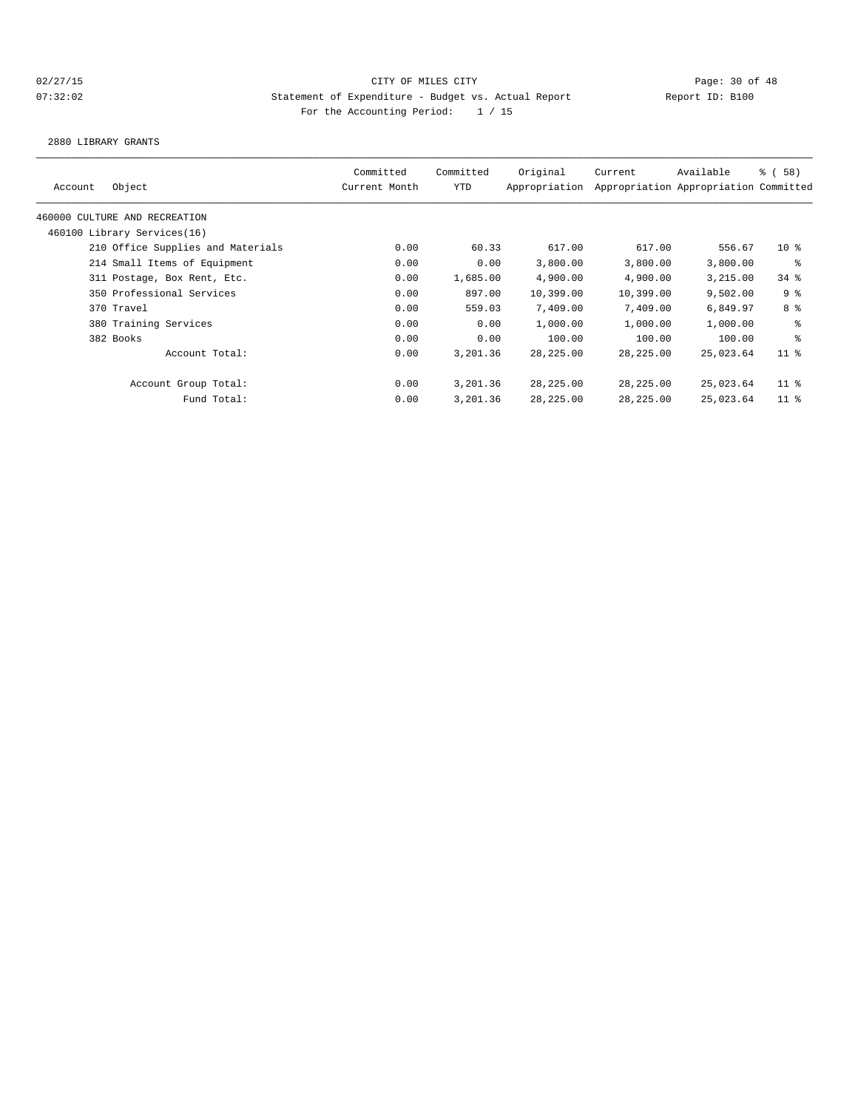2880 LIBRARY GRANTS

| Account | Object                            | Committed<br>Current Month | Committed<br>YTD | Original<br>Appropriation | Current     | Available<br>Appropriation Appropriation Committed | 8 ( 58)         |
|---------|-----------------------------------|----------------------------|------------------|---------------------------|-------------|----------------------------------------------------|-----------------|
|         | 460000 CULTURE AND RECREATION     |                            |                  |                           |             |                                                    |                 |
|         | 460100 Library Services(16)       |                            |                  |                           |             |                                                    |                 |
|         | 210 Office Supplies and Materials | 0.00                       | 60.33            | 617.00                    | 617.00      | 556.67                                             | 10 <sup>8</sup> |
|         | 214 Small Items of Equipment      | 0.00                       | 0.00             | 3,800.00                  | 3,800.00    | 3,800.00                                           | နွ              |
|         | 311 Postage, Box Rent, Etc.       | 0.00                       | 1,685.00         | 4,900.00                  | 4,900.00    | 3,215.00                                           | $34$ $%$        |
|         | 350 Professional Services         | 0.00                       | 897.00           | 10,399.00                 | 10,399.00   | 9,502.00                                           | 9%              |
|         | 370 Travel                        | 0.00                       | 559.03           | 7,409.00                  | 7,409.00    | 6,849.97                                           | 8 %             |
|         | 380 Training Services             | 0.00                       | 0.00             | 1,000.00                  | 1,000.00    | 1,000.00                                           | နွ              |
|         | 382 Books                         | 0.00                       | 0.00             | 100.00                    | 100.00      | 100.00                                             | နွ              |
|         | Account Total:                    | 0.00                       | 3,201.36         | 28, 225, 00               | 28, 225, 00 | 25,023.64                                          | 11 <sup>8</sup> |
|         | Account Group Total:              | 0.00                       | 3,201.36         | 28, 225.00                | 28,225.00   | 25,023.64                                          | $11$ %          |
|         | Fund Total:                       | 0.00                       | 3,201.36         | 28,225.00                 | 28,225.00   | 25,023.64                                          | 11 <sup>8</sup> |
|         |                                   |                            |                  |                           |             |                                                    |                 |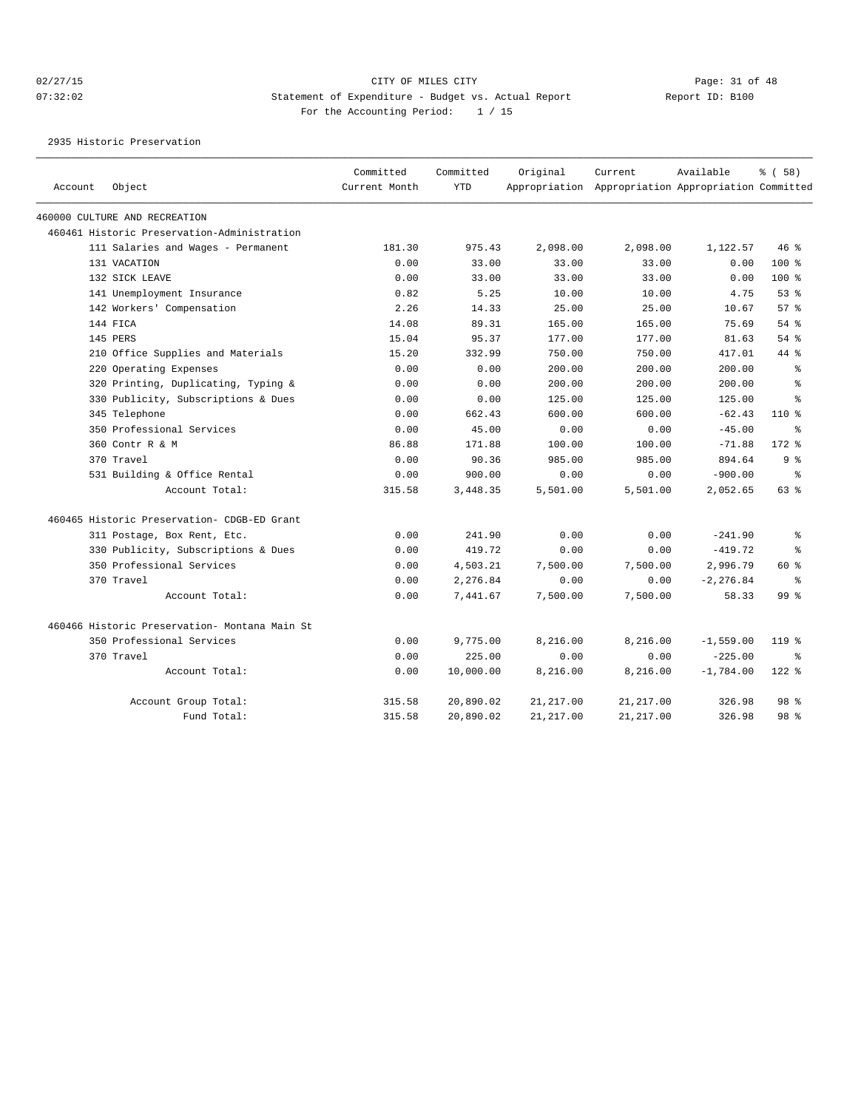# 02/27/15 **Page: 31 of 48** CITY OF MILES CITY **Page: 31 of 48** 07:32:02 Statement of Expenditure - Budget vs. Actual Report Changer Report ID: B100 For the Accounting Period: 1 / 15

2935 Historic Preservation

| Account | Object                                         | Committed<br>Current Month | Committed<br><b>YTD</b> | Original   | Current<br>Appropriation Appropriation Appropriation Committed | Available    | % (58)          |
|---------|------------------------------------------------|----------------------------|-------------------------|------------|----------------------------------------------------------------|--------------|-----------------|
|         | 460000 CULTURE AND RECREATION                  |                            |                         |            |                                                                |              |                 |
|         | 460461 Historic Preservation-Administration    |                            |                         |            |                                                                |              |                 |
|         | 111 Salaries and Wages - Permanent             | 181.30                     | 975.43                  | 2,098.00   | 2,098.00                                                       | 1,122.57     | 46%             |
|         | 131 VACATION                                   | 0.00                       | 33.00                   | 33.00      | 33.00                                                          | 0.00         | $100$ %         |
|         | 132 SICK LEAVE                                 | 0.00                       | 33.00                   | 33.00      | 33.00                                                          | 0.00         | $100$ %         |
|         | 141 Unemployment Insurance                     | 0.82                       | 5.25                    | 10.00      | 10.00                                                          | 4.75         | 53%             |
|         | 142 Workers' Compensation                      | 2.26                       | 14.33                   | 25.00      | 25.00                                                          | 10.67        | 57%             |
|         | 144 FICA                                       | 14.08                      | 89.31                   | 165.00     | 165.00                                                         | 75.69        | 54%             |
|         | 145 PERS                                       | 15.04                      | 95.37                   | 177.00     | 177.00                                                         | 81.63        | 54%             |
|         | 210 Office Supplies and Materials              | 15.20                      | 332.99                  | 750.00     | 750.00                                                         | 417.01       | 44 %            |
|         | 220 Operating Expenses                         | 0.00                       | 0.00                    | 200.00     | 200.00                                                         | 200.00       | ⊱               |
|         | 320 Printing, Duplicating, Typing &            | 0.00                       | 0.00                    | 200.00     | 200.00                                                         | 200.00       | ⊱               |
|         | 330 Publicity, Subscriptions & Dues            | 0.00                       | 0.00                    | 125.00     | 125.00                                                         | 125.00       | နွ              |
|         | 345 Telephone                                  | 0.00                       | 662.43                  | 600.00     | 600.00                                                         | $-62.43$     | $110*$          |
|         | 350 Professional Services                      | 0.00                       | 45.00                   | 0.00       | 0.00                                                           | $-45.00$     | နွ              |
|         | 360 Contr R & M                                | 86.88                      | 171.88                  | 100.00     | 100.00                                                         | $-71.88$     | $172$ %         |
|         | 370 Travel                                     | 0.00                       | 90.36                   | 985.00     | 985.00                                                         | 894.64       | 9 <sup>°</sup>  |
|         | 531 Building & Office Rental                   | 0.00                       | 900.00                  | 0.00       | 0.00                                                           | $-900.00$    | နွ              |
|         | Account Total:                                 | 315.58                     | 3,448.35                | 5,501.00   | 5,501.00                                                       | 2,052.65     | 63%             |
|         | 460465 Historic Preservation- CDGB-ED Grant    |                            |                         |            |                                                                |              |                 |
|         | 311 Postage, Box Rent, Etc.                    | 0.00                       | 241.90                  | 0.00       | 0.00                                                           | $-241.90$    | နွ              |
|         | 330 Publicity, Subscriptions & Dues            | 0.00                       | 419.72                  | 0.00       | 0.00                                                           | $-419.72$    | ి               |
|         | 350 Professional Services                      | 0.00                       | 4,503.21                | 7,500.00   | 7,500.00                                                       | 2,996.79     | 60%             |
|         | 370 Travel                                     | 0.00                       | 2,276.84                | 0.00       | 0.00                                                           | $-2, 276.84$ | နွ              |
|         | Account Total:                                 | 0.00                       | 7,441.67                | 7,500.00   | 7,500.00                                                       | 58.33        | 99 <sup>°</sup> |
|         | 460466 Historic Preservation- Montana Main St. |                            |                         |            |                                                                |              |                 |
|         | 350 Professional Services                      | 0.00                       | 9,775.00                | 8,216.00   | 8,216.00                                                       | $-1,559.00$  | $119$ %         |
|         | 370 Travel                                     | 0.00                       | 225.00                  | 0.00       | 0.00                                                           | $-225.00$    | ႜ               |
|         | Account Total:                                 | 0.00                       | 10,000.00               | 8,216.00   | 8,216.00                                                       | $-1,784.00$  | $122$ %         |
|         | Account Group Total:                           | 315.58                     | 20,890.02               | 21, 217.00 | 21, 217.00                                                     | 326.98       | 98 <sup>8</sup> |
|         | Fund Total:                                    | 315.58                     | 20,890.02               | 21, 217.00 | 21, 217.00                                                     | 326.98       | 98 %            |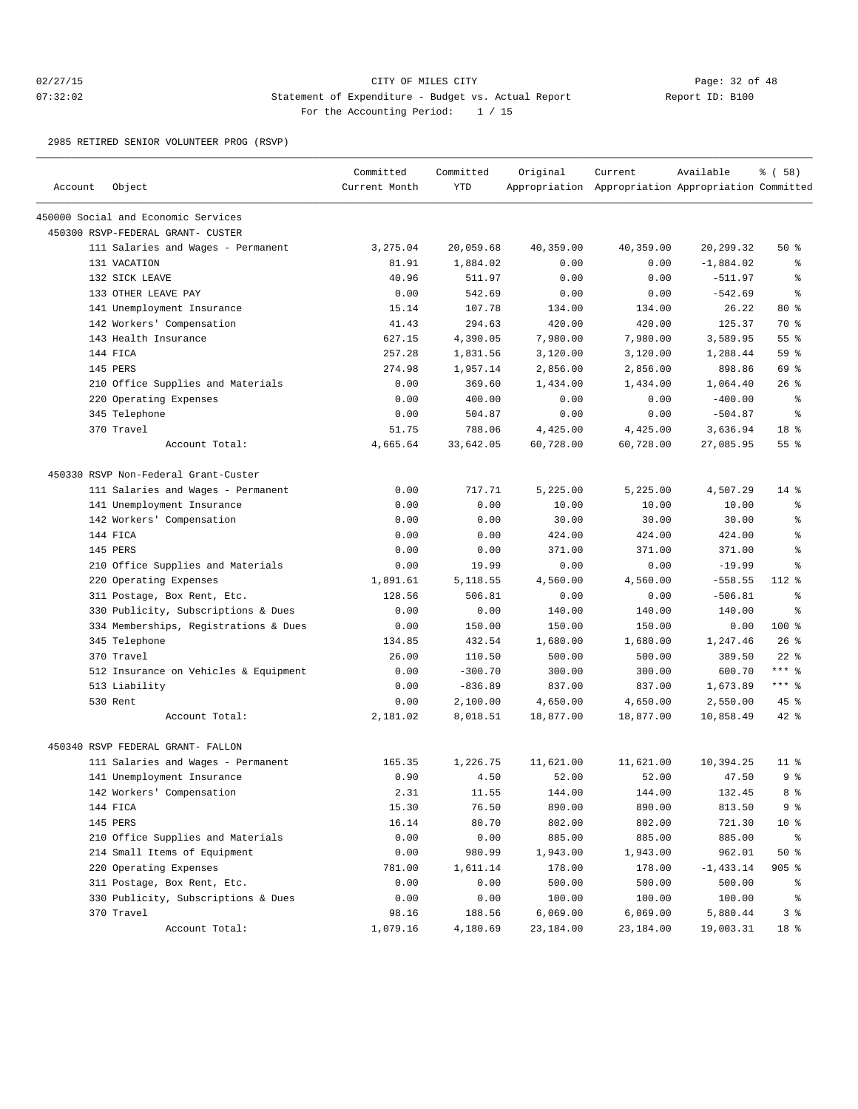### 02/27/15 **Page: 32 of 48** CITY OF MILES CITY **Page: 32 of 48** 07:32:02 Statement of Expenditure - Budget vs. Actual Report Changer Report ID: B100 For the Accounting Period: 1 / 15

2985 RETIRED SENIOR VOLUNTEER PROG (RSVP)

| Account | Object                                | Committed<br>Current Month | Committed<br><b>YTD</b> | Original  | Current<br>Appropriation Appropriation Appropriation Committed | Available    | 8 ( 58)         |
|---------|---------------------------------------|----------------------------|-------------------------|-----------|----------------------------------------------------------------|--------------|-----------------|
|         | 450000 Social and Economic Services   |                            |                         |           |                                                                |              |                 |
|         | 450300 RSVP-FEDERAL GRANT- CUSTER     |                            |                         |           |                                                                |              |                 |
|         | 111 Salaries and Wages - Permanent    | 3,275.04                   | 20,059.68               | 40,359.00 | 40,359.00                                                      | 20,299.32    | 50%             |
|         | 131 VACATION                          | 81.91                      | 1,884.02                | 0.00      | 0.00                                                           | $-1,884.02$  | ႜ               |
|         | 132 SICK LEAVE                        | 40.96                      | 511.97                  | 0.00      | 0.00                                                           | $-511.97$    | ి               |
|         | 133 OTHER LEAVE PAY                   | 0.00                       | 542.69                  | 0.00      | 0.00                                                           | $-542.69$    | ి               |
|         | 141 Unemployment Insurance            | 15.14                      | 107.78                  | 134.00    | 134.00                                                         | 26.22        | $80*$           |
|         | 142 Workers' Compensation             | 41.43                      | 294.63                  | 420.00    | 420.00                                                         | 125.37       | 70 %            |
|         | 143 Health Insurance                  | 627.15                     | 4,390.05                | 7,980.00  | 7,980.00                                                       | 3,589.95     | 55%             |
|         | 144 FICA                              | 257.28                     | 1,831.56                | 3,120.00  | 3,120.00                                                       | 1,288.44     | 59 %            |
|         | 145 PERS                              | 274.98                     | 1,957.14                | 2,856.00  | 2,856.00                                                       | 898.86       | 69 %            |
|         | 210 Office Supplies and Materials     | 0.00                       | 369.60                  | 1,434.00  | 1,434.00                                                       | 1,064.40     | $26$ %          |
|         | 220 Operating Expenses                | 0.00                       | 400.00                  | 0.00      | 0.00                                                           | $-400.00$    | နွ              |
|         | 345 Telephone                         | 0.00                       | 504.87                  | 0.00      | 0.00                                                           | $-504.87$    | နွ              |
|         | 370 Travel                            | 51.75                      | 788.06                  | 4,425.00  | 4,425.00                                                       | 3,636.94     | 18 %            |
|         | Account Total:                        | 4,665.64                   | 33,642.05               | 60,728.00 | 60,728.00                                                      | 27,085.95    | 55%             |
|         | 450330 RSVP Non-Federal Grant-Custer  |                            |                         |           |                                                                |              |                 |
|         | 111 Salaries and Wages - Permanent    | 0.00                       | 717.71                  | 5,225.00  | 5,225.00                                                       | 4,507.29     | $14*$           |
|         | 141 Unemployment Insurance            | 0.00                       | 0.00                    | 10.00     | 10.00                                                          | 10.00        | နွ              |
|         | 142 Workers' Compensation             | 0.00                       | 0.00                    | 30.00     | 30.00                                                          | 30.00        | ి               |
|         | 144 FICA                              | 0.00                       | 0.00                    | 424.00    | 424.00                                                         | 424.00       | š               |
|         | 145 PERS                              | 0.00                       | 0.00                    | 371.00    | 371.00                                                         | 371.00       | ి               |
|         | 210 Office Supplies and Materials     | 0.00                       | 19.99                   | 0.00      | 0.00                                                           | $-19.99$     | ి               |
|         | 220 Operating Expenses                | 1,891.61                   | 5,118.55                | 4,560.00  | 4,560.00                                                       | $-558.55$    | $112$ %         |
|         | 311 Postage, Box Rent, Etc.           | 128.56                     | 506.81                  | 0.00      | 0.00                                                           | $-506.81$    | နွ              |
|         | 330 Publicity, Subscriptions & Dues   | 0.00                       | 0.00                    | 140.00    | 140.00                                                         | 140.00       | နွ              |
|         | 334 Memberships, Registrations & Dues | 0.00                       | 150.00                  | 150.00    | 150.00                                                         | 0.00         | $100$ %         |
|         | 345 Telephone                         | 134.85                     | 432.54                  | 1,680.00  | 1,680.00                                                       | 1,247.46     | 26%             |
|         | 370 Travel                            | 26.00                      | 110.50                  | 500.00    | 500.00                                                         | 389.50       | $22$ %          |
|         | 512 Insurance on Vehicles & Equipment | 0.00                       | $-300.70$               | 300.00    | 300.00                                                         | 600.70       | $***$ 8         |
|         | 513 Liability                         | 0.00                       | $-836.89$               | 837.00    | 837.00                                                         | 1,673.89     | $***$ $%$       |
|         | 530 Rent                              | 0.00                       | 2,100.00                | 4,650.00  | 4,650.00                                                       | 2,550.00     | 45 %            |
|         | Account Total:                        | 2,181.02                   | 8,018.51                | 18,877.00 | 18,877.00                                                      | 10,858.49    | $42$ %          |
|         | 450340 RSVP FEDERAL GRANT- FALLON     |                            |                         |           |                                                                |              |                 |
|         | 111 Salaries and Wages - Permanent    | 165.35                     | 1,226.75                | 11,621.00 | 11,621.00                                                      | 10,394.25    | $11$ %          |
|         | 141 Unemployment Insurance            | 0.90                       | 4.50                    | 52.00     | 52.00                                                          | 47.50        | 9%              |
|         | 142 Workers' Compensation             | 2.31                       | 11.55                   | 144.00    | 144.00                                                         | 132.45       | 8 %             |
|         | 144 FICA                              | 15.30                      | 76.50                   | 890.00    | 890.00                                                         | 813.50       | 9 <sup>°</sup>  |
|         | 145 PERS                              | 16.14                      | 80.70                   | 802.00    | 802.00                                                         | 721.30       | 10 <sup>°</sup> |
|         | 210 Office Supplies and Materials     | 0.00                       | 0.00                    | 885.00    | 885.00                                                         | 885.00       | ႜૢ              |
|         | 214 Small Items of Equipment          | 0.00                       | 980.99                  | 1,943.00  | 1,943.00                                                       | 962.01       | 50%             |
|         | 220 Operating Expenses                | 781.00                     | 1,611.14                | 178.00    | 178.00                                                         | $-1, 433.14$ | $905$ %         |
|         | 311 Postage, Box Rent, Etc.           | 0.00                       | 0.00                    | 500.00    | 500.00                                                         | 500.00       | ႜૢ              |
|         | 330 Publicity, Subscriptions & Dues   | 0.00                       | 0.00                    | 100.00    | 100.00                                                         | 100.00       | ႜૢ              |
|         | 370 Travel                            | 98.16                      | 188.56                  | 6,069.00  | 6,069.00                                                       | 5,880.44     | 3%              |
|         | Account Total:                        | 1,079.16                   | 4,180.69                | 23,184.00 | 23,184.00                                                      | 19,003.31    | 18 %            |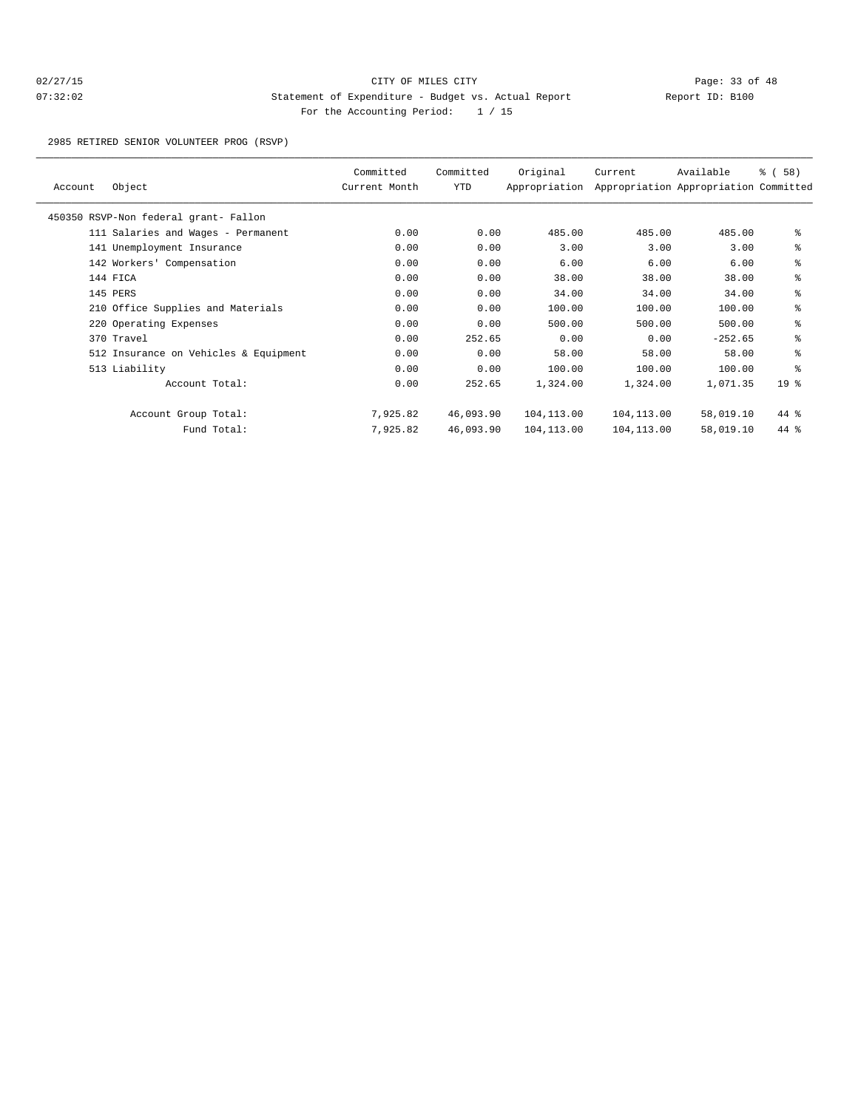2985 RETIRED SENIOR VOLUNTEER PROG (RSVP)

| Object<br>Account                     | Committed<br>Current Month | Committed<br><b>YTD</b> | Original<br>Appropriation | Current    | Available<br>Appropriation Appropriation Committed | % (58)          |
|---------------------------------------|----------------------------|-------------------------|---------------------------|------------|----------------------------------------------------|-----------------|
|                                       |                            |                         |                           |            |                                                    |                 |
| 450350 RSVP-Non federal grant- Fallon |                            |                         |                           |            |                                                    |                 |
| 111 Salaries and Wages - Permanent    | 0.00                       | 0.00                    | 485.00                    | 485.00     | 485.00                                             | နွ              |
| 141 Unemployment Insurance            | 0.00                       | 0.00                    | 3.00                      | 3.00       | 3.00                                               | နွ              |
| 142 Workers' Compensation             | 0.00                       | 0.00                    | 6.00                      | 6.00       | 6.00                                               | နွ              |
| 144 FICA                              | 0.00                       | 0.00                    | 38.00                     | 38.00      | 38.00                                              | နွ              |
| 145 PERS                              | 0.00                       | 0.00                    | 34.00                     | 34.00      | 34.00                                              | နွ              |
| 210 Office Supplies and Materials     | 0.00                       | 0.00                    | 100.00                    | 100.00     | 100.00                                             | နွ              |
| 220 Operating Expenses                | 0.00                       | 0.00                    | 500.00                    | 500.00     | 500.00                                             | နွ              |
| 370 Travel                            | 0.00                       | 252.65                  | 0.00                      | 0.00       | $-252.65$                                          | နွ              |
| 512 Insurance on Vehicles & Equipment | 0.00                       | 0.00                    | 58.00                     | 58.00      | 58.00                                              | နွ              |
| 513 Liability                         | 0.00                       | 0.00                    | 100.00                    | 100.00     | 100.00                                             | ి               |
| Account Total:                        | 0.00                       | 252.65                  | 1,324.00                  | 1,324.00   | 1,071.35                                           | 19 <sup>°</sup> |
| Account Group Total:                  | 7,925.82                   | 46,093.90               | 104,113.00                | 104,113.00 | 58,019.10                                          | 44 %            |
| Fund Total:                           | 7,925.82                   | 46,093.90               | 104,113.00                | 104,113.00 | 58,019.10                                          | 44 %            |
|                                       |                            |                         |                           |            |                                                    |                 |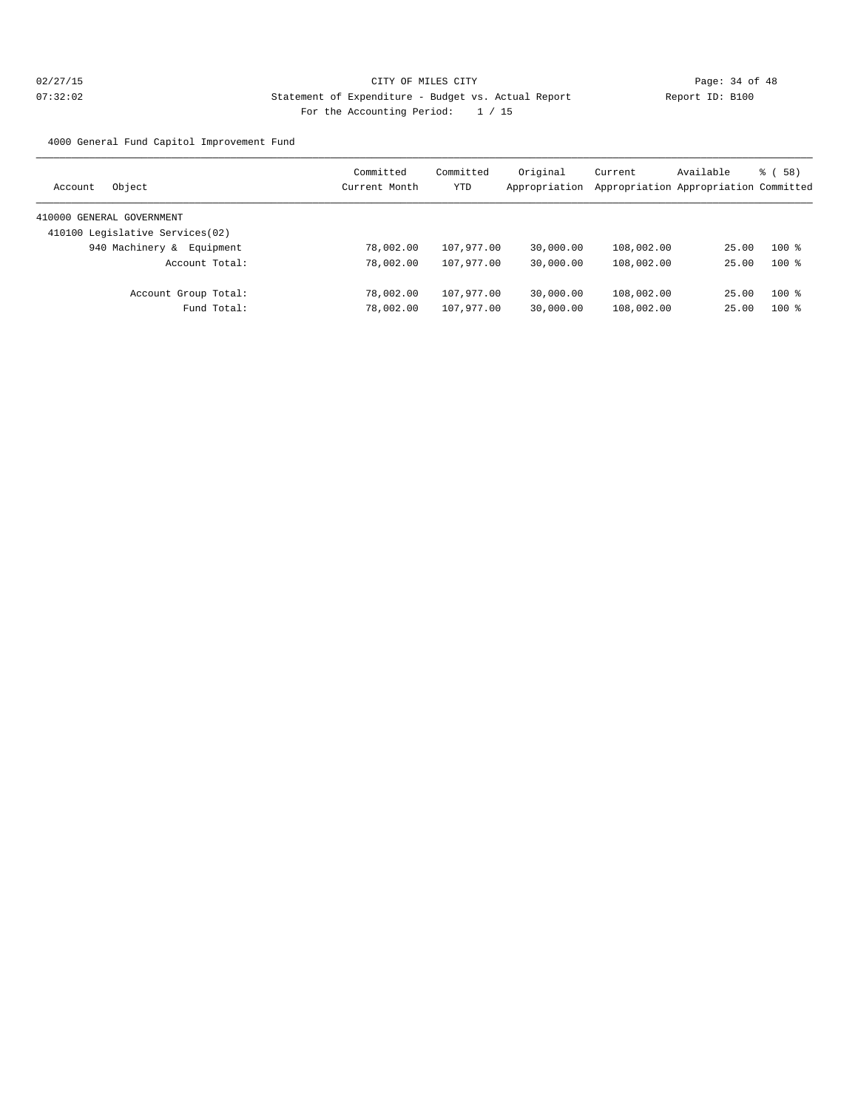4000 General Fund Capitol Improvement Fund

| Object<br>Account               | Committed<br>Current Month | Committed<br>YTD | Original<br>Appropriation | Current    | Available<br>Appropriation Appropriation Committed | 8 ( 58 ) |
|---------------------------------|----------------------------|------------------|---------------------------|------------|----------------------------------------------------|----------|
| 410000 GENERAL GOVERNMENT       |                            |                  |                           |            |                                                    |          |
| 410100 Legislative Services(02) |                            |                  |                           |            |                                                    |          |
| 940 Machinery &<br>Equipment    | 78,002.00                  | 107,977.00       | 30,000.00                 | 108,002.00 | 25.00                                              | $100*$   |
| Account Total:                  | 78,002.00                  | 107,977.00       | 30,000.00                 | 108,002.00 | 25.00                                              | $100*$   |
| Account Group Total:            | 78,002.00                  | 107,977.00       | 30,000.00                 | 108,002.00 | 25.00                                              | $100*$   |
| Fund Total:                     | 78,002.00                  | 107,977.00       | 30,000.00                 | 108,002.00 | 25.00                                              | $100*$   |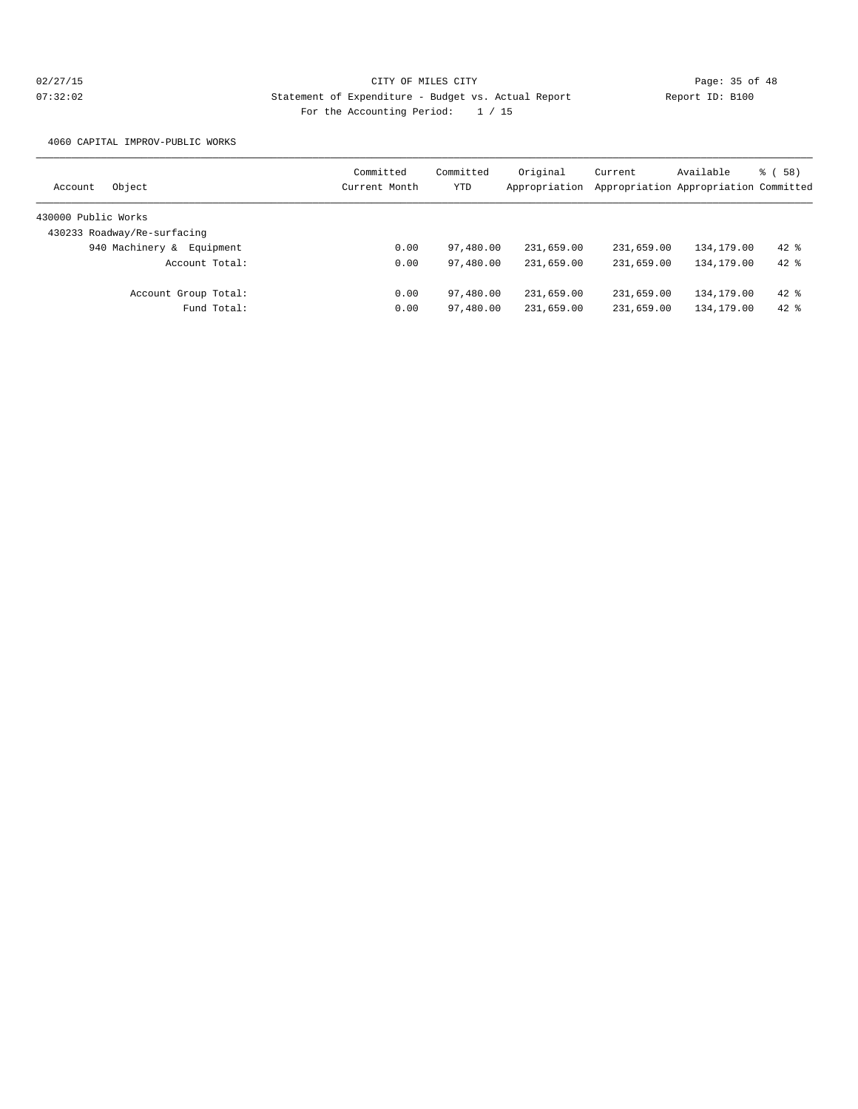4060 CAPITAL IMPROV-PUBLIC WORKS

| Object<br>Account            | Committed<br>Current Month | Committed<br>YTD | Original<br>Appropriation | Current    | Available<br>Appropriation Appropriation Committed | 8 ( 58 ) |
|------------------------------|----------------------------|------------------|---------------------------|------------|----------------------------------------------------|----------|
| 430000 Public Works          |                            |                  |                           |            |                                                    |          |
| 430233 Roadway/Re-surfacing  |                            |                  |                           |            |                                                    |          |
| 940 Machinery &<br>Equipment | 0.00                       | 97,480.00        | 231,659.00                | 231,659.00 | 134,179.00                                         | $42$ $%$ |
| Account Total:               | 0.00                       | 97,480.00        | 231,659.00                | 231,659.00 | 134, 179, 00                                       | $42$ $%$ |
| Account Group Total:         | 0.00                       | 97,480.00        | 231,659.00                | 231,659.00 | 134,179.00                                         | $42$ $%$ |
| Fund Total:                  | 0.00                       | 97,480.00        | 231,659.00                | 231,659.00 | 134,179.00                                         | $42$ %   |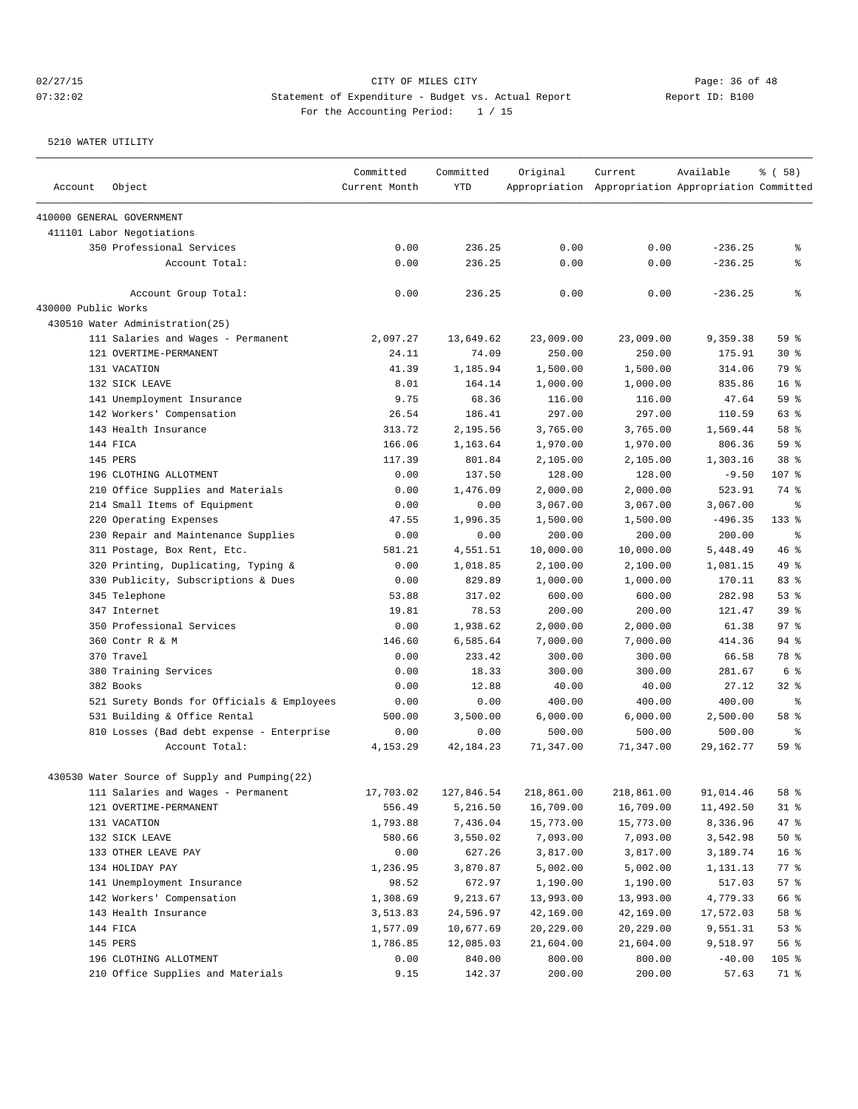# 02/27/15 **Page: 36 of 48** CITY OF MILES CITY **Page: 36 of 48** 07:32:02 Statement of Expenditure - Budget vs. Actual Report Changer Report ID: B100 For the Accounting Period: 1 / 15

| Account             | Object                                        | Committed<br>Current Month | Committed<br>YTD | Original   | Current<br>Appropriation Appropriation Appropriation Committed | Available | % (58)          |
|---------------------|-----------------------------------------------|----------------------------|------------------|------------|----------------------------------------------------------------|-----------|-----------------|
|                     | 410000 GENERAL GOVERNMENT                     |                            |                  |            |                                                                |           |                 |
|                     | 411101 Labor Negotiations                     |                            |                  |            |                                                                |           |                 |
|                     | 350 Professional Services                     | 0.00                       | 236.25           | 0.00       | 0.00                                                           | $-236.25$ | နွ              |
|                     | Account Total:                                | 0.00                       | 236.25           | 0.00       | 0.00                                                           | $-236.25$ | နွ              |
|                     | Account Group Total:                          | 0.00                       | 236.25           | 0.00       | 0.00                                                           | $-236.25$ | နွ              |
| 430000 Public Works |                                               |                            |                  |            |                                                                |           |                 |
|                     | 430510 Water Administration(25)               |                            |                  |            |                                                                |           |                 |
|                     | 111 Salaries and Wages - Permanent            | 2,097.27                   | 13,649.62        | 23,009.00  | 23,009.00                                                      | 9,359.38  | 59 %            |
|                     | 121 OVERTIME-PERMANENT                        | 24.11                      | 74.09            | 250.00     | 250.00                                                         | 175.91    | $30*$           |
|                     | 131 VACATION                                  | 41.39                      | 1,185.94         | 1,500.00   | 1,500.00                                                       | 314.06    | 79 %            |
|                     | 132 SICK LEAVE                                | 8.01                       | 164.14           | 1,000.00   | 1,000.00                                                       | 835.86    | 16 <sup>8</sup> |
|                     | 141 Unemployment Insurance                    | 9.75                       | 68.36            | 116.00     | 116.00                                                         | 47.64     | 59 %            |
|                     | 142 Workers' Compensation                     | 26.54                      | 186.41           | 297.00     | 297.00                                                         | 110.59    | 63 %            |
|                     | 143 Health Insurance                          | 313.72                     | 2,195.56         | 3,765.00   | 3,765.00                                                       | 1,569.44  | 58 %            |
|                     | 144 FICA                                      | 166.06                     | 1,163.64         | 1,970.00   | 1,970.00                                                       | 806.36    | 59 %            |
|                     | 145 PERS                                      | 117.39                     | 801.84           | 2,105.00   | 2,105.00                                                       | 1,303.16  | 38 %            |
|                     | 196 CLOTHING ALLOTMENT                        | 0.00                       | 137.50           | 128.00     | 128.00                                                         | $-9.50$   | 107 %           |
|                     | 210 Office Supplies and Materials             | 0.00                       | 1,476.09         | 2,000.00   | 2,000.00                                                       | 523.91    | 74 %            |
|                     | 214 Small Items of Equipment                  | 0.00                       | 0.00             | 3,067.00   | 3,067.00                                                       | 3,067.00  | ႜ               |
|                     | 220 Operating Expenses                        | 47.55                      | 1,996.35         | 1,500.00   | 1,500.00                                                       | $-496.35$ | $133$ $%$       |
|                     | 230 Repair and Maintenance Supplies           | 0.00                       | 0.00             | 200.00     | 200.00                                                         | 200.00    | နွ              |
|                     | 311 Postage, Box Rent, Etc.                   | 581.21                     | 4,551.51         | 10,000.00  | 10,000.00                                                      | 5,448.49  | 46 %            |
|                     | 320 Printing, Duplicating, Typing &           | 0.00                       | 1,018.85         | 2,100.00   | 2,100.00                                                       | 1,081.15  | 49 %            |
|                     | 330 Publicity, Subscriptions & Dues           | 0.00                       | 829.89           | 1,000.00   | 1,000.00                                                       | 170.11    | 83 %            |
|                     | 345 Telephone                                 | 53.88                      | 317.02           | 600.00     | 600.00                                                         | 282.98    | 53%             |
|                     | 347 Internet                                  | 19.81                      | 78.53            | 200.00     | 200.00                                                         | 121.47    | 39 %            |
|                     | 350 Professional Services                     | 0.00                       | 1,938.62         | 2,000.00   | 2,000.00                                                       | 61.38     | 97%             |
|                     | 360 Contr R & M                               | 146.60                     | 6,585.64         | 7,000.00   | 7,000.00                                                       | 414.36    | $94$ %          |
|                     | 370 Travel                                    | 0.00                       | 233.42           | 300.00     | 300.00                                                         | 66.58     | 78 %            |
|                     | 380 Training Services                         | 0.00                       | 18.33            | 300.00     | 300.00                                                         | 281.67    | 6 %             |
|                     | 382 Books                                     | 0.00                       | 12.88            | 40.00      | 40.00                                                          | 27.12     | $32$ $%$        |
|                     | 521 Surety Bonds for Officials & Employees    | 0.00                       | 0.00             | 400.00     | 400.00                                                         | 400.00    | ႜ               |
|                     | 531 Building & Office Rental                  | 500.00                     | 3,500.00         | 6,000.00   | 6,000.00                                                       | 2,500.00  | 58 %            |
|                     | 810 Losses (Bad debt expense - Enterprise     | 0.00                       | 0.00             | 500.00     | 500.00                                                         | 500.00    | နွ              |
|                     | Account Total:                                | 4, 153, 29                 | 42, 184. 23      | 71,347.00  | 71,347.00                                                      | 29,162.77 | 59%             |
|                     | 430530 Water Source of Supply and Pumping(22) |                            |                  |            |                                                                |           |                 |
|                     | 111 Salaries and Wages - Permanent            | 17,703.02                  | 127,846.54       | 218,861.00 | 218,861.00                                                     | 91,014.46 | 58 %            |
|                     | 121 OVERTIME-PERMANENT                        | 556.49                     | 5,216.50         | 16,709.00  | 16,709.00                                                      | 11,492.50 | $31$ %          |
|                     | 131 VACATION                                  | 1,793.88                   | 7,436.04         | 15,773.00  | 15,773.00                                                      | 8,336.96  | 47 %            |
|                     | 132 SICK LEAVE                                | 580.66                     | 3,550.02         | 7,093.00   | 7,093.00                                                       | 3,542.98  | 50%             |
|                     | 133 OTHER LEAVE PAY                           | 0.00                       | 627.26           | 3,817.00   | 3,817.00                                                       | 3,189.74  | 16 <sup>°</sup> |
|                     | 134 HOLIDAY PAY                               | 1,236.95                   | 3,870.87         | 5,002.00   | 5,002.00                                                       | 1,131.13  | 77 %            |
|                     | 141 Unemployment Insurance                    | 98.52                      | 672.97           | 1,190.00   | 1,190.00                                                       | 517.03    | 57%             |
|                     | 142 Workers' Compensation                     | 1,308.69                   | 9,213.67         | 13,993.00  | 13,993.00                                                      | 4,779.33  | 66 %            |
|                     | 143 Health Insurance                          | 3,513.83                   | 24,596.97        | 42,169.00  | 42,169.00                                                      | 17,572.03 | 58 %            |
|                     | 144 FICA                                      | 1,577.09                   | 10,677.69        | 20,229.00  | 20,229.00                                                      | 9,551.31  | 53%             |
|                     | 145 PERS                                      | 1,786.85                   | 12,085.03        | 21,604.00  | 21,604.00                                                      | 9,518.97  | 56 %            |
|                     | 196 CLOTHING ALLOTMENT                        | 0.00                       | 840.00           | 800.00     | 800.00                                                         | $-40.00$  | $105$ %         |
|                     | 210 Office Supplies and Materials             | 9.15                       | 142.37           | 200.00     | 200.00                                                         | 57.63     | 71 %            |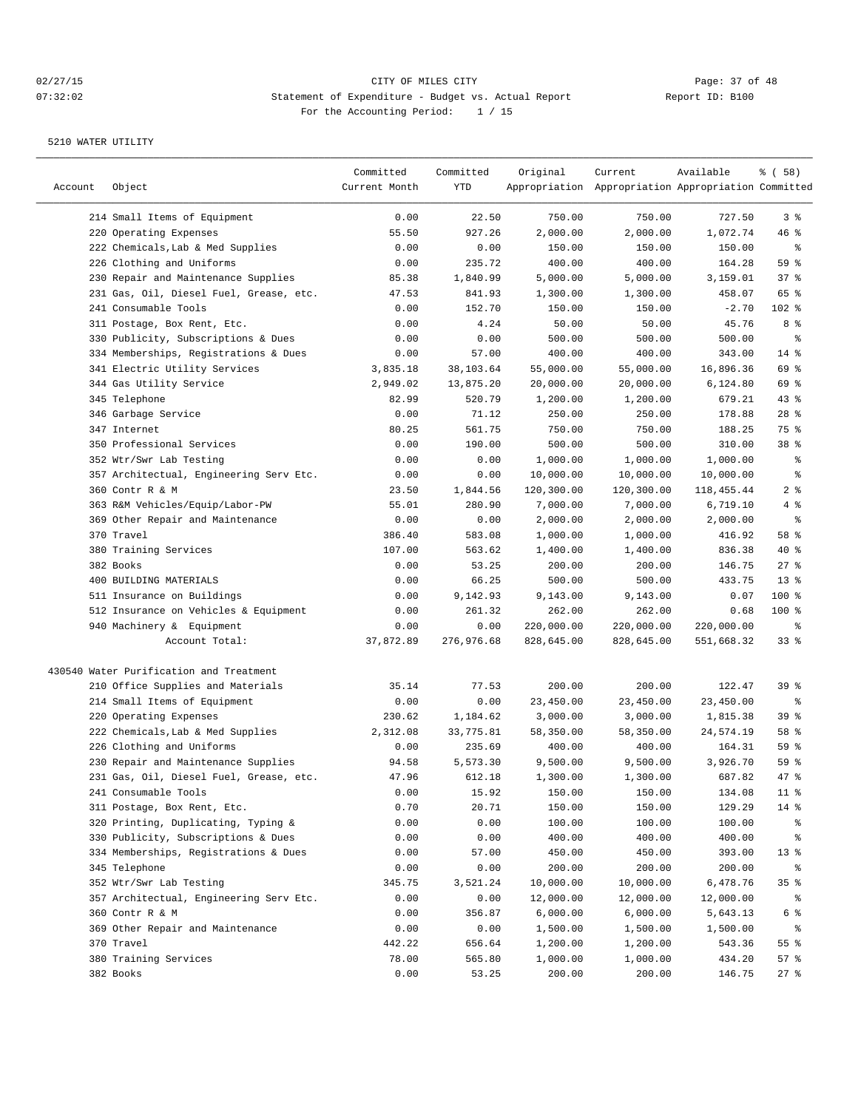| Account | Object                                  | Committed<br>Current Month | Committed<br>YTD | Original   | Current<br>Appropriation Appropriation Appropriation Committed | Available  | % ( 58 )        |
|---------|-----------------------------------------|----------------------------|------------------|------------|----------------------------------------------------------------|------------|-----------------|
|         | 214 Small Items of Equipment            | 0.00                       | 22.50            | 750.00     | 750.00                                                         | 727.50     | 3%              |
|         | 220 Operating Expenses                  | 55.50                      | 927.26           | 2,000.00   | 2,000.00                                                       | 1,072.74   | 46 %            |
|         | 222 Chemicals, Lab & Med Supplies       | 0.00                       | 0.00             | 150.00     | 150.00                                                         | 150.00     | နွ              |
|         | 226 Clothing and Uniforms               | 0.00                       | 235.72           | 400.00     | 400.00                                                         | 164.28     | 59 %            |
|         | 230 Repair and Maintenance Supplies     | 85.38                      | 1,840.99         | 5,000.00   | 5,000.00                                                       | 3,159.01   | 37%             |
|         | 231 Gas, Oil, Diesel Fuel, Grease, etc. | 47.53                      | 841.93           | 1,300.00   | 1,300.00                                                       | 458.07     | 65 %            |
|         | 241 Consumable Tools                    | 0.00                       | 152.70           | 150.00     | 150.00                                                         | $-2.70$    | 102 %           |
|         | 311 Postage, Box Rent, Etc.             | 0.00                       | 4.24             | 50.00      | 50.00                                                          | 45.76      | 8 %             |
|         | 330 Publicity, Subscriptions & Dues     | 0.00                       | 0.00             | 500.00     | 500.00                                                         | 500.00     | နွ              |
|         | 334 Memberships, Registrations & Dues   | 0.00                       | 57.00            | 400.00     | 400.00                                                         | 343.00     | $14$ %          |
|         | 341 Electric Utility Services           | 3,835.18                   | 38,103.64        | 55,000.00  | 55,000.00                                                      | 16,896.36  | 69 %            |
|         | 344 Gas Utility Service                 | 2,949.02                   | 13,875.20        | 20,000.00  | 20,000.00                                                      | 6,124.80   | 69 %            |
|         | 345 Telephone                           | 82.99                      | 520.79           | 1,200.00   | 1,200.00                                                       | 679.21     | $43$ %          |
|         | 346 Garbage Service                     | 0.00                       | 71.12            | 250.00     | 250.00                                                         | 178.88     | $28$ %          |
|         | 347 Internet                            | 80.25                      | 561.75           | 750.00     | 750.00                                                         | 188.25     | 75 %            |
|         | 350 Professional Services               | 0.00                       | 190.00           | 500.00     | 500.00                                                         | 310.00     | 38 %            |
|         | 352 Wtr/Swr Lab Testing                 | 0.00                       | 0.00             | 1,000.00   | 1,000.00                                                       | 1,000.00   | နွ              |
|         | 357 Architectual, Engineering Serv Etc. | 0.00                       | 0.00             | 10,000.00  | 10,000.00                                                      | 10,000.00  | နွ              |
|         | 360 Contr R & M                         | 23.50                      | 1,844.56         | 120,300.00 | 120,300.00                                                     | 118,455.44 | 2 <sup>8</sup>  |
|         | 363 R&M Vehicles/Equip/Labor-PW         | 55.01                      | 280.90           | 7,000.00   | 7,000.00                                                       | 6,719.10   | 4 %             |
|         | 369 Other Repair and Maintenance        | 0.00                       | 0.00             | 2,000.00   | 2,000.00                                                       | 2,000.00   | နွ              |
|         | 370 Travel                              | 386.40                     | 583.08           | 1,000.00   | 1,000.00                                                       | 416.92     | 58 %            |
|         | 380 Training Services                   | 107.00                     | 563.62           | 1,400.00   | 1,400.00                                                       | 836.38     | $40*$           |
|         | 382 Books                               | 0.00                       | 53.25            | 200.00     | 200.00                                                         | 146.75     | $27$ %          |
|         | 400 BUILDING MATERIALS                  | 0.00                       | 66.25            | 500.00     | 500.00                                                         | 433.75     | 13 <sup>8</sup> |
|         | 511 Insurance on Buildings              | 0.00                       | 9,142.93         | 9,143.00   | 9,143.00                                                       | 0.07       | 100 %           |
|         | 512 Insurance on Vehicles & Equipment   | 0.00                       | 261.32           | 262.00     | 262.00                                                         | 0.68       | $100$ %         |
|         | 940 Machinery & Equipment               | 0.00                       | 0.00             | 220,000.00 | 220,000.00                                                     | 220,000.00 | ႜ               |
|         | Account Total:                          | 37,872.89                  | 276,976.68       | 828,645.00 | 828,645.00                                                     | 551,668.32 | 33%             |
|         | 430540 Water Purification and Treatment |                            |                  |            |                                                                |            |                 |
|         | 210 Office Supplies and Materials       | 35.14                      | 77.53            | 200.00     | 200.00                                                         | 122.47     | 39 %            |
|         | 214 Small Items of Equipment            | 0.00                       | 0.00             | 23,450.00  | 23,450.00                                                      | 23,450.00  | နွ              |
|         | 220 Operating Expenses                  | 230.62                     | 1,184.62         | 3,000.00   | 3,000.00                                                       | 1,815.38   | 39 %            |
|         | 222 Chemicals, Lab & Med Supplies       | 2,312.08                   | 33,775.81        | 58,350.00  | 58,350.00                                                      | 24,574.19  | 58 %            |
|         | 226 Clothing and Uniforms               | 0.00                       | 235.69           | 400.00     | 400.00                                                         | 164.31     | 59 %            |
|         | 230 Repair and Maintenance Supplies     | 94.58                      | 5,573.30         | 9,500.00   | 9,500.00                                                       | 3,926.70   | 59 %            |
|         | 231 Gas, Oil, Diesel Fuel, Grease, etc. | 47.96                      | 612.18           | 1,300.00   | 1,300.00                                                       | 687.82     | 47.8            |
|         | 241 Consumable Tools                    | 0.00                       | 15.92            | 150.00     | 150.00                                                         | 134.08     | 11 <sub>8</sub> |
|         | 311 Postage, Box Rent, Etc.             | 0.70                       | 20.71            | 150.00     | 150.00                                                         | 129.29     | $14$ %          |
|         | 320 Printing, Duplicating, Typing &     | 0.00                       | 0.00             | 100.00     | 100.00                                                         | 100.00     | ွေ              |
|         | 330 Publicity, Subscriptions & Dues     | 0.00                       | 0.00             | 400.00     | 400.00                                                         | 400.00     | ွေ              |
|         | 334 Memberships, Registrations & Dues   | 0.00                       | 57.00            | 450.00     | 450.00                                                         | 393.00     | 13 <sub>8</sub> |
|         | 345 Telephone                           | 0.00                       | 0.00             | 200.00     | 200.00                                                         | 200.00     | ွေ              |
|         | 352 Wtr/Swr Lab Testing                 | 345.75                     | 3,521.24         | 10,000.00  | 10,000.00                                                      | 6,478.76   | 35%             |
|         | 357 Architectual, Engineering Serv Etc. | 0.00                       | 0.00             | 12,000.00  | 12,000.00                                                      | 12,000.00  | ွေ              |
|         | 360 Contr R & M                         | 0.00                       | 356.87           | 6,000.00   | 6,000.00                                                       | 5,643.13   | 6 %             |
|         | 369 Other Repair and Maintenance        | 0.00                       | 0.00             | 1,500.00   | 1,500.00                                                       | 1,500.00   | ွေ              |
|         | 370 Travel                              | 442.22                     | 656.64           | 1,200.00   | 1,200.00                                                       | 543.36     | 55 %            |
|         | 380 Training Services                   | 78.00                      | 565.80           | 1,000.00   | 1,000.00                                                       | 434.20     | 57%             |
|         | 382 Books                               | 0.00                       | 53.25            | 200.00     | 200.00                                                         | 146.75     | $27$ %          |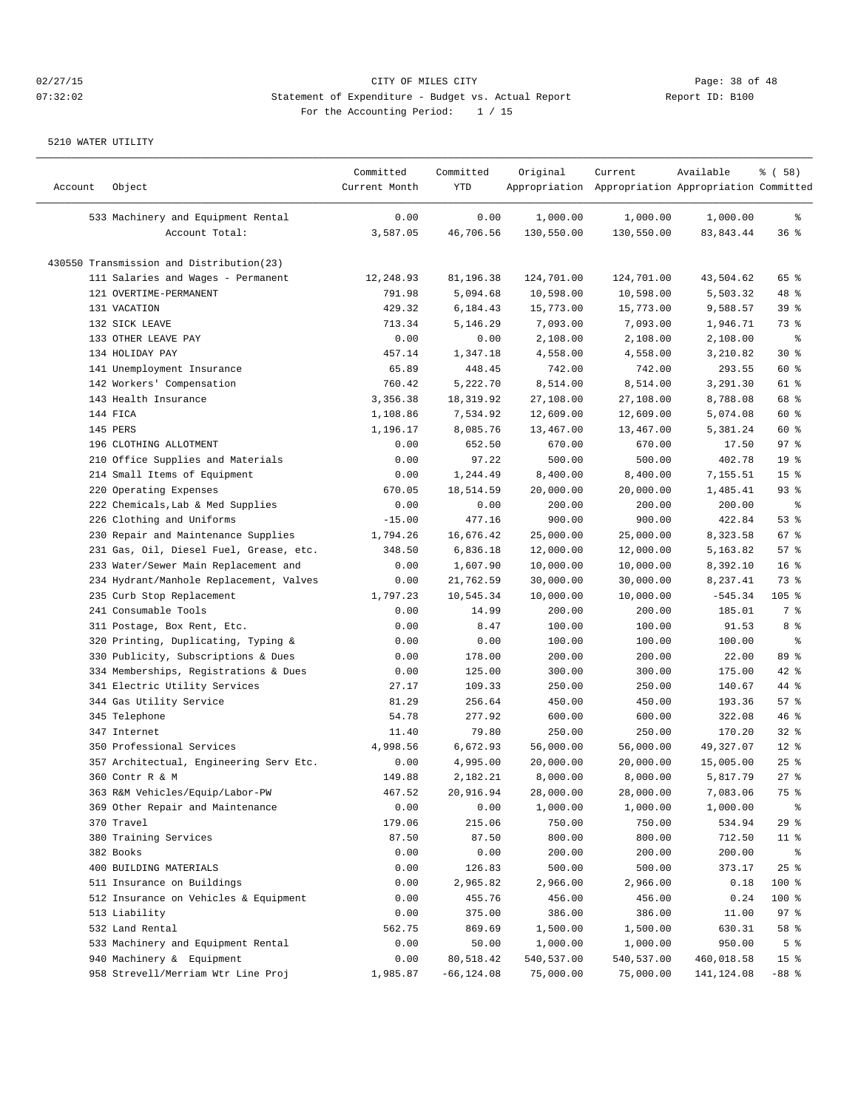| Account | Object                                   | Committed<br>Current Month | Committed<br>YTD | Original   | Current<br>Appropriation Appropriation Appropriation Committed | Available   | % ( 58 )        |
|---------|------------------------------------------|----------------------------|------------------|------------|----------------------------------------------------------------|-------------|-----------------|
|         | 533 Machinery and Equipment Rental       | 0.00                       | 0.00             | 1,000.00   | 1,000.00                                                       | 1,000.00    | နွ              |
|         | Account Total:                           | 3,587.05                   | 46,706.56        | 130,550.00 | 130,550.00                                                     | 83,843.44   | 36%             |
|         | 430550 Transmission and Distribution(23) |                            |                  |            |                                                                |             |                 |
|         | 111 Salaries and Wages - Permanent       | 12,248.93                  | 81,196.38        | 124,701.00 | 124,701.00                                                     | 43,504.62   | 65 %            |
|         | 121 OVERTIME-PERMANENT                   | 791.98                     | 5,094.68         | 10,598.00  | 10,598.00                                                      | 5,503.32    | 48 %            |
|         | 131 VACATION                             | 429.32                     | 6,184.43         | 15,773.00  | 15,773.00                                                      | 9,588.57    | 39 %            |
|         | 132 SICK LEAVE                           | 713.34                     | 5,146.29         | 7,093.00   | 7,093.00                                                       | 1,946.71    | 73 %            |
|         | 133 OTHER LEAVE PAY                      | 0.00                       | 0.00             | 2,108.00   | 2,108.00                                                       | 2,108.00    | နွ              |
|         | 134 HOLIDAY PAY                          | 457.14                     | 1,347.18         | 4,558.00   | 4,558.00                                                       | 3,210.82    | $30*$           |
|         | 141 Unemployment Insurance               | 65.89                      | 448.45           | 742.00     | 742.00                                                         | 293.55      | 60 %            |
|         | 142 Workers' Compensation                | 760.42                     | 5,222.70         | 8,514.00   | 8,514.00                                                       | 3,291.30    | 61 %            |
|         | 143 Health Insurance                     | 3,356.38                   | 18,319.92        | 27,108.00  | 27,108.00                                                      | 8,788.08    | 68 %            |
|         | 144 FICA                                 | 1,108.86                   | 7,534.92         | 12,609.00  | 12,609.00                                                      | 5,074.08    | 60 %            |
|         | 145 PERS                                 | 1,196.17                   | 8,085.76         | 13,467.00  | 13,467.00                                                      | 5,381.24    | 60 %            |
|         | 196 CLOTHING ALLOTMENT                   | 0.00                       | 652.50           | 670.00     | 670.00                                                         | 17.50       | 97%             |
|         | 210 Office Supplies and Materials        | 0.00                       | 97.22            | 500.00     | 500.00                                                         | 402.78      | 19 <sup>°</sup> |
|         | 214 Small Items of Equipment             | 0.00                       | 1,244.49         | 8,400.00   | 8,400.00                                                       | 7,155.51    | 15 <sup>8</sup> |
|         | 220 Operating Expenses                   | 670.05                     | 18,514.59        | 20,000.00  | 20,000.00                                                      | 1,485.41    | 93%             |
|         | 222 Chemicals, Lab & Med Supplies        | 0.00                       | 0.00             | 200.00     | 200.00                                                         | 200.00      | နွ              |
|         | 226 Clothing and Uniforms                | $-15.00$                   | 477.16           | 900.00     | 900.00                                                         | 422.84      | 53%             |
|         | 230 Repair and Maintenance Supplies      | 1,794.26                   | 16,676.42        | 25,000.00  | 25,000.00                                                      | 8,323.58    | 67%             |
|         | 231 Gas, Oil, Diesel Fuel, Grease, etc.  | 348.50                     | 6,836.18         | 12,000.00  | 12,000.00                                                      | 5,163.82    | 57%             |
|         | 233 Water/Sewer Main Replacement and     | 0.00                       | 1,607.90         | 10,000.00  | 10,000.00                                                      | 8,392.10    | 16 <sup>8</sup> |
|         | 234 Hydrant/Manhole Replacement, Valves  | 0.00                       | 21,762.59        | 30,000.00  | 30,000.00                                                      | 8,237.41    | 73 %            |
|         | 235 Curb Stop Replacement                | 1,797.23                   | 10,545.34        | 10,000.00  | 10,000.00                                                      | $-545.34$   | 105 %           |
|         | 241 Consumable Tools                     | 0.00                       | 14.99            | 200.00     | 200.00                                                         | 185.01      | 7 %             |
|         | 311 Postage, Box Rent, Etc.              | 0.00                       | 8.47             | 100.00     | 100.00                                                         | 91.53       | 8 %             |
|         | 320 Printing, Duplicating, Typing &      | 0.00                       | 0.00             | 100.00     | 100.00                                                         | 100.00      | နွ              |
| 330     | Publicity, Subscriptions & Dues          | 0.00                       | 178.00           | 200.00     | 200.00                                                         | 22.00       | 89 %            |
|         | 334 Memberships, Registrations & Dues    | 0.00                       | 125.00           | 300.00     | 300.00                                                         | 175.00      | $42$ %          |
|         | 341 Electric Utility Services            | 27.17                      | 109.33           | 250.00     | 250.00                                                         | 140.67      | 44 %            |
|         | 344 Gas Utility Service                  | 81.29                      | 256.64           | 450.00     | 450.00                                                         | 193.36      | 57%             |
|         | 345 Telephone                            | 54.78                      | 277.92           | 600.00     | 600.00                                                         | 322.08      | 46%             |
|         | 347 Internet                             | 11.40                      | 79.80            | 250.00     | 250.00                                                         | 170.20      | 32%             |
|         | 350 Professional Services                | 4,998.56                   | 6,672.93         | 56,000.00  | 56,000.00                                                      | 49,327.07   | $12$ %          |
|         | 357 Architectual, Engineering Serv Etc.  | 0.00                       | 4,995.00         | 20,000.00  | 20,000.00                                                      | 15,005.00   | 25%             |
|         | 360 Contr R & M                          | 149.88                     | 2,182.21         | 8,000.00   | 8,000.00                                                       | 5,817.79    | 27%             |
|         | 363 R&M Vehicles/Equip/Labor-PW          | 467.52                     | 20,916.94        | 28,000.00  | 28,000.00                                                      | 7,083.06    | 75 %            |
|         | 369 Other Repair and Maintenance         | 0.00                       | 0.00             | 1,000.00   | 1,000.00                                                       | 1,000.00    | ွေ              |
|         | 370 Travel                               | 179.06                     | 215.06           | 750.00     | 750.00                                                         | 534.94      | 29%             |
|         | 380 Training Services                    | 87.50                      | 87.50            | 800.00     | 800.00                                                         | 712.50      | $11$ %          |
|         | 382 Books                                | 0.00                       | 0.00             | 200.00     | 200.00                                                         | 200.00      | ႜ               |
|         | 400 BUILDING MATERIALS                   | 0.00                       | 126.83           | 500.00     | 500.00                                                         | 373.17      | 25%             |
|         | 511 Insurance on Buildings               | 0.00                       | 2,965.82         | 2,966.00   | 2,966.00                                                       | 0.18        | 100 %           |
|         | 512 Insurance on Vehicles & Equipment    | 0.00                       | 455.76           | 456.00     | 456.00                                                         | 0.24        | 100 %           |
|         | 513 Liability                            | 0.00                       | 375.00           | 386.00     | 386.00                                                         | 11.00       | 97%             |
|         | 532 Land Rental                          | 562.75                     | 869.69           | 1,500.00   | 1,500.00                                                       | 630.31      | 58 %            |
|         | 533 Machinery and Equipment Rental       | 0.00                       | 50.00            | 1,000.00   | 1,000.00                                                       | 950.00      | 5 <sup>°</sup>  |
|         | 940 Machinery & Equipment                | 0.00                       | 80,518.42        | 540,537.00 | 540,537.00                                                     | 460,018.58  | 15 <sup>°</sup> |
|         | 958 Strevell/Merriam Wtr Line Proj       | 1,985.87                   | $-66, 124.08$    | 75,000.00  | 75,000.00                                                      | 141, 124.08 | $-88$ %         |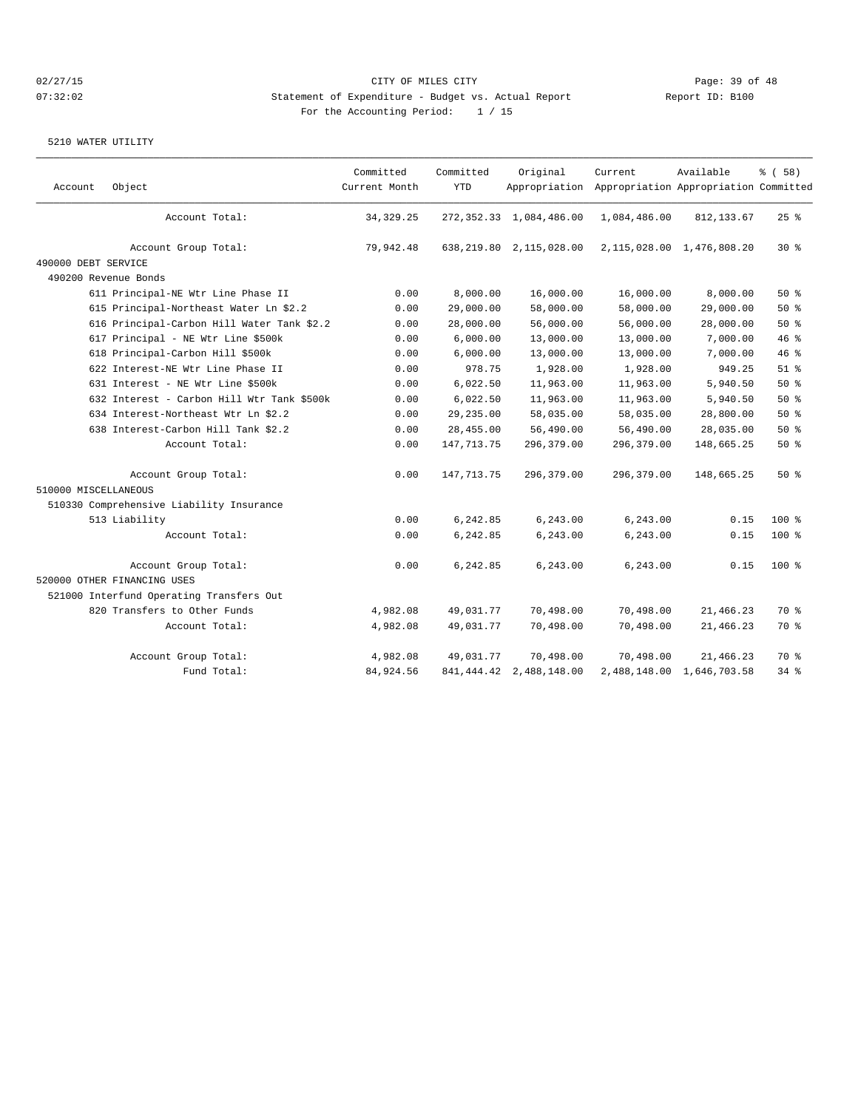| Account              | Object                                     | Committed<br>Current Month | Committed<br><b>YTD</b> | Original                     | Current<br>Appropriation Appropriation Appropriation Committed | Available                     | % (58)   |
|----------------------|--------------------------------------------|----------------------------|-------------------------|------------------------------|----------------------------------------------------------------|-------------------------------|----------|
|                      | Account Total:                             | 34, 329. 25                |                         | 272, 352.33 1, 084, 486.00   | 1,084,486.00                                                   | 812, 133.67                   | $25$ $%$ |
|                      | Account Group Total:                       | 79,942.48                  |                         | 638, 219.80 2, 115, 028.00   |                                                                | 2, 115, 028.00 1, 476, 808.20 | 30 %     |
| 490000 DEBT SERVICE  |                                            |                            |                         |                              |                                                                |                               |          |
|                      | 490200 Revenue Bonds                       |                            |                         |                              |                                                                |                               |          |
|                      | 611 Principal-NE Wtr Line Phase II         | 0.00                       | 8,000.00                | 16,000.00                    | 16,000.00                                                      | 8,000.00                      | $50*$    |
|                      | 615 Principal-Northeast Water Ln \$2.2     | 0.00                       | 29,000.00               | 58,000.00                    | 58,000.00                                                      | 29,000.00                     | 50%      |
|                      | 616 Principal-Carbon Hill Water Tank \$2.2 | 0.00                       | 28,000.00               | 56,000.00                    | 56,000.00                                                      | 28,000.00                     | 50%      |
|                      | 617 Principal - NE Wtr Line \$500k         | 0.00                       | 6,000.00                | 13,000.00                    | 13,000.00                                                      | 7,000.00                      | 46%      |
|                      | 618 Principal-Carbon Hill \$500k           | 0.00                       | 6,000.00                | 13,000.00                    | 13,000.00                                                      | 7,000.00                      | 46 %     |
|                      | 622 Interest-NE Wtr Line Phase II          | 0.00                       | 978.75                  | 1,928.00                     | 1,928.00                                                       | 949.25                        | $51$ $%$ |
|                      | 631 Interest - NE Wtr Line \$500k          | 0.00                       | 6,022.50                | 11,963.00                    | 11,963.00                                                      | 5,940.50                      | 50%      |
|                      | 632 Interest - Carbon Hill Wtr Tank \$500k | 0.00                       | 6,022.50                | 11,963.00                    | 11,963.00                                                      | 5,940.50                      | 50%      |
|                      | 634 Interest-Northeast Wtr Ln \$2.2        | 0.00                       | 29, 235.00              | 58,035.00                    | 58,035.00                                                      | 28,800.00                     | $50*$    |
|                      | 638 Interest-Carbon Hill Tank \$2.2        | 0.00                       | 28,455.00               | 56,490.00                    | 56,490.00                                                      | 28,035.00                     | $50*$    |
|                      | Account Total:                             | 0.00                       | 147, 713. 75            | 296,379.00                   | 296,379.00                                                     | 148,665.25                    | 50%      |
|                      | Account Group Total:                       | 0.00                       | 147, 713. 75            | 296,379.00                   | 296,379.00                                                     | 148,665.25                    | 50%      |
| 510000 MISCELLANEOUS |                                            |                            |                         |                              |                                                                |                               |          |
|                      | 510330 Comprehensive Liability Insurance   |                            |                         |                              |                                                                |                               |          |
|                      | 513 Liability                              | 0.00                       | 6,242.85                | 6,243.00                     | 6,243.00                                                       | 0.15                          | $100*$   |
|                      | Account Total:                             | 0.00                       | 6,242.85                | 6,243.00                     | 6,243.00                                                       | 0.15                          | 100 %    |
|                      | Account Group Total:                       | 0.00                       | 6,242.85                | 6,243.00                     | 6,243.00                                                       | 0.15                          | $100$ %  |
|                      | 520000 OTHER FINANCING USES                |                            |                         |                              |                                                                |                               |          |
|                      | 521000 Interfund Operating Transfers Out   |                            |                         |                              |                                                                |                               |          |
|                      | 820 Transfers to Other Funds               | 4,982.08                   | 49,031.77               | 70,498.00                    | 70,498.00                                                      | 21,466.23                     | 70 %     |
|                      | Account Total:                             | 4,982.08                   | 49,031.77               | 70,498.00                    | 70,498.00                                                      | 21,466.23                     | 70 %     |
|                      | Account Group Total:                       | 4,982.08                   | 49,031.77               | 70,498.00                    | 70,498.00                                                      | 21,466.23                     | 70 %     |
|                      | Fund Total:                                | 84,924.56                  |                         | 841, 444. 42 2, 488, 148. 00 |                                                                | 2,488,148.00 1,646,703.58     | $34$ $%$ |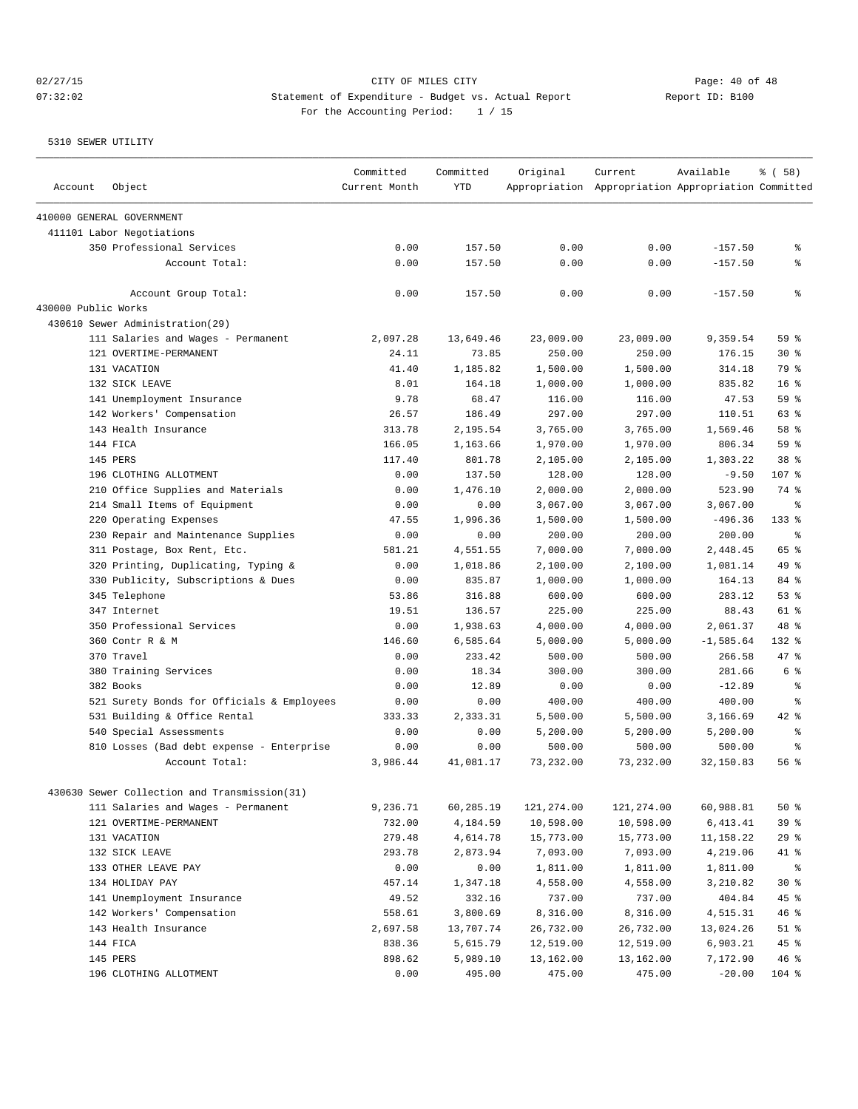# 02/27/15 **Page: 40 of 48** CITY OF MILES CITY **Page: 40 of 48** 07:32:02 Statement of Expenditure - Budget vs. Actual Report Changer Report ID: B100 For the Accounting Period: 1 / 15

| Account             | Object                                       | Committed<br>Current Month | Committed<br><b>YTD</b> | Original           | Current<br>Appropriation Appropriation Appropriation Committed | Available         | % (58)          |
|---------------------|----------------------------------------------|----------------------------|-------------------------|--------------------|----------------------------------------------------------------|-------------------|-----------------|
|                     | 410000 GENERAL GOVERNMENT                    |                            |                         |                    |                                                                |                   |                 |
|                     | 411101 Labor Negotiations                    |                            |                         |                    |                                                                |                   |                 |
|                     | 350 Professional Services                    | 0.00                       | 157.50                  | 0.00               | 0.00                                                           | $-157.50$         | နွ              |
|                     | Account Total:                               | 0.00                       | 157.50                  | 0.00               | 0.00                                                           | $-157.50$         | နွ              |
|                     | Account Group Total:                         | 0.00                       | 157.50                  | 0.00               | 0.00                                                           | $-157.50$         | နွ              |
| 430000 Public Works |                                              |                            |                         |                    |                                                                |                   |                 |
|                     | 430610 Sewer Administration(29)              |                            |                         |                    |                                                                |                   |                 |
|                     | 111 Salaries and Wages - Permanent           | 2,097.28                   | 13,649.46               | 23,009.00          | 23,009.00                                                      | 9,359.54          | 59 %            |
|                     | 121 OVERTIME-PERMANENT                       | 24.11                      | 73.85                   | 250.00             | 250.00                                                         | 176.15            | $30*$           |
|                     | 131 VACATION                                 | 41.40                      | 1,185.82                | 1,500.00           | 1,500.00                                                       | 314.18            | 79 %            |
|                     | 132 SICK LEAVE                               | 8.01                       | 164.18                  | 1,000.00           | 1,000.00                                                       | 835.82            | $16*$           |
|                     | 141 Unemployment Insurance                   | 9.78                       | 68.47                   | 116.00             | 116.00                                                         | 47.53             | 59 %            |
|                     | 142 Workers' Compensation                    | 26.57                      | 186.49                  | 297.00             | 297.00                                                         | 110.51            | 63 %            |
|                     | 143 Health Insurance                         | 313.78                     | 2,195.54                | 3,765.00           | 3,765.00                                                       | 1,569.46          | 58 %            |
|                     | 144 FICA                                     | 166.05                     | 1,163.66                | 1,970.00           | 1,970.00                                                       | 806.34            | 59%             |
|                     | 145 PERS                                     | 117.40                     | 801.78                  | 2,105.00           | 2,105.00                                                       | 1,303.22          | 38 %            |
|                     | 196 CLOTHING ALLOTMENT                       | 0.00                       | 137.50                  | 128.00             | 128.00                                                         | $-9.50$           | 107 %           |
|                     | 210 Office Supplies and Materials            | 0.00                       | 1,476.10                | 2,000.00           | 2,000.00                                                       | 523.90            | 74 %            |
|                     | 214 Small Items of Equipment                 | 0.00                       | 0.00                    | 3,067.00           | 3,067.00                                                       | 3,067.00          | ႜ               |
|                     | 220 Operating Expenses                       | 47.55                      | 1,996.36                | 1,500.00           | 1,500.00                                                       | $-496.36$         | $133$ $%$       |
|                     | 230 Repair and Maintenance Supplies          | 0.00                       | 0.00                    | 200.00             | 200.00                                                         | 200.00            | နွ              |
|                     | 311 Postage, Box Rent, Etc.                  | 581.21                     | 4,551.55                | 7,000.00           | 7,000.00                                                       | 2,448.45          | 65 %            |
|                     | 320 Printing, Duplicating, Typing &          | 0.00                       | 1,018.86                | 2,100.00           | 2,100.00                                                       | 1,081.14          | 49 %            |
|                     | 330 Publicity, Subscriptions & Dues          | 0.00<br>53.86              | 835.87                  | 1,000.00<br>600.00 | 1,000.00                                                       | 164.13            | 84 %<br>53%     |
|                     | 345 Telephone                                |                            | 316.88                  |                    | 600.00                                                         | 283.12            | $61$ %          |
|                     | 347 Internet<br>350 Professional Services    | 19.51<br>0.00              | 136.57<br>1,938.63      | 225.00<br>4,000.00 | 225.00<br>4,000.00                                             | 88.43<br>2,061.37 | 48 %            |
|                     | 360 Contr R & M                              | 146.60                     | 6,585.64                | 5,000.00           | 5,000.00                                                       | $-1,585.64$       | 132 %           |
|                     | 370 Travel                                   | 0.00                       | 233.42                  | 500.00             | 500.00                                                         | 266.58            | 47.8            |
|                     | 380 Training Services                        | 0.00                       | 18.34                   | 300.00             | 300.00                                                         | 281.66            | 6 %             |
|                     | 382 Books                                    | 0.00                       | 12.89                   | 0.00               | 0.00                                                           | $-12.89$          | ి               |
|                     | 521 Surety Bonds for Officials & Employees   | 0.00                       | 0.00                    | 400.00             | 400.00                                                         | 400.00            | ႜ               |
|                     | 531 Building & Office Rental                 | 333.33                     | 2,333.31                | 5,500.00           | 5,500.00                                                       | 3,166.69          | 42 %            |
|                     | 540 Special Assessments                      | 0.00                       | 0.00                    | 5,200.00           | 5,200.00                                                       | 5,200.00          | နွ              |
|                     | 810 Losses (Bad debt expense - Enterprise    | 0.00                       | 0.00                    | 500.00             | 500.00                                                         | 500.00            | ి               |
|                     | Account Total:                               | 3,986.44                   | 41,081.17               | 73,232.00          | 73,232.00                                                      | 32,150.83         | 56 <sup>8</sup> |
|                     | 430630 Sewer Collection and Transmission(31) |                            |                         |                    |                                                                |                   |                 |
|                     | 111 Salaries and Wages - Permanent           | 9,236.71                   | 60,285.19               | 121,274.00         | 121,274.00                                                     | 60,988.81         | 50%             |
|                     | 121 OVERTIME-PERMANENT                       | 732.00                     | 4,184.59                | 10,598.00          | 10,598.00                                                      | 6,413.41          | 39%             |
|                     | 131 VACATION                                 | 279.48                     | 4,614.78                | 15,773.00          | 15,773.00                                                      | 11,158.22         | 29%             |
|                     | 132 SICK LEAVE                               | 293.78                     | 2,873.94                | 7,093.00           | 7,093.00                                                       | 4,219.06          | 41 %            |
|                     | 133 OTHER LEAVE PAY                          | 0.00                       | 0.00                    | 1,811.00           | 1,811.00                                                       | 1,811.00          | နွ              |
|                     | 134 HOLIDAY PAY                              | 457.14                     | 1,347.18                | 4,558.00           | 4,558.00                                                       | 3,210.82          | $30*$           |
|                     | 141 Unemployment Insurance                   | 49.52                      | 332.16                  | 737.00             | 737.00                                                         | 404.84            | 45%             |
|                     | 142 Workers' Compensation                    | 558.61                     | 3,800.69                | 8,316.00           | 8,316.00                                                       | 4,515.31          | 46%             |
|                     | 143 Health Insurance                         | 2,697.58                   | 13,707.74               | 26,732.00          | 26,732.00                                                      | 13,024.26         | $51$ %          |
|                     | 144 FICA                                     | 838.36                     | 5,615.79                | 12,519.00          | 12,519.00                                                      | 6,903.21          | 45%             |
|                     | 145 PERS                                     | 898.62                     | 5,989.10                | 13,162.00          | 13,162.00                                                      | 7,172.90          | 46%             |
|                     | 196 CLOTHING ALLOTMENT                       | 0.00                       | 495.00                  | 475.00             | 475.00                                                         | $-20.00$          | $104$ %         |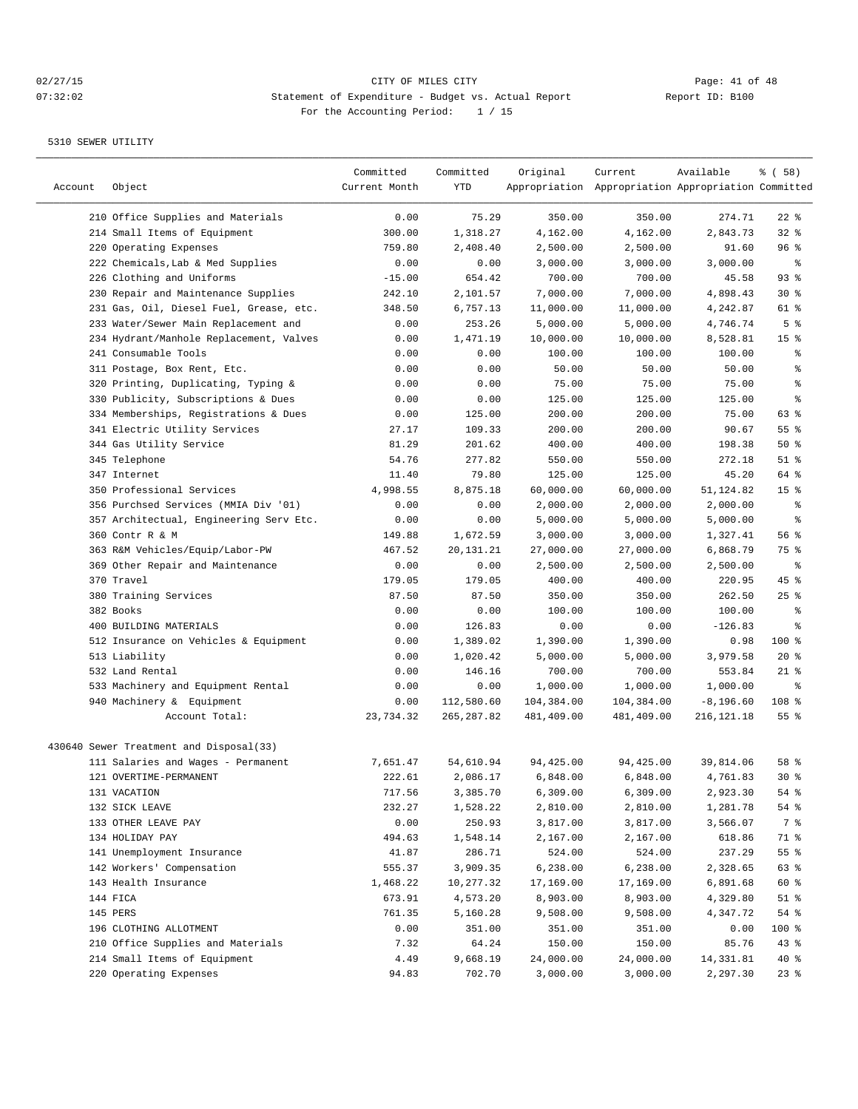| Account | Object                                  | Committed<br>Current Month | Committed<br>YTD | Original   | Current<br>Appropriation Appropriation Appropriation Committed | Available    | % ( 58 )           |
|---------|-----------------------------------------|----------------------------|------------------|------------|----------------------------------------------------------------|--------------|--------------------|
|         | 210 Office Supplies and Materials       | 0.00                       | 75.29            | 350.00     | 350.00                                                         | 274.71       | $22$ %             |
|         | 214 Small Items of Equipment            | 300.00                     | 1,318.27         | 4,162.00   | 4,162.00                                                       | 2,843.73     | 32%                |
|         | 220 Operating Expenses                  | 759.80                     | 2,408.40         | 2,500.00   | 2,500.00                                                       | 91.60        | 96%                |
|         | 222 Chemicals, Lab & Med Supplies       | 0.00                       | 0.00             | 3,000.00   | 3,000.00                                                       | 3,000.00     | $\epsilon$         |
|         | 226 Clothing and Uniforms               | $-15.00$                   | 654.42           | 700.00     | 700.00                                                         | 45.58        | 93%                |
|         | 230 Repair and Maintenance Supplies     | 242.10                     | 2,101.57         | 7,000.00   | 7,000.00                                                       | 4,898.43     | $30*$              |
|         | 231 Gas, Oil, Diesel Fuel, Grease, etc. | 348.50                     | 6,757.13         | 11,000.00  | 11,000.00                                                      | 4,242.87     | 61 %               |
|         | 233 Water/Sewer Main Replacement and    | 0.00                       | 253.26           | 5,000.00   | 5,000.00                                                       | 4,746.74     | 5 <sup>8</sup>     |
|         | 234 Hydrant/Manhole Replacement, Valves | 0.00                       | 1,471.19         | 10,000.00  | 10,000.00                                                      | 8,528.81     | 15 <sup>°</sup>    |
|         | 241 Consumable Tools                    | 0.00                       | 0.00             | 100.00     | 100.00                                                         | 100.00       | နွ                 |
|         | 311 Postage, Box Rent, Etc.             | 0.00                       | 0.00             | 50.00      | 50.00                                                          | 50.00        | န္                 |
|         | 320 Printing, Duplicating, Typing &     | 0.00                       | 0.00             | 75.00      | 75.00                                                          | 75.00        | ి                  |
|         | 330 Publicity, Subscriptions & Dues     | 0.00                       | 0.00             | 125.00     | 125.00                                                         | 125.00       | ి                  |
|         | 334 Memberships, Registrations & Dues   | 0.00                       | 125.00           | 200.00     | 200.00                                                         | 75.00        | 63 %               |
|         | 341 Electric Utility Services           | 27.17                      | 109.33           | 200.00     | 200.00                                                         | 90.67        | 55 %               |
|         | 344 Gas Utility Service                 | 81.29                      | 201.62           | 400.00     | 400.00                                                         | 198.38       | 50%                |
|         | 345 Telephone                           | 54.76                      | 277.82           | 550.00     | 550.00                                                         | 272.18       | $51$ %             |
|         | 347 Internet                            | 11.40                      | 79.80            | 125.00     | 125.00                                                         | 45.20        | 64 %               |
|         | 350 Professional Services               | 4,998.55                   | 8,875.18         | 60,000.00  | 60,000.00                                                      | 51, 124.82   | 15 <sup>°</sup>    |
|         | 356 Purchsed Services (MMIA Div '01)    | 0.00                       | 0.00             | 2,000.00   | 2,000.00                                                       | 2,000.00     | နွ                 |
|         | 357 Architectual, Engineering Serv Etc. | 0.00                       | 0.00             | 5,000.00   | 5,000.00                                                       | 5,000.00     | နွ                 |
|         | 360 Contr R & M                         | 149.88                     | 1,672.59         | 3,000.00   | 3,000.00                                                       | 1,327.41     | 56%                |
|         | 363 R&M Vehicles/Equip/Labor-PW         | 467.52                     | 20, 131. 21      | 27,000.00  | 27,000.00                                                      | 6,868.79     | 75 %               |
|         | 369 Other Repair and Maintenance        | 0.00                       | 0.00             | 2,500.00   | 2,500.00                                                       | 2,500.00     | နွ                 |
|         | 370 Travel                              | 179.05                     | 179.05           | 400.00     | 400.00                                                         | 220.95       | 45 %               |
|         | 380 Training Services                   | 87.50                      | 87.50            | 350.00     | 350.00                                                         | 262.50       | $25$ %             |
|         | 382 Books                               | 0.00                       | 0.00             | 100.00     | 100.00                                                         | 100.00       | ి                  |
|         | 400 BUILDING MATERIALS                  | 0.00                       | 126.83           | 0.00       | 0.00                                                           | $-126.83$    | ႜ                  |
|         | 512 Insurance on Vehicles & Equipment   | 0.00                       | 1,389.02         | 1,390.00   | 1,390.00                                                       | 0.98         | 100 %              |
|         | 513 Liability                           | 0.00                       | 1,020.42         | 5,000.00   | 5,000.00                                                       | 3,979.58     | $20*$              |
|         | 532 Land Rental                         | 0.00                       | 146.16           | 700.00     | 700.00                                                         | 553.84       | $21$ %             |
|         | 533 Machinery and Equipment Rental      | 0.00                       | 0.00             | 1,000.00   | 1,000.00                                                       | 1,000.00     | ి                  |
|         | 940 Machinery & Equipment               | 0.00                       | 112,580.60       | 104,384.00 | 104,384.00                                                     | $-8, 196.60$ | 108 %              |
|         | Account Total:                          | 23,734.32                  | 265, 287.82      | 481,409.00 | 481,409.00                                                     | 216, 121. 18 | 55 %               |
|         | 430640 Sewer Treatment and Disposal(33) |                            |                  |            |                                                                |              |                    |
|         | 111 Salaries and Wages - Permanent      | 7,651.47                   | 54,610.94        | 94,425.00  | 94,425.00                                                      | 39,814.06    | 58 %               |
|         | 121 OVERTIME-PERMANENT                  | 222.61                     | 2,086.17         | 6,848.00   | 6,848.00                                                       | 4,761.83     | $30*$              |
|         | 131 VACATION                            | 717.56                     | 3,385.70         | 6,309.00   | 6,309.00                                                       | 2,923.30     | 54 %               |
|         | 132 SICK LEAVE                          | 232.27                     | 1,528.22         | 2,810.00   | 2,810.00                                                       | 1,281.78     | 54 %               |
|         | 133 OTHER LEAVE PAY                     | 0.00                       | 250.93           | 3,817.00   | 3,817.00                                                       | 3,566.07     | 7 %                |
|         | 134 HOLIDAY PAY                         | 494.63                     | 1,548.14         | 2,167.00   | 2,167.00                                                       | 618.86       | 71 %               |
|         | 141 Unemployment Insurance              | 41.87                      | 286.71           | 524.00     | 524.00                                                         | 237.29       | $55$ $\frac{6}{5}$ |
|         | 142 Workers' Compensation               | 555.37                     | 3,909.35         | 6,238.00   | 6,238.00                                                       | 2,328.65     | 63 %               |
|         | 143 Health Insurance                    | 1,468.22                   | 10,277.32        | 17,169.00  | 17,169.00                                                      | 6,891.68     | 60 %               |
|         | 144 FICA                                | 673.91                     | 4,573.20         | 8,903.00   | 8,903.00                                                       | 4,329.80     | $51$ %             |
|         | 145 PERS                                | 761.35                     | 5,160.28         | 9,508.00   | 9,508.00                                                       | 4,347.72     | 54 %               |
|         | 196 CLOTHING ALLOTMENT                  | 0.00                       | 351.00           | 351.00     | 351.00                                                         | 0.00         | 100 %              |
|         | 210 Office Supplies and Materials       | 7.32                       | 64.24            | 150.00     | 150.00                                                         | 85.76        | 43%                |
|         | 214 Small Items of Equipment            | 4.49                       | 9,668.19         | 24,000.00  | 24,000.00                                                      | 14,331.81    | $40*$              |
|         | 220 Operating Expenses                  | 94.83                      | 702.70           | 3,000.00   | 3,000.00                                                       | 2,297.30     | $23$ %             |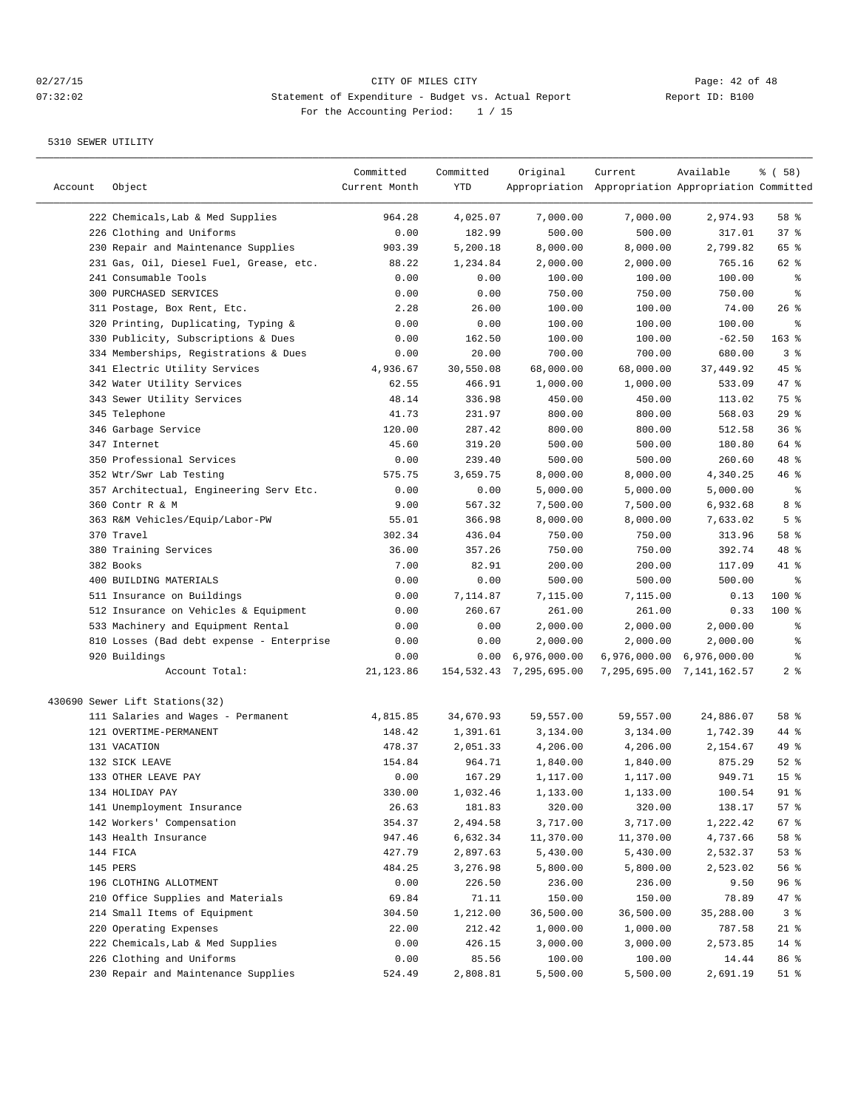| Account | Object                                    | Committed<br>Current Month | Committed<br>YTD | Original                     | Current<br>Appropriation Appropriation Appropriation Committed | Available                 | % ( 58 )        |
|---------|-------------------------------------------|----------------------------|------------------|------------------------------|----------------------------------------------------------------|---------------------------|-----------------|
|         | 222 Chemicals, Lab & Med Supplies         | 964.28                     | 4,025.07         | 7,000.00                     | 7,000.00                                                       | 2,974.93                  | 58 %            |
|         | 226 Clothing and Uniforms                 | 0.00                       | 182.99           | 500.00                       | 500.00                                                         | 317.01                    | 37%             |
|         | 230 Repair and Maintenance Supplies       | 903.39                     | 5,200.18         | 8,000.00                     | 8,000.00                                                       | 2,799.82                  | 65 %            |
|         | 231 Gas, Oil, Diesel Fuel, Grease, etc.   | 88.22                      | 1,234.84         | 2,000.00                     | 2,000.00                                                       | 765.16                    | 62 %            |
|         | 241 Consumable Tools                      | 0.00                       | 0.00             | 100.00                       | 100.00                                                         | 100.00                    | နွ              |
|         | 300 PURCHASED SERVICES                    | 0.00                       | 0.00             | 750.00                       | 750.00                                                         | 750.00                    | န္              |
|         | 311 Postage, Box Rent, Etc.               | 2.28                       | 26.00            | 100.00                       | 100.00                                                         | 74.00                     | $26$ %          |
|         | 320 Printing, Duplicating, Typing &       | 0.00                       | 0.00             | 100.00                       | 100.00                                                         | 100.00                    | ႜ               |
|         | 330 Publicity, Subscriptions & Dues       | 0.00                       | 162.50           | 100.00                       | 100.00                                                         | $-62.50$                  | $163$ %         |
|         | 334 Memberships, Registrations & Dues     | 0.00                       | 20.00            | 700.00                       | 700.00                                                         | 680.00                    | 3%              |
|         | 341 Electric Utility Services             | 4,936.67                   | 30,550.08        | 68,000.00                    | 68,000.00                                                      | 37,449.92                 | $45$ %          |
|         | 342 Water Utility Services                | 62.55                      | 466.91           | 1,000.00                     | 1,000.00                                                       | 533.09                    | 47 %            |
|         | 343 Sewer Utility Services                | 48.14                      | 336.98           | 450.00                       | 450.00                                                         | 113.02                    | 75 %            |
|         | 345 Telephone                             | 41.73                      | 231.97           | 800.00                       | 800.00                                                         | 568.03                    | 29%             |
|         | 346 Garbage Service                       | 120.00                     | 287.42           | 800.00                       | 800.00                                                         | 512.58                    | 36%             |
|         | 347 Internet                              | 45.60                      | 319.20           | 500.00                       | 500.00                                                         | 180.80                    | 64 %            |
|         | 350 Professional Services                 | 0.00                       | 239.40           | 500.00                       | 500.00                                                         | 260.60                    | 48 %            |
|         | 352 Wtr/Swr Lab Testing                   | 575.75                     | 3,659.75         | 8,000.00                     | 8,000.00                                                       | 4,340.25                  | 46 %            |
|         | 357 Architectual, Engineering Serv Etc.   | 0.00                       | 0.00             | 5,000.00                     | 5,000.00                                                       | 5,000.00                  | နွ              |
|         | 360 Contr R & M                           | 9.00                       | 567.32           | 7,500.00                     | 7,500.00                                                       | 6,932.68                  | 8 %             |
|         | 363 R&M Vehicles/Equip/Labor-PW           | 55.01                      | 366.98           | 8,000.00                     | 8,000.00                                                       | 7,633.02                  | 5 <sup>°</sup>  |
|         | 370 Travel                                | 302.34                     | 436.04           | 750.00                       | 750.00                                                         | 313.96                    | 58 %            |
|         | 380 Training Services                     | 36.00                      | 357.26           | 750.00                       | 750.00                                                         | 392.74                    | 48 %            |
|         | 382 Books                                 | 7.00                       | 82.91            | 200.00                       | 200.00                                                         | 117.09                    | 41 %            |
|         | 400 BUILDING MATERIALS                    | 0.00                       | 0.00             | 500.00                       | 500.00                                                         | 500.00                    | ి               |
|         | 511 Insurance on Buildings                | 0.00                       | 7,114.87         | 7,115.00                     | 7,115.00                                                       | 0.13                      | 100 %           |
|         | 512 Insurance on Vehicles & Equipment     | 0.00                       | 260.67           | 261.00                       | 261.00                                                         | 0.33                      | $100$ %         |
|         | 533 Machinery and Equipment Rental        | 0.00                       | 0.00             | 2,000.00                     | 2,000.00                                                       | 2,000.00                  | ႜ               |
|         | 810 Losses (Bad debt expense - Enterprise | 0.00                       | 0.00             | 2,000.00                     | 2,000.00                                                       | 2,000.00                  | န္              |
|         | 920 Buildings                             | 0.00                       |                  | $0.00 \quad 6,976,000.00$    |                                                                | 6,976,000.00 6,976,000.00 | န္              |
|         | Account Total:                            | 21,123.86                  |                  | 154, 532. 43 7, 295, 695. 00 |                                                                | 7,295,695.00 7,141,162.57 | 2 <sub>8</sub>  |
|         | 430690 Sewer Lift Stations(32)            |                            |                  |                              |                                                                |                           |                 |
|         | 111 Salaries and Wages - Permanent        | 4,815.85                   | 34,670.93        | 59,557.00                    | 59,557.00                                                      | 24,886.07                 | 58 %            |
|         | 121 OVERTIME-PERMANENT                    | 148.42                     | 1,391.61         | 3,134.00                     | 3,134.00                                                       | 1,742.39                  | 44 %            |
|         | 131 VACATION                              | 478.37                     | 2,051.33         | 4,206.00                     | 4,206.00                                                       | 2,154.67                  | 49 %            |
|         | 132 SICK LEAVE                            | 154.84                     | 964.71           | 1,840.00                     | 1,840.00                                                       | 875.29                    | $52$ $%$        |
|         | 133 OTHER LEAVE PAY                       | 0.00                       | 167.29           | 1,117.00                     | 1,117.00                                                       | 949.71                    | 15 <sup>°</sup> |
|         | 134 HOLIDAY PAY                           | 330.00                     | 1,032.46         | 1,133.00                     | 1,133.00                                                       | 100.54                    | 91 %            |
|         | 141 Unemployment Insurance                | 26.63                      | 181.83           | 320.00                       | 320.00                                                         | 138.17                    | 57%             |
|         | 142 Workers' Compensation                 | 354.37                     | 2,494.58         | 3,717.00                     | 3,717.00                                                       | 1,222.42                  | 67%             |
|         | 143 Health Insurance                      | 947.46                     | 6,632.34         | 11,370.00                    | 11,370.00                                                      | 4,737.66                  | 58 %            |
|         | 144 FICA                                  | 427.79                     | 2,897.63         | 5,430.00                     | 5,430.00                                                       | 2,532.37                  | 53 %            |
|         | 145 PERS                                  | 484.25                     | 3,276.98         | 5,800.00                     | 5,800.00                                                       | 2,523.02                  | 56 %            |
|         | 196 CLOTHING ALLOTMENT                    | 0.00                       | 226.50           | 236.00                       | 236.00                                                         | 9.50                      | 96 %            |
|         | 210 Office Supplies and Materials         | 69.84                      | 71.11            | 150.00                       | 150.00                                                         | 78.89                     | 47 %            |
|         | 214 Small Items of Equipment              | 304.50                     | 1,212.00         | 36,500.00                    | 36,500.00                                                      | 35,288.00                 | 3%              |
|         | 220 Operating Expenses                    | 22.00                      | 212.42           | 1,000.00                     | 1,000.00                                                       | 787.58                    | $21$ %          |
|         | 222 Chemicals, Lab & Med Supplies         | 0.00                       | 426.15           | 3,000.00                     | 3,000.00                                                       | 2,573.85                  | $14$ %          |
|         | 226 Clothing and Uniforms                 | 0.00                       | 85.56            | 100.00                       | 100.00                                                         | 14.44                     | 86 %            |
|         | 230 Repair and Maintenance Supplies       | 524.49                     | 2,808.81         | 5,500.00                     | 5,500.00                                                       | 2,691.19                  | $51$ %          |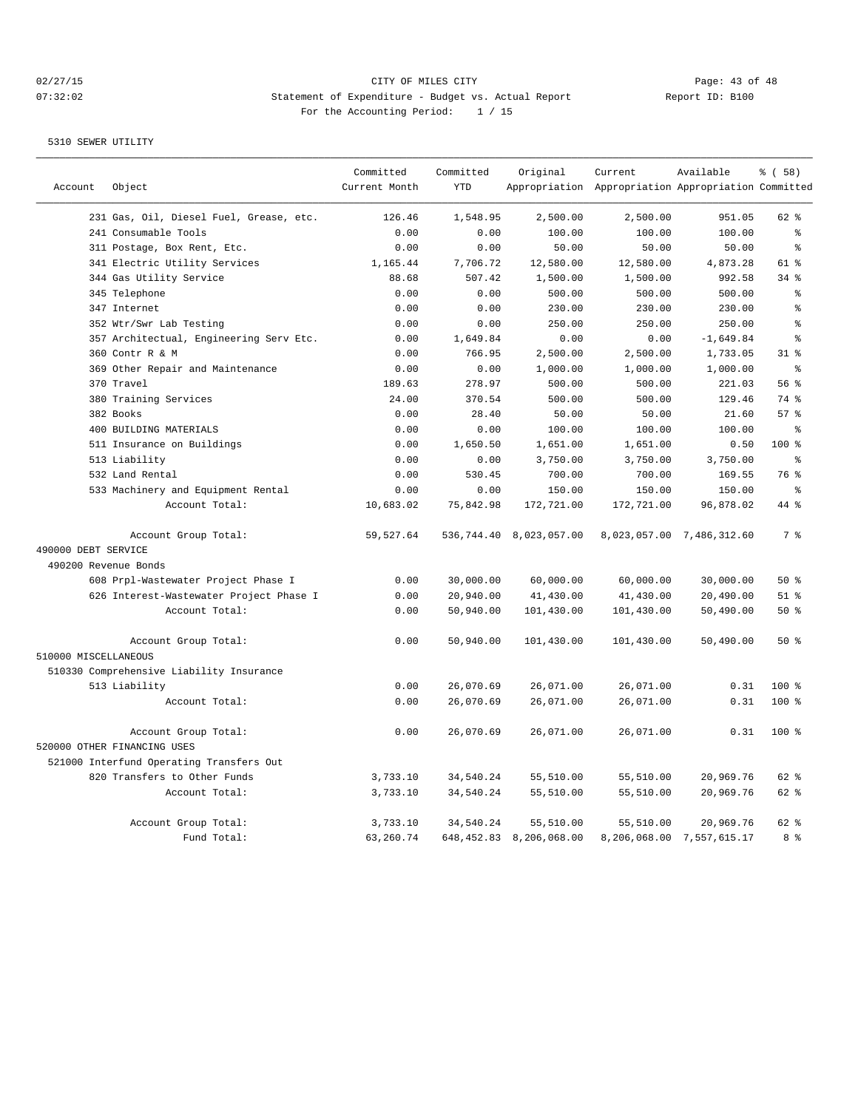# 02/27/15 **Page: 43 of 48** CITY OF MILES CITY **Page: 43 of 48** 07:32:02 Statement of Expenditure - Budget vs. Actual Report Report ID: B100 For the Accounting Period: 1 / 15

|                      |                                          | Committed     | Committed  | Original                   | Current                                             | Available                 | % (58)    |
|----------------------|------------------------------------------|---------------|------------|----------------------------|-----------------------------------------------------|---------------------------|-----------|
| Account              | Object                                   | Current Month | <b>YTD</b> |                            | Appropriation Appropriation Appropriation Committed |                           |           |
|                      | 231 Gas, Oil, Diesel Fuel, Grease, etc.  | 126.46        | 1,548.95   | 2,500.00                   | 2,500.00                                            | 951.05                    | 62 %      |
|                      | 241 Consumable Tools                     | 0.00          | 0.00       | 100.00                     | 100.00                                              | 100.00                    | $\approx$ |
|                      | 311 Postage, Box Rent, Etc.              | 0.00          | 0.00       | 50.00                      | 50.00                                               | 50.00                     | ి         |
|                      | 341 Electric Utility Services            | 1,165.44      | 7,706.72   | 12,580.00                  | 12,580.00                                           | 4,873.28                  | 61 %      |
|                      | 344 Gas Utility Service                  | 88.68         | 507.42     | 1,500.00                   | 1,500.00                                            | 992.58                    | $34$ $%$  |
|                      | 345 Telephone                            | 0.00          | 0.00       | 500.00                     | 500.00                                              | 500.00                    | န့        |
|                      | 347 Internet                             | 0.00          | 0.00       | 230.00                     | 230.00                                              | 230.00                    | န္        |
|                      | 352 Wtr/Swr Lab Testing                  | 0.00          | 0.00       | 250.00                     | 250.00                                              | 250.00                    | ٥,        |
|                      | 357 Architectual, Engineering Serv Etc.  | 0.00          | 1,649.84   | 0.00                       | 0.00                                                | $-1,649.84$               | နွ        |
|                      | 360 Contr R & M                          | 0.00          | 766.95     | 2,500.00                   | 2,500.00                                            | 1,733.05                  | $31$ %    |
|                      | 369 Other Repair and Maintenance         | 0.00          | 0.00       | 1,000.00                   | 1,000.00                                            | 1,000.00                  | $\approx$ |
|                      | 370 Travel                               | 189.63        | 278.97     | 500.00                     | 500.00                                              | 221.03                    | 56 %      |
|                      | 380 Training Services                    | 24.00         | 370.54     | 500.00                     | 500.00                                              | 129.46                    | 74 %      |
|                      | 382 Books                                | 0.00          | 28.40      | 50.00                      | 50.00                                               | 21.60                     | 57%       |
|                      | 400 BUILDING MATERIALS                   | 0.00          | 0.00       | 100.00                     | 100.00                                              | 100.00                    | နွ        |
|                      | 511 Insurance on Buildings               | 0.00          | 1,650.50   | 1,651.00                   | 1,651.00                                            | 0.50                      | 100 %     |
|                      | 513 Liability                            | 0.00          | 0.00       | 3,750.00                   | 3,750.00                                            | 3,750.00                  | နွ        |
|                      | 532 Land Rental                          | 0.00          | 530.45     | 700.00                     | 700.00                                              | 169.55                    | 76 %      |
|                      | 533 Machinery and Equipment Rental       | 0.00          | 0.00       | 150.00                     | 150.00                                              | 150.00                    | နွ        |
|                      | Account Total:                           | 10,683.02     | 75,842.98  | 172,721.00                 | 172,721.00                                          | 96,878.02                 | 44 %      |
|                      | Account Group Total:                     | 59,527.64     |            | 536,744.40 8,023,057.00    |                                                     | 8,023,057.00 7,486,312.60 | 7 %       |
| 490000 DEBT SERVICE  |                                          |               |            |                            |                                                     |                           |           |
| 490200 Revenue Bonds |                                          |               |            |                            |                                                     |                           |           |
|                      | 608 Prpl-Wastewater Project Phase I      | 0.00          | 30,000.00  | 60,000.00                  | 60,000.00                                           | 30,000.00                 | 50%       |
|                      | 626 Interest-Wastewater Project Phase I  | 0.00          | 20,940.00  | 41,430.00                  | 41,430.00                                           | 20,490.00                 | $51$ %    |
|                      | Account Total:                           | 0.00          | 50,940.00  | 101,430.00                 | 101,430.00                                          | 50,490.00                 | 50%       |
|                      | Account Group Total:                     | 0.00          | 50,940.00  | 101,430.00                 | 101,430.00                                          | 50,490.00                 | 50%       |
| 510000 MISCELLANEOUS |                                          |               |            |                            |                                                     |                           |           |
|                      | 510330 Comprehensive Liability Insurance |               |            |                            |                                                     |                           |           |
|                      | 513 Liability                            | 0.00          | 26,070.69  | 26,071.00                  | 26,071.00                                           | 0.31                      | $100*$    |
|                      | Account Total:                           | 0.00          | 26,070.69  | 26,071.00                  | 26,071.00                                           | 0.31                      | 100 %     |
|                      | Account Group Total:                     | 0.00          | 26,070.69  | 26,071.00                  | 26,071.00                                           | 0.31                      | 100 %     |
|                      | 520000 OTHER FINANCING USES              |               |            |                            |                                                     |                           |           |
|                      | 521000 Interfund Operating Transfers Out |               |            |                            |                                                     |                           |           |
|                      | 820 Transfers to Other Funds             | 3,733.10      | 34,540.24  | 55,510.00                  | 55,510.00                                           | 20,969.76                 | 62 %      |
|                      | Account Total:                           | 3,733.10      | 34,540.24  | 55,510.00                  | 55,510.00                                           | 20,969.76                 | 62 %      |
|                      | Account Group Total:                     | 3,733.10      | 34,540.24  | 55,510.00                  | 55,510.00                                           | 20,969.76                 | 62 %      |
|                      | Fund Total:                              | 63,260.74     |            | 648, 452.83 8, 206, 068.00 |                                                     | 8,206,068.00 7,557,615.17 | 8 %       |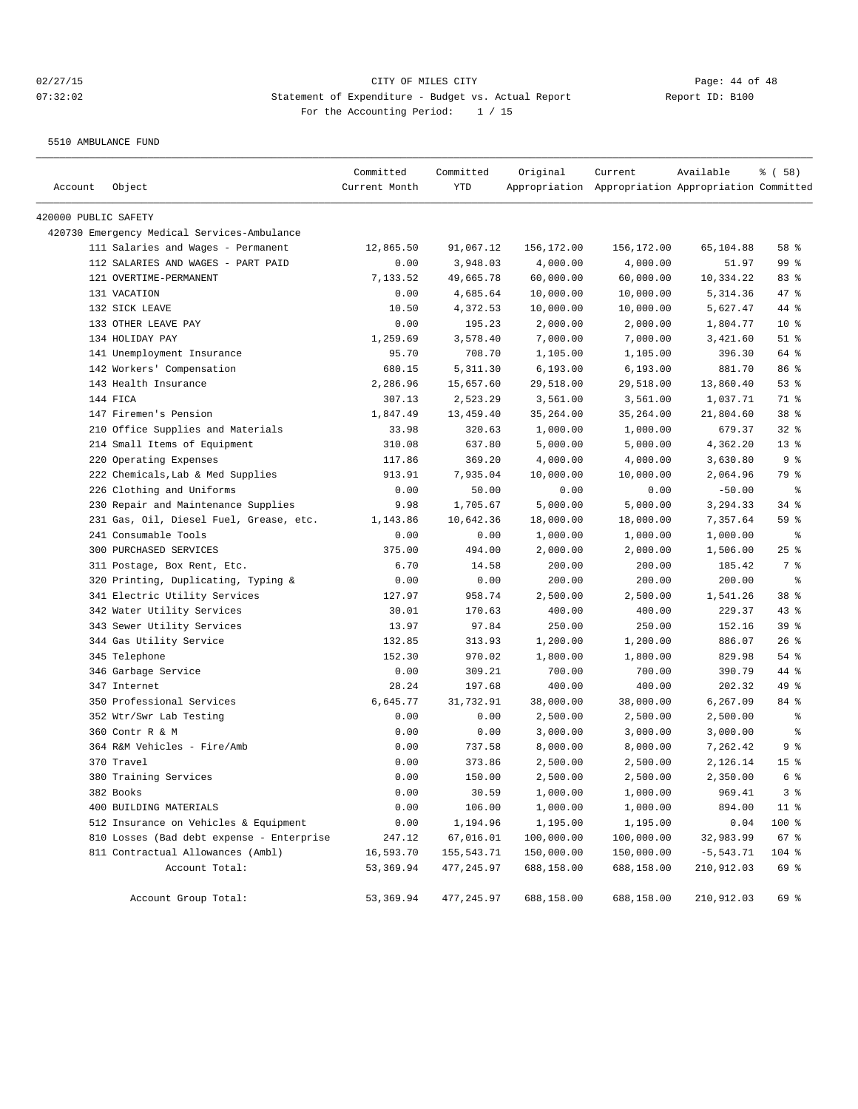5510 AMBULANCE FUND

| Account              | Object                                      | Committed<br>Current Month | Committed<br>YTD | Original   | Current<br>Appropriation Appropriation Appropriation Committed | Available    | % ( 58 )        |
|----------------------|---------------------------------------------|----------------------------|------------------|------------|----------------------------------------------------------------|--------------|-----------------|
|                      |                                             |                            |                  |            |                                                                |              |                 |
| 420000 PUBLIC SAFETY |                                             |                            |                  |            |                                                                |              |                 |
|                      | 420730 Emergency Medical Services-Ambulance |                            |                  |            |                                                                |              |                 |
|                      | 111 Salaries and Wages - Permanent          | 12,865.50                  | 91,067.12        | 156,172.00 | 156,172.00                                                     | 65,104.88    | 58 %            |
|                      | 112 SALARIES AND WAGES - PART PAID          | 0.00                       | 3,948.03         | 4,000.00   | 4,000.00                                                       | 51.97        | 99 %            |
|                      | 121 OVERTIME-PERMANENT                      | 7,133.52                   | 49,665.78        | 60,000.00  | 60,000.00                                                      | 10,334.22    | 83%             |
|                      | 131 VACATION                                | 0.00                       | 4,685.64         | 10,000.00  | 10,000.00                                                      | 5,314.36     | 47 %            |
|                      | 132 SICK LEAVE                              | 10.50                      | 4,372.53         | 10,000.00  | 10,000.00                                                      | 5,627.47     | 44 %            |
|                      | 133 OTHER LEAVE PAY                         | 0.00                       | 195.23           | 2,000.00   | 2,000.00                                                       | 1,804.77     | $10*$           |
|                      | 134 HOLIDAY PAY                             | 1,259.69                   | 3,578.40         | 7,000.00   | 7,000.00                                                       | 3,421.60     | $51$ %          |
|                      | 141 Unemployment Insurance                  | 95.70                      | 708.70           | 1,105.00   | 1,105.00                                                       | 396.30       | 64 %            |
|                      | 142 Workers' Compensation                   | 680.15                     | 5,311.30         | 6, 193.00  | 6, 193.00                                                      | 881.70       | 86 %            |
|                      | 143 Health Insurance                        | 2,286.96                   | 15,657.60        | 29,518.00  | 29,518.00                                                      | 13,860.40    | 53%             |
|                      | 144 FICA                                    | 307.13                     | 2,523.29         | 3,561.00   | 3,561.00                                                       | 1,037.71     | 71 %            |
|                      | 147 Firemen's Pension                       | 1,847.49                   | 13,459.40        | 35,264.00  | 35,264.00                                                      | 21,804.60    | 38 <sup>8</sup> |
|                      | 210 Office Supplies and Materials           | 33.98                      | 320.63           | 1,000.00   | 1,000.00                                                       | 679.37       | $32$ $%$        |
|                      | 214 Small Items of Equipment                | 310.08                     | 637.80           | 5,000.00   | 5,000.00                                                       | 4,362.20     | $13*$           |
|                      | 220 Operating Expenses                      | 117.86                     | 369.20           | 4,000.00   | 4,000.00                                                       | 3,630.80     | 9%              |
|                      | 222 Chemicals, Lab & Med Supplies           | 913.91                     | 7,935.04         | 10,000.00  | 10,000.00                                                      | 2,064.96     | 79 %            |
|                      | 226 Clothing and Uniforms                   | 0.00                       | 50.00            | 0.00       | 0.00                                                           | $-50.00$     | နွ              |
|                      | 230 Repair and Maintenance Supplies         | 9.98                       | 1,705.67         | 5,000.00   | 5,000.00                                                       | 3,294.33     | $34$ $%$        |
|                      | 231 Gas, Oil, Diesel Fuel, Grease, etc.     | 1,143.86                   | 10,642.36        | 18,000.00  | 18,000.00                                                      | 7,357.64     | 59 %            |
|                      | 241 Consumable Tools                        | 0.00                       | 0.00             | 1,000.00   | 1,000.00                                                       | 1,000.00     | ႜ               |
|                      | 300 PURCHASED SERVICES                      | 375.00                     | 494.00           | 2,000.00   | 2,000.00                                                       | 1,506.00     | $25$ %          |
|                      | 311 Postage, Box Rent, Etc.                 | 6.70                       | 14.58            | 200.00     | 200.00                                                         | 185.42       | 7 %             |
|                      | 320 Printing, Duplicating, Typing &         | 0.00                       | 0.00             | 200.00     | 200.00                                                         | 200.00       | နွ              |
|                      | 341 Electric Utility Services               | 127.97                     | 958.74           | 2,500.00   | 2,500.00                                                       | 1,541.26     | 38 %            |
|                      | 342 Water Utility Services                  | 30.01                      | 170.63           | 400.00     | 400.00                                                         | 229.37       | $43$ %          |
|                      | 343 Sewer Utility Services                  | 13.97                      | 97.84            | 250.00     | 250.00                                                         | 152.16       | 39%             |
|                      | 344 Gas Utility Service                     | 132.85                     | 313.93           | 1,200.00   | 1,200.00                                                       | 886.07       | $26$ %          |
|                      | 345 Telephone                               | 152.30                     | 970.02           | 1,800.00   | 1,800.00                                                       | 829.98       | 54 %            |
|                      | 346 Garbage Service                         | 0.00                       | 309.21           | 700.00     | 700.00                                                         | 390.79       | 44 %            |
|                      | 347 Internet                                | 28.24                      | 197.68           | 400.00     | 400.00                                                         | 202.32       | 49 %            |
|                      | 350 Professional Services                   | 6,645.77                   | 31,732.91        | 38,000.00  | 38,000.00                                                      | 6,267.09     | 84 %            |
|                      | 352 Wtr/Swr Lab Testing                     | 0.00                       | 0.00             | 2,500.00   | 2,500.00                                                       | 2,500.00     | နွ              |
|                      | 360 Contr R & M                             | 0.00                       | 0.00             | 3,000.00   | 3,000.00                                                       | 3,000.00     | နွ              |
|                      | 364 R&M Vehicles - Fire/Amb                 | 0.00                       | 737.58           | 8,000.00   | 8,000.00                                                       | 7,262.42     | 9 %             |
|                      | 370 Travel                                  | 0.00                       | 373.86           | 2,500.00   | 2,500.00                                                       | 2,126.14     | 15 <sup>°</sup> |
|                      | 380 Training Services                       | 0.00                       | 150.00           | 2,500.00   | 2,500.00                                                       | 2,350.00     | 6 %             |
|                      | 382 Books                                   | 0.00                       | 30.59            | 1,000.00   | 1,000.00                                                       | 969.41       | 3 <sup>8</sup>  |
|                      | 400 BUILDING MATERIALS                      | 0.00                       | 106.00           | 1,000.00   | 1,000.00                                                       | 894.00       | $11$ %          |
|                      | 512 Insurance on Vehicles & Equipment       | 0.00                       | 1,194.96         | 1,195.00   | 1,195.00                                                       | 0.04         | 100 %           |
|                      | 810 Losses (Bad debt expense - Enterprise   | 247.12                     | 67,016.01        | 100,000.00 | 100,000.00                                                     | 32,983.99    | 67%             |
|                      | 811 Contractual Allowances (Ambl)           | 16,593.70                  | 155,543.71       | 150,000.00 | 150,000.00                                                     | $-5, 543.71$ | $104$ %         |
|                      | Account Total:                              | 53,369.94                  | 477,245.97       | 688,158.00 | 688,158.00                                                     | 210,912.03   | 69 %            |
|                      | Account Group Total:                        | 53,369.94                  | 477,245.97       | 688,158.00 | 688,158.00                                                     | 210,912.03   | 69 %            |
|                      |                                             |                            |                  |            |                                                                |              |                 |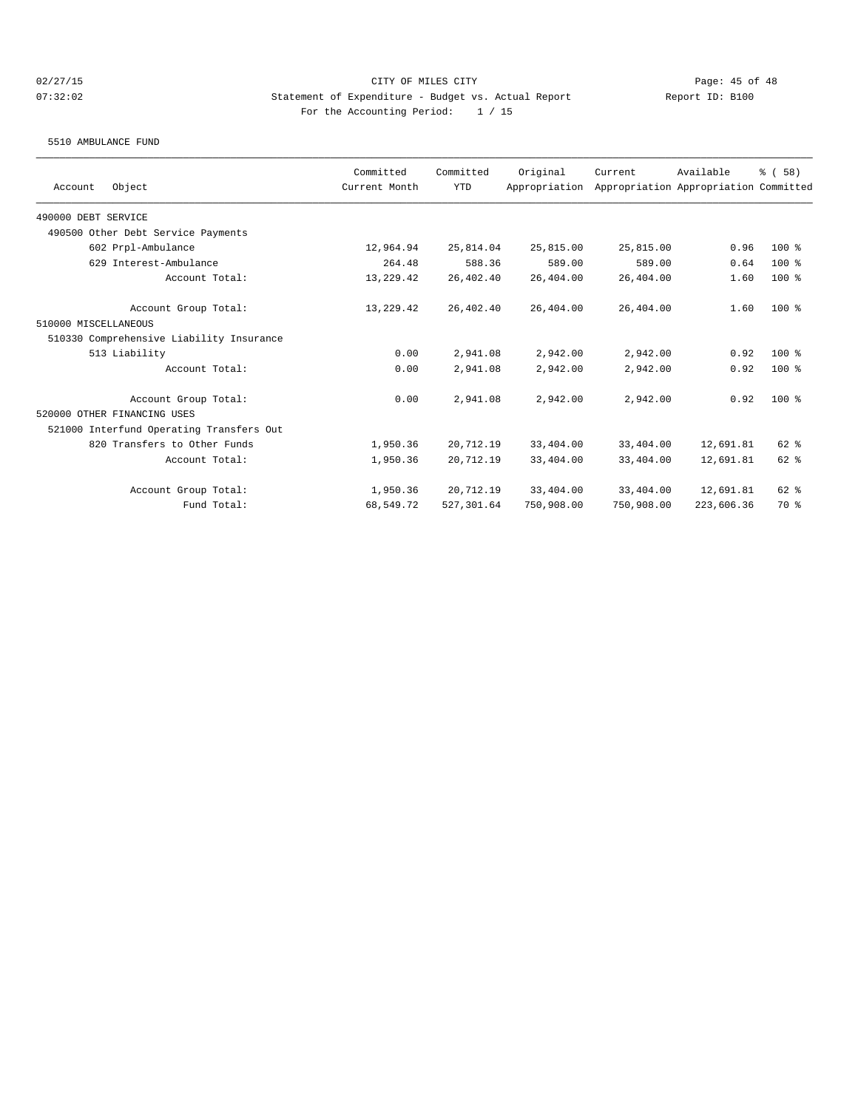5510 AMBULANCE FUND

| Object<br>Account                        | Committed<br>Current Month | Committed<br><b>YTD</b> | Original<br>Appropriation | Current    | Available<br>Appropriation Appropriation Committed | % (58)  |
|------------------------------------------|----------------------------|-------------------------|---------------------------|------------|----------------------------------------------------|---------|
|                                          |                            |                         |                           |            |                                                    |         |
| 490000 DEBT SERVICE                      |                            |                         |                           |            |                                                    |         |
| 490500 Other Debt Service Payments       |                            |                         |                           |            |                                                    |         |
| 602 Prpl-Ambulance                       | 12,964.94                  | 25,814.04               | 25,815.00                 | 25,815.00  | 0.96                                               | $100$ % |
| 629 Interest-Ambulance                   | 264.48                     | 588.36                  | 589.00                    | 589.00     | 0.64                                               | $100$ % |
| Account Total:                           | 13,229.42                  | 26,402.40               | 26,404.00                 | 26,404.00  | 1.60                                               | $100$ % |
| Account Group Total:                     | 13,229.42                  | 26,402.40               | 26,404.00                 | 26,404.00  | 1.60                                               | $100$ % |
| 510000 MISCELLANEOUS                     |                            |                         |                           |            |                                                    |         |
| 510330 Comprehensive Liability Insurance |                            |                         |                           |            |                                                    |         |
| 513 Liability                            | 0.00                       | 2,941.08                | 2,942.00                  | 2,942.00   | 0.92                                               | $100*$  |
| Account Total:                           | 0.00                       | 2,941.08                | 2,942.00                  | 2,942.00   | 0.92                                               | $100$ % |
| Account Group Total:                     | 0.00                       | 2,941.08                | 2,942.00                  | 2,942.00   | 0.92                                               | $100*$  |
| 520000 OTHER FINANCING USES              |                            |                         |                           |            |                                                    |         |
| 521000 Interfund Operating Transfers Out |                            |                         |                           |            |                                                    |         |
| 820 Transfers to Other Funds             | 1,950.36                   | 20,712.19               | 33,404.00                 | 33,404.00  | 12,691.81                                          | 62 %    |
| Account Total:                           | 1,950.36                   | 20,712.19               | 33,404.00                 | 33,404.00  | 12,691.81                                          | 62 %    |
| Account Group Total:                     | 1,950.36                   | 20,712.19               | 33,404.00                 | 33,404.00  | 12,691.81                                          | 62 %    |
| Fund Total:                              | 68,549.72                  | 527,301.64              | 750,908.00                | 750,908.00 | 223,606.36                                         | 70 %    |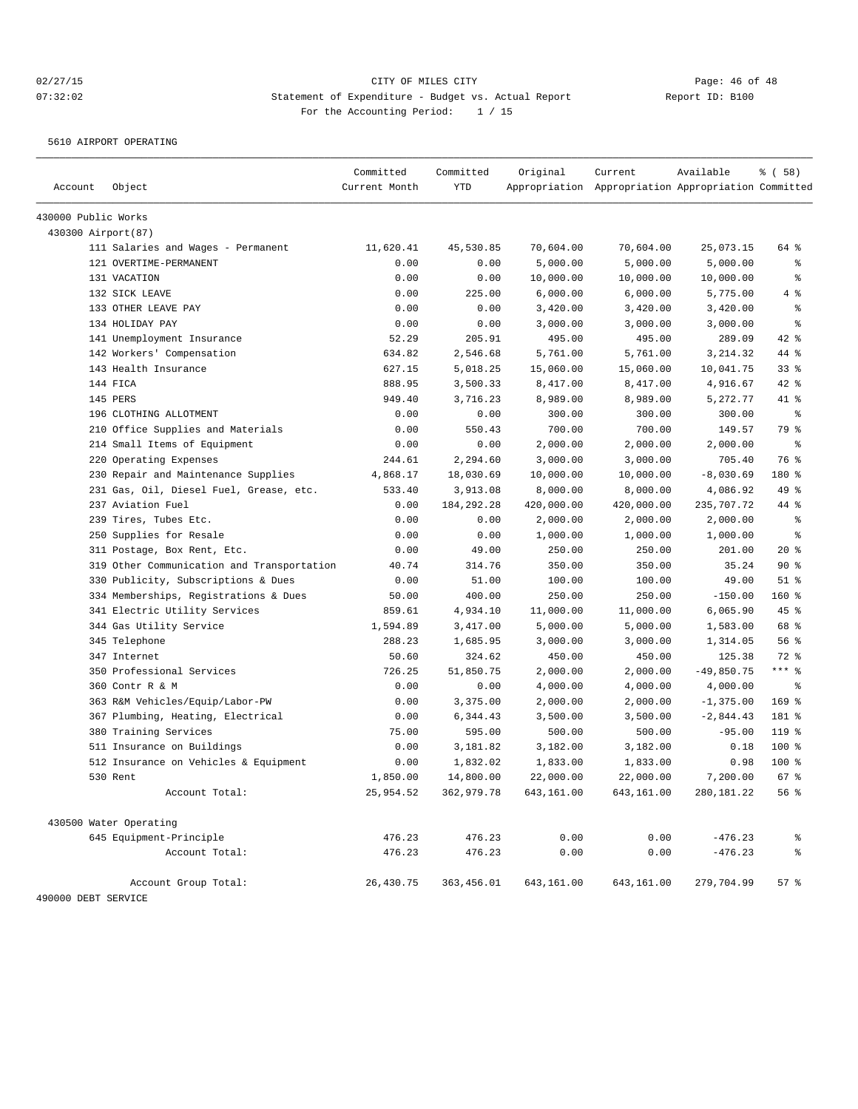5610 AIRPORT OPERATING

|                     |                                            | Committed<br>Current Month | Committed<br><b>YTD</b> | Original              | Current                                             | Available    | % ( 58 )      |
|---------------------|--------------------------------------------|----------------------------|-------------------------|-----------------------|-----------------------------------------------------|--------------|---------------|
| Account             | Object                                     |                            |                         |                       | Appropriation Appropriation Appropriation Committed |              |               |
| 430000 Public Works |                                            |                            |                         |                       |                                                     |              |               |
| 430300 Airport (87) |                                            |                            |                         |                       |                                                     |              |               |
|                     | 111 Salaries and Wages - Permanent         | 11,620.41                  | 45,530.85               | 70,604.00             | 70,604.00                                           | 25,073.15    | 64 %          |
|                     | 121 OVERTIME-PERMANENT                     | 0.00                       | 0.00                    | 5,000.00              | 5,000.00                                            | 5,000.00     | နွ            |
|                     | 131 VACATION                               | 0.00                       | 0.00                    | 10,000.00             | 10,000.00                                           | 10,000.00    | ి             |
|                     | 132 SICK LEAVE                             | 0.00                       | 225.00                  | 6,000.00              | 6,000.00                                            | 5,775.00     | 4%            |
|                     | 133 OTHER LEAVE PAY                        | 0.00                       | 0.00                    | 3,420.00              | 3,420.00                                            | 3,420.00     | နွ            |
|                     | 134 HOLIDAY PAY                            | 0.00                       | 0.00                    | 3,000.00              | 3,000.00                                            | 3,000.00     | ి             |
|                     | 141 Unemployment Insurance                 | 52.29                      | 205.91                  | 495.00                | 495.00                                              | 289.09       | 42 %          |
|                     | 142 Workers' Compensation                  | 634.82                     | 2,546.68                | 5,761.00              | 5,761.00                                            | 3, 214.32    | 44 %          |
|                     | 143 Health Insurance                       | 627.15                     | 5,018.25                | 15,060.00             | 15,060.00                                           | 10,041.75    | 33%           |
|                     | 144 FICA                                   | 888.95                     | 3,500.33                | 8,417.00              | 8,417.00                                            | 4,916.67     | $42$ %        |
|                     | 145 PERS                                   | 949.40                     | 3,716.23                | 8,989.00              | 8,989.00                                            | 5,272.77     | 41 %          |
|                     | 196 CLOTHING ALLOTMENT                     | 0.00                       | 0.00                    | 300.00                | 300.00                                              | 300.00       | $\epsilon$    |
|                     | 210 Office Supplies and Materials          | 0.00                       | 550.43                  | 700.00                | 700.00                                              | 149.57       | 79 %          |
|                     | 214 Small Items of Equipment               | 0.00                       | 0.00                    | 2,000.00              | 2,000.00                                            | 2,000.00     | နွ            |
|                     | 220 Operating Expenses                     | 244.61                     | 2,294.60                | 3,000.00              | 3,000.00                                            | 705.40       | 76 %          |
|                     | 230 Repair and Maintenance Supplies        | 4,868.17                   | 18,030.69               | 10,000.00             | 10,000.00                                           | $-8,030.69$  | 180 %         |
|                     | 231 Gas, Oil, Diesel Fuel, Grease, etc.    | 533.40                     | 3,913.08                | 8,000.00              | 8,000.00                                            | 4,086.92     | 49 %          |
|                     | 237 Aviation Fuel                          | 0.00                       | 184, 292. 28            | 420,000.00            | 420,000.00                                          | 235,707.72   | 44 %          |
|                     | 239 Tires, Tubes Etc.                      | 0.00                       | 0.00                    | 2,000.00              | 2,000.00                                            | 2,000.00     | $\epsilon$    |
|                     | 250 Supplies for Resale                    | 0.00                       | 0.00                    | 1,000.00              | 1,000.00                                            | 1,000.00     | နွ            |
|                     | 311 Postage, Box Rent, Etc.                | 0.00                       | 49.00                   | 250.00                | 250.00                                              | 201.00       | 20%           |
|                     | 319 Other Communication and Transportation | 40.74                      | 314.76                  | 350.00                | 350.00                                              | 35.24        | 90%           |
|                     | 330 Publicity, Subscriptions & Dues        | 0.00                       | 51.00                   | 100.00                | 100.00                                              | 49.00        | $51$ %        |
|                     | 334 Memberships, Registrations & Dues      | 50.00                      | 400.00                  | 250.00                | 250.00                                              | $-150.00$    | 160 %         |
|                     | 341 Electric Utility Services              | 859.61                     | 4,934.10                | 11,000.00             | 11,000.00                                           | 6,065.90     | 45 %          |
|                     | 344 Gas Utility Service                    | 1,594.89                   | 3,417.00                | 5,000.00              | 5,000.00                                            | 1,583.00     | 68 %          |
|                     | 345 Telephone                              | 288.23                     | 1,685.95                | 3,000.00              | 3,000.00                                            | 1,314.05     | 56 %          |
|                     | 347 Internet                               | 50.60                      | 324.62                  | 450.00                | 450.00                                              | 125.38       | 72 %          |
|                     | 350 Professional Services                  | 726.25                     | 51,850.75               | 2,000.00              | 2,000.00                                            | $-49,850.75$ | $***$ $_{8}$  |
|                     | 360 Contr R & M                            | 0.00                       | 0.00                    | 4,000.00              | 4,000.00                                            | 4,000.00     | နွ            |
|                     | 363 R&M Vehicles/Equip/Labor-PW            | 0.00                       | 3,375.00                | 2,000.00              | 2,000.00                                            | $-1,375.00$  | 169 %         |
|                     | 367 Plumbing, Heating, Electrical          | 0.00                       | 6,344.43                | 3,500.00              | 3,500.00                                            | $-2,844.43$  | 181 %         |
|                     | 380 Training Services                      | 75.00                      | 595.00                  | 500.00                | 500.00                                              | $-95.00$     | 119.8         |
|                     | 511 Insurance on Buildings                 | 0.00                       | 3,181.82                | 3,182.00              | 3,182.00                                            | 0.18         | 100 %         |
|                     | 512 Insurance on Vehicles & Equipment      |                            |                         |                       |                                                     |              | 100 %         |
|                     |                                            | 0.00                       | 1,832.02                | 1,833.00<br>22,000.00 | 1,833.00<br>22,000.00                               | 0.98         | 67 %          |
|                     | 530 Rent                                   | 1,850.00                   | 14,800.00               |                       |                                                     | 7,200.00     |               |
|                     | Account Total:                             | 25,954.52                  | 362,979.78              | 643,161.00            | 643,161.00                                          | 280,181.22   | 56%           |
|                     | 430500 Water Operating                     |                            |                         |                       |                                                     |              |               |
|                     | 645 Equipment-Principle                    | 476.23                     | 476.23                  | 0.00                  | 0.00                                                | $-476.23$    | ್ಠಿ           |
|                     | Account Total:                             | 476.23                     | 476.23                  | 0.00                  | 0.00                                                | $-476.23$    | $\frac{6}{3}$ |
|                     | Account Group Total:                       | 26,430.75                  | 363,456.01              | 643,161.00            | 643,161.00                                          | 279,704.99   | 57%           |
| 490000 DEBT SERVICE |                                            |                            |                         |                       |                                                     |              |               |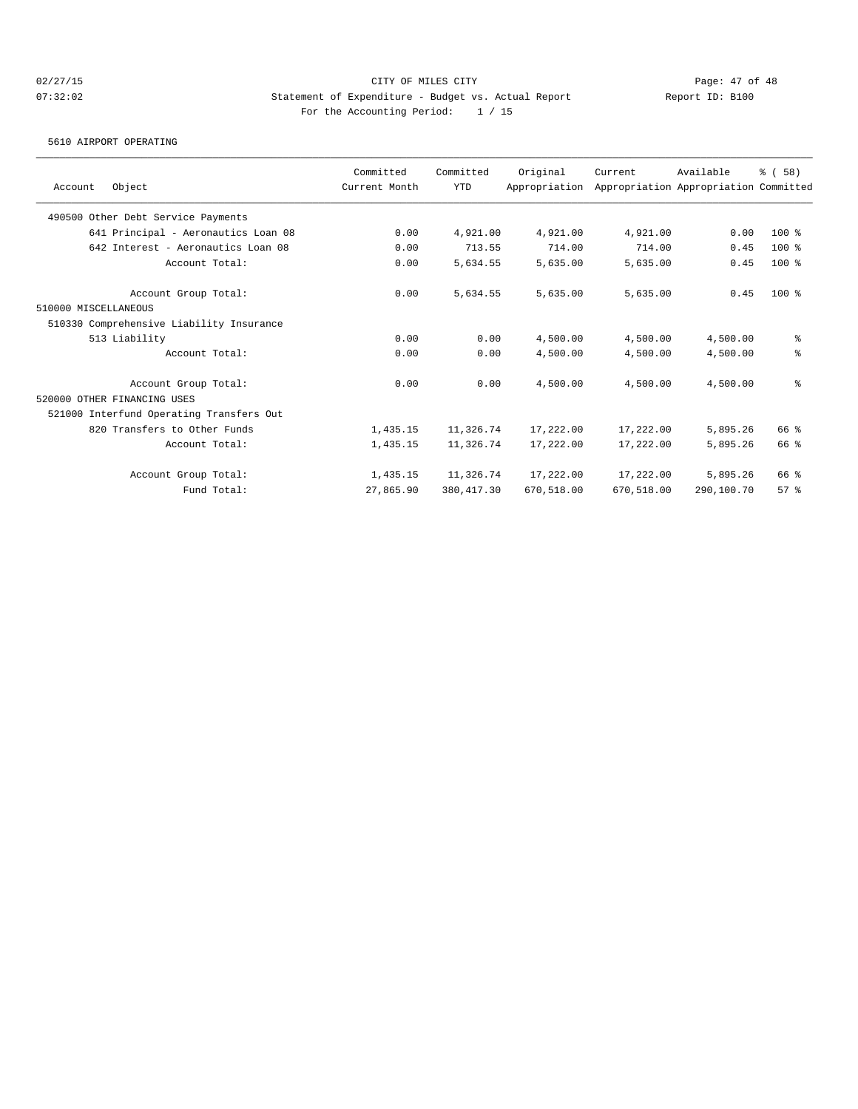5610 AIRPORT OPERATING

| Object<br>Account                                   | Committed<br>Current Month | Committed<br><b>YTD</b> | Original<br>Appropriation | Current    | Available<br>Appropriation Appropriation Committed | % (58)  |
|-----------------------------------------------------|----------------------------|-------------------------|---------------------------|------------|----------------------------------------------------|---------|
| 490500 Other Debt Service Payments                  |                            |                         |                           |            |                                                    |         |
| 641 Principal - Aeronautics Loan 08                 | 0.00                       | 4,921.00                | 4,921.00                  | 4,921.00   | 0.00                                               | $100$ % |
| 642 Interest - Aeronautics Loan 08                  | 0.00                       | 713.55                  | 714.00                    | 714.00     | 0.45                                               | $100$ % |
| Account Total:                                      | 0.00                       | 5,634.55                | 5,635.00                  | 5,635.00   | 0.45                                               | $100$ % |
| Account Group Total:                                | 0.00                       | 5,634.55                | 5,635.00                  | 5,635.00   | 0.45                                               | $100$ % |
| 510000 MISCELLANEOUS                                |                            |                         |                           |            |                                                    |         |
| 510330 Comprehensive Liability Insurance            |                            |                         |                           |            |                                                    |         |
| 513 Liability                                       | 0.00                       | 0.00                    | 4,500.00                  | 4,500.00   | 4,500.00                                           | နွ      |
| Account Total:                                      | 0.00                       | 0.00                    | 4,500.00                  | 4,500.00   | 4,500.00                                           | နွ      |
| Account Group Total:<br>520000 OTHER FINANCING USES | 0.00                       | 0.00                    | 4,500.00                  | 4,500.00   | 4,500.00                                           | နွ      |
| 521000 Interfund Operating Transfers Out            |                            |                         |                           |            |                                                    |         |
| 820 Transfers to Other Funds                        | 1,435.15                   | 11,326.74               | 17,222.00                 | 17,222.00  | 5,895.26                                           | 66 %    |
| Account Total:                                      | 1,435.15                   | 11,326.74               | 17,222.00                 | 17,222.00  | 5,895.26                                           | 66 %    |
| Account Group Total:                                | 1,435.15                   | 11,326.74               | 17,222.00                 | 17,222.00  | 5,895.26                                           | 66 %    |
| Fund Total:                                         | 27,865.90                  | 380, 417.30             | 670,518.00                | 670,518.00 | 290,100.70                                         | 57%     |
|                                                     |                            |                         |                           |            |                                                    |         |